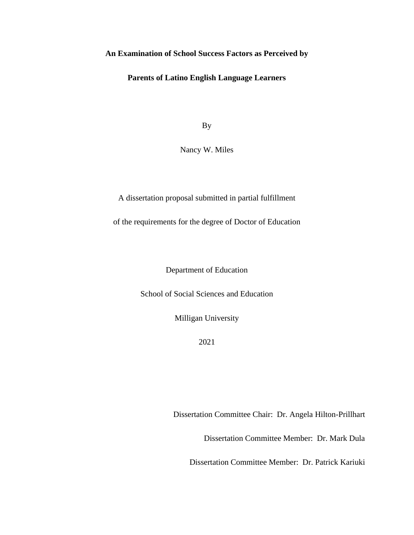# **An Examination of School Success Factors as Perceived by**

# **Parents of Latino English Language Learners**

By

Nancy W. Miles

A dissertation proposal submitted in partial fulfillment

of the requirements for the degree of Doctor of Education

Department of Education

School of Social Sciences and Education

Milligan University

2021

Dissertation Committee Chair: Dr. Angela Hilton-Prillhart

Dissertation Committee Member: Dr. Mark Dula

Dissertation Committee Member: Dr. Patrick Kariuki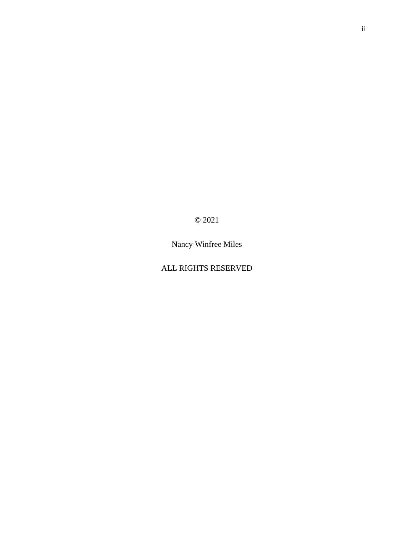© 2021

Nancy Winfree Miles

# ALL RIGHTS RESERVED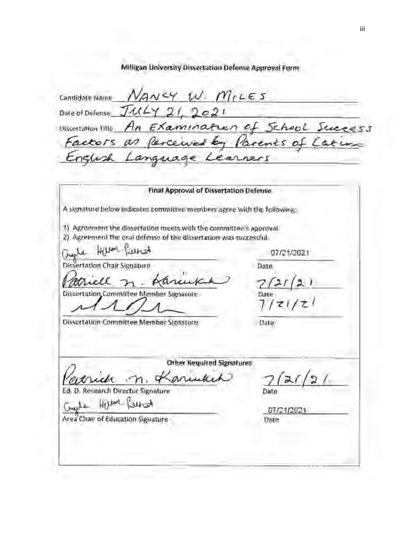Milligan University Dissertation Defense Approval Form

 $\epsilon$ andidate Name,  $N_A$ NCY  $w$ .  $m_t$ LES Date of Defense  $421.2021$ **UISSORIATION TITLE An Examination of School Suc** mention tills\_An\_Examination of School Success Factors as farcewed by Paren<br>English Language Learners Final Approval of Dissertation Defense A signature below indicates committee members agree with the following: 1) Agreement the dissertation meets with the committee's approval. 2) Agreement the oral defense of the dissertation was successful.<br>Graphe  $\frac{1}{121/2021}$ Dissertation Chair Signature Date <sup>1</sup>) Agreement the dissertation meets with the committee's approval<br>
2) Agreement the oral defense of the dissertation was successful.<br>  $\frac{L}{\sqrt{2}}$   $\frac{L}{\sqrt{2}}$   $\frac{L}{\sqrt{2}}$   $\frac{L}{\sqrt{2}}$   $\frac{L}{\sqrt{2}}$   $\frac{L}{\sqrt{2}}$   $\frac{L}{\$ Patriell n. Karcukal 7/21  $7/21/2!$ Dissertation Committee Member Signature Date Other Required Signatures<br>Catrich n. Kariukik  $n_{\rm i}$ Date Date<br>Other Required Signatures<br>where  $\frac{7}{2}$  /<br>ature Date Ed. D. Research Director Signature **Date** Ed. D. Research Director Signature Date Date Date  $\overline{G_{\text{max}}}$   $\overline{G_{\text{max}}}$   $\overline{G_{\text{max}}}$   $\overline{G_{\text{max}}}$   $\overline{G_{\text{max}}}$   $\overline{G_{\text{max}}}$   $\overline{G_{\text{max}}}$   $\overline{G_{\text{max}}}$   $\overline{G_{\text{max}}}$   $\overline{G_{\text{max}}}$   $\overline{G_{\text{max}}}$   $\overline{G_{\text{max}}}$   $\over$ Area Chair of Education Signature Date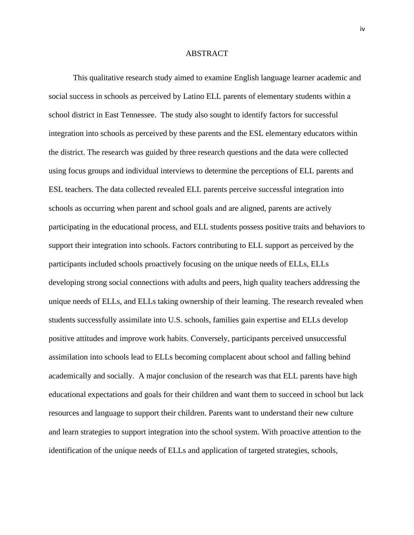#### ABSTRACT

This qualitative research study aimed to examine English language learner academic and social success in schools as perceived by Latino ELL parents of elementary students within a school district in East Tennessee. The study also sought to identify factors for successful integration into schools as perceived by these parents and the ESL elementary educators within the district. The research was guided by three research questions and the data were collected using focus groups and individual interviews to determine the perceptions of ELL parents and ESL teachers. The data collected revealed ELL parents perceive successful integration into schools as occurring when parent and school goals and are aligned, parents are actively participating in the educational process, and ELL students possess positive traits and behaviors to support their integration into schools. Factors contributing to ELL support as perceived by the participants included schools proactively focusing on the unique needs of ELLs, ELLs developing strong social connections with adults and peers, high quality teachers addressing the unique needs of ELLs, and ELLs taking ownership of their learning. The research revealed when students successfully assimilate into U.S. schools, families gain expertise and ELLs develop positive attitudes and improve work habits. Conversely, participants perceived unsuccessful assimilation into schools lead to ELLs becoming complacent about school and falling behind academically and socially. A major conclusion of the research was that ELL parents have high educational expectations and goals for their children and want them to succeed in school but lack resources and language to support their children. Parents want to understand their new culture and learn strategies to support integration into the school system. With proactive attention to the identification of the unique needs of ELLs and application of targeted strategies, schools,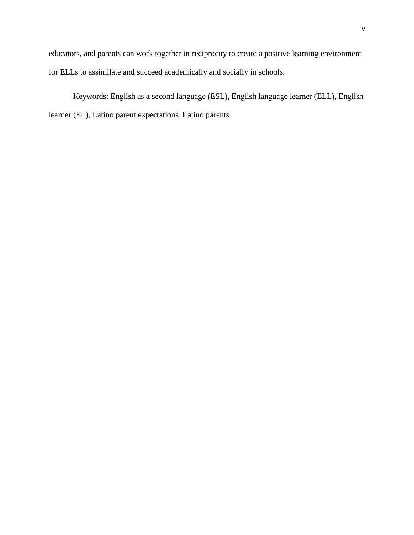educators, and parents can work together in reciprocity to create a positive learning environment for ELLs to assimilate and succeed academically and socially in schools.

Keywords: English as a second language (ESL), English language learner (ELL), English learner (EL), Latino parent expectations, Latino parents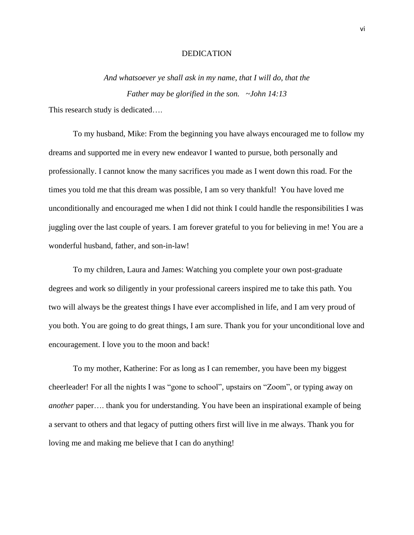#### DEDICATION

*And whatsoever ye shall ask in my name, that I will do, that the Father may be glorified in the son. ~John 14:13*

This research study is dedicated….

To my husband, Mike: From the beginning you have always encouraged me to follow my dreams and supported me in every new endeavor I wanted to pursue, both personally and professionally. I cannot know the many sacrifices you made as I went down this road. For the times you told me that this dream was possible, I am so very thankful! You have loved me unconditionally and encouraged me when I did not think I could handle the responsibilities I was juggling over the last couple of years. I am forever grateful to you for believing in me! You are a wonderful husband, father, and son-in-law!

To my children, Laura and James: Watching you complete your own post-graduate degrees and work so diligently in your professional careers inspired me to take this path. You two will always be the greatest things I have ever accomplished in life, and I am very proud of you both. You are going to do great things, I am sure. Thank you for your unconditional love and encouragement. I love you to the moon and back!

To my mother, Katherine: For as long as I can remember, you have been my biggest cheerleader! For all the nights I was "gone to school", upstairs on "Zoom", or typing away on *another* paper…. thank you for understanding. You have been an inspirational example of being a servant to others and that legacy of putting others first will live in me always. Thank you for loving me and making me believe that I can do anything!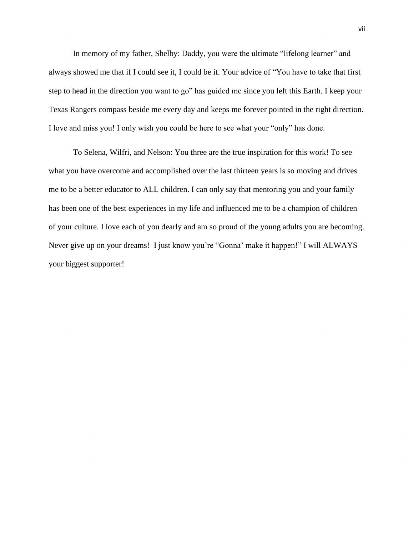In memory of my father, Shelby: Daddy, you were the ultimate "lifelong learner" and always showed me that if I could see it, I could be it. Your advice of "You have to take that first step to head in the direction you want to go" has guided me since you left this Earth. I keep your Texas Rangers compass beside me every day and keeps me forever pointed in the right direction. I love and miss you! I only wish you could be here to see what your "only" has done.

To Selena, Wilfri, and Nelson: You three are the true inspiration for this work! To see what you have overcome and accomplished over the last thirteen years is so moving and drives me to be a better educator to ALL children. I can only say that mentoring you and your family has been one of the best experiences in my life and influenced me to be a champion of children of your culture. I love each of you dearly and am so proud of the young adults you are becoming. Never give up on your dreams! I just know you're "Gonna' make it happen!" I will ALWAYS your biggest supporter!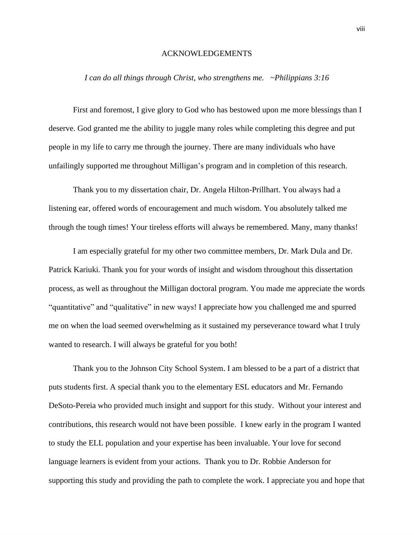#### ACKNOWLEDGEMENTS

# *I can do all things through Christ, who strengthens me. ~Philippians 3:16*

First and foremost, I give glory to God who has bestowed upon me more blessings than I deserve. God granted me the ability to juggle many roles while completing this degree and put people in my life to carry me through the journey. There are many individuals who have unfailingly supported me throughout Milligan's program and in completion of this research.

Thank you to my dissertation chair, Dr. Angela Hilton-Prillhart. You always had a listening ear, offered words of encouragement and much wisdom. You absolutely talked me through the tough times! Your tireless efforts will always be remembered. Many, many thanks!

I am especially grateful for my other two committee members, Dr. Mark Dula and Dr. Patrick Kariuki. Thank you for your words of insight and wisdom throughout this dissertation process, as well as throughout the Milligan doctoral program. You made me appreciate the words "quantitative" and "qualitative" in new ways! I appreciate how you challenged me and spurred me on when the load seemed overwhelming as it sustained my perseverance toward what I truly wanted to research. I will always be grateful for you both!

Thank you to the Johnson City School System. I am blessed to be a part of a district that puts students first. A special thank you to the elementary ESL educators and Mr. Fernando DeSoto-Pereia who provided much insight and support for this study. Without your interest and contributions, this research would not have been possible. I knew early in the program I wanted to study the ELL population and your expertise has been invaluable. Your love for second language learners is evident from your actions. Thank you to Dr. Robbie Anderson for supporting this study and providing the path to complete the work. I appreciate you and hope that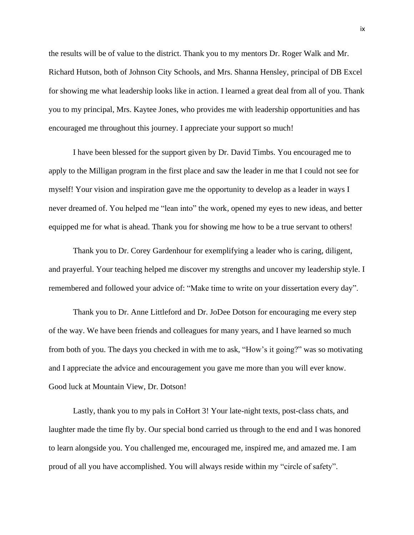the results will be of value to the district. Thank you to my mentors Dr. Roger Walk and Mr. Richard Hutson, both of Johnson City Schools, and Mrs. Shanna Hensley, principal of DB Excel for showing me what leadership looks like in action. I learned a great deal from all of you. Thank you to my principal, Mrs. Kaytee Jones, who provides me with leadership opportunities and has encouraged me throughout this journey. I appreciate your support so much!

I have been blessed for the support given by Dr. David Timbs. You encouraged me to apply to the Milligan program in the first place and saw the leader in me that I could not see for myself! Your vision and inspiration gave me the opportunity to develop as a leader in ways I never dreamed of. You helped me "lean into" the work, opened my eyes to new ideas, and better equipped me for what is ahead. Thank you for showing me how to be a true servant to others!

Thank you to Dr. Corey Gardenhour for exemplifying a leader who is caring, diligent, and prayerful. Your teaching helped me discover my strengths and uncover my leadership style. I remembered and followed your advice of: "Make time to write on your dissertation every day".

Thank you to Dr. Anne Littleford and Dr. JoDee Dotson for encouraging me every step of the way. We have been friends and colleagues for many years, and I have learned so much from both of you. The days you checked in with me to ask, "How's it going?" was so motivating and I appreciate the advice and encouragement you gave me more than you will ever know. Good luck at Mountain View, Dr. Dotson!

Lastly, thank you to my pals in CoHort 3! Your late-night texts, post-class chats, and laughter made the time fly by. Our special bond carried us through to the end and I was honored to learn alongside you. You challenged me, encouraged me, inspired me, and amazed me. I am proud of all you have accomplished. You will always reside within my "circle of safety".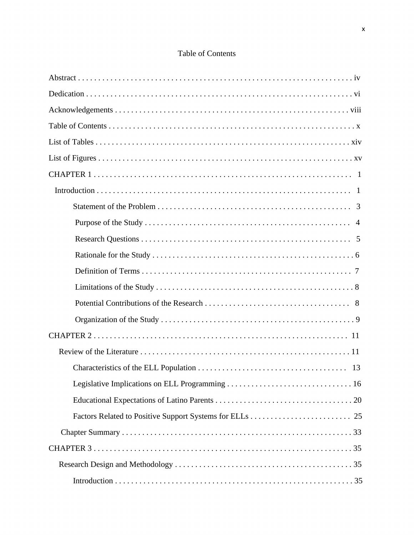# Table of Contents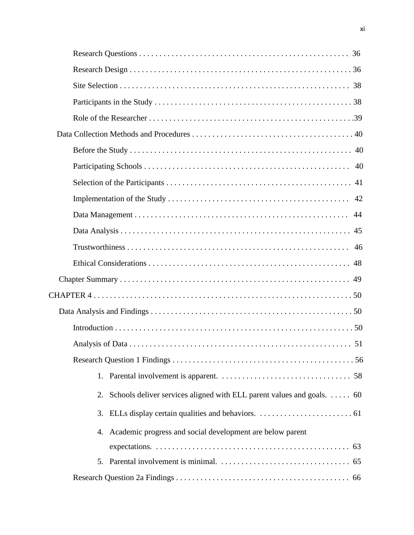| Schools deliver services aligned with ELL parent values and goals. $\dots$ 60<br>2. |
|-------------------------------------------------------------------------------------|
|                                                                                     |
| 4. Academic progress and social development are below parent                        |
|                                                                                     |
|                                                                                     |
|                                                                                     |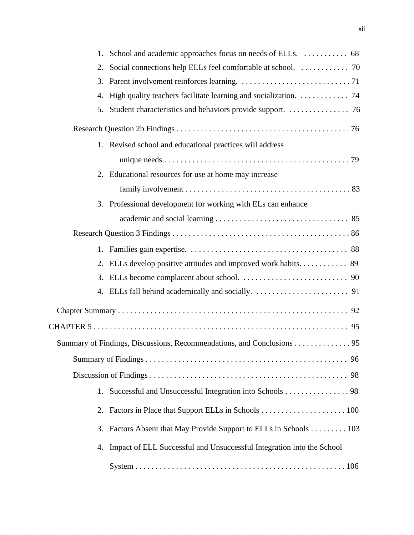| 1. |                                                                       |
|----|-----------------------------------------------------------------------|
| 2. |                                                                       |
| 3. |                                                                       |
| 4. | High quality teachers facilitate learning and socialization. 74       |
| 5. |                                                                       |
|    |                                                                       |
|    | 1. Revised school and educational practices will address              |
|    |                                                                       |
|    | 2. Educational resources for use at home may increase                 |
|    |                                                                       |
|    | 3. Professional development for working with ELs can enhance          |
|    |                                                                       |
|    |                                                                       |
| 1. |                                                                       |
|    | 2. ELLs develop positive attitudes and improved work habits 89        |
| 3. |                                                                       |
|    |                                                                       |
|    |                                                                       |
|    |                                                                       |
|    | Summary of Findings, Discussions, Recommendations, and Conclusions 95 |
|    |                                                                       |
|    |                                                                       |
| 1. | Successful and Unsuccessful Integration into Schools 98               |
| 2. |                                                                       |
| 3. | Factors Absent that May Provide Support to ELLs in Schools 103        |
| 4. | Impact of ELL Successful and Unsuccessful Integration into the School |
|    |                                                                       |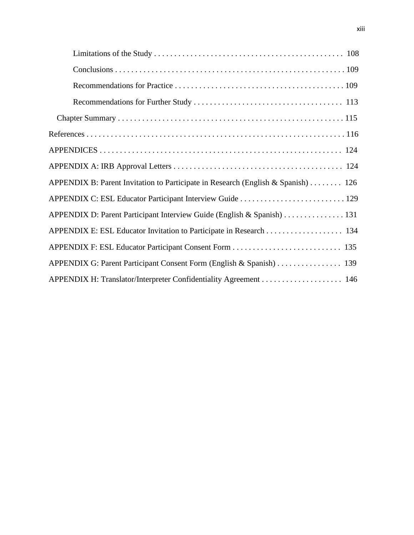| APPENDIX B: Parent Invitation to Participate in Research (English & Spanish)  126 |
|-----------------------------------------------------------------------------------|
| APPENDIX C: ESL Educator Participant Interview Guide  129                         |
| APPENDIX D: Parent Participant Interview Guide (English & Spanish)  131           |
| APPENDIX E: ESL Educator Invitation to Participate in Research 134                |
|                                                                                   |
|                                                                                   |
| APPENDIX H: Translator/Interpreter Confidentiality Agreement 146                  |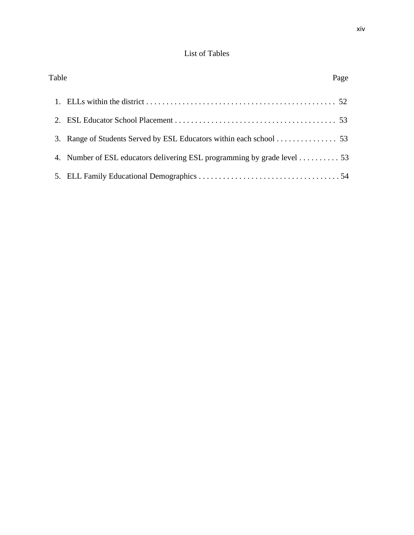# List of Tables

| Table |                                                                         | Page |
|-------|-------------------------------------------------------------------------|------|
|       |                                                                         |      |
|       |                                                                         |      |
|       | 3. Range of Students Served by ESL Educators within each school 53      |      |
|       | 4. Number of ESL educators delivering ESL programming by grade level 53 |      |
|       |                                                                         |      |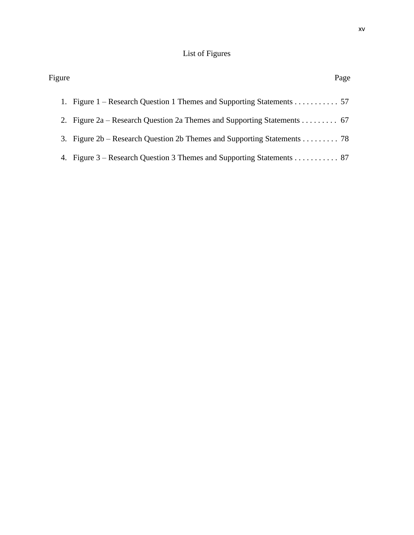# List of Figures

| Figure | Page                                                                    |
|--------|-------------------------------------------------------------------------|
|        | 1. Figure 1 – Research Question 1 Themes and Supporting Statements 57   |
|        | 2. Figure 2a – Research Question 2a Themes and Supporting Statements 67 |
|        | 3. Figure 2b – Research Question 2b Themes and Supporting Statements 78 |
|        | 4. Figure 3 – Research Question 3 Themes and Supporting Statements 87   |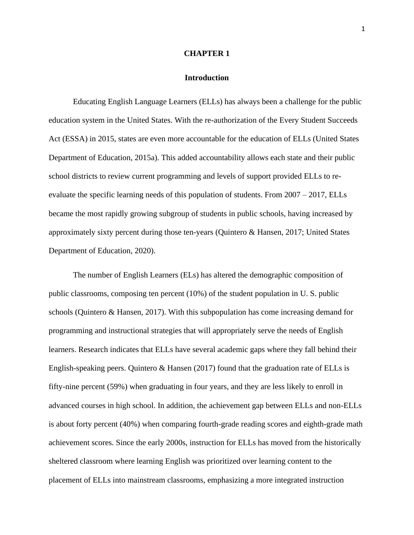#### **CHAPTER 1**

#### **Introduction**

Educating English Language Learners (ELLs) has always been a challenge for the public education system in the United States. With the re-authorization of the Every Student Succeeds Act (ESSA) in 2015, states are even more accountable for the education of ELLs (United States Department of Education, 2015a). This added accountability allows each state and their public school districts to review current programming and levels of support provided ELLs to reevaluate the specific learning needs of this population of students. From 2007 – 2017, ELLs became the most rapidly growing subgroup of students in public schools, having increased by approximately sixty percent during those ten-years (Quintero & Hansen, 2017; United States Department of Education, 2020).

The number of English Learners (ELs) has altered the demographic composition of public classrooms, composing ten percent (10%) of the student population in U. S. public schools (Quintero & Hansen, 2017). With this subpopulation has come increasing demand for programming and instructional strategies that will appropriately serve the needs of English learners. Research indicates that ELLs have several academic gaps where they fall behind their English-speaking peers. Quintero & Hansen (2017) found that the graduation rate of ELLs is fifty-nine percent (59%) when graduating in four years, and they are less likely to enroll in advanced courses in high school. In addition, the achievement gap between ELLs and non-ELLs is about forty percent (40%) when comparing fourth-grade reading scores and eighth-grade math achievement scores. Since the early 2000s, instruction for ELLs has moved from the historically sheltered classroom where learning English was prioritized over learning content to the placement of ELLs into mainstream classrooms, emphasizing a more integrated instruction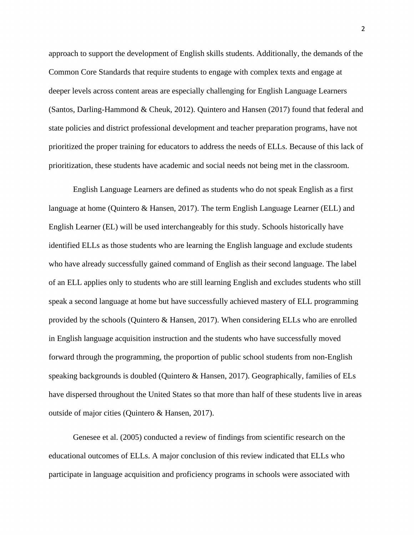approach to support the development of English skills students. Additionally, the demands of the Common Core Standards that require students to engage with complex texts and engage at deeper levels across content areas are especially challenging for English Language Learners (Santos, Darling-Hammond & Cheuk, 2012). Quintero and Hansen (2017) found that federal and state policies and district professional development and teacher preparation programs, have not prioritized the proper training for educators to address the needs of ELLs. Because of this lack of prioritization, these students have academic and social needs not being met in the classroom.

English Language Learners are defined as students who do not speak English as a first language at home (Quintero & Hansen, 2017). The term English Language Learner (ELL) and English Learner (EL) will be used interchangeably for this study. Schools historically have identified ELLs as those students who are learning the English language and exclude students who have already successfully gained command of English as their second language. The label of an ELL applies only to students who are still learning English and excludes students who still speak a second language at home but have successfully achieved mastery of ELL programming provided by the schools (Quintero & Hansen, 2017). When considering ELLs who are enrolled in English language acquisition instruction and the students who have successfully moved forward through the programming, the proportion of public school students from non-English speaking backgrounds is doubled (Quintero & Hansen, 2017). Geographically, families of ELs have dispersed throughout the United States so that more than half of these students live in areas outside of major cities (Quintero & Hansen, 2017).

Genesee et al. (2005) conducted a review of findings from scientific research on the educational outcomes of ELLs. A major conclusion of this review indicated that ELLs who participate in language acquisition and proficiency programs in schools were associated with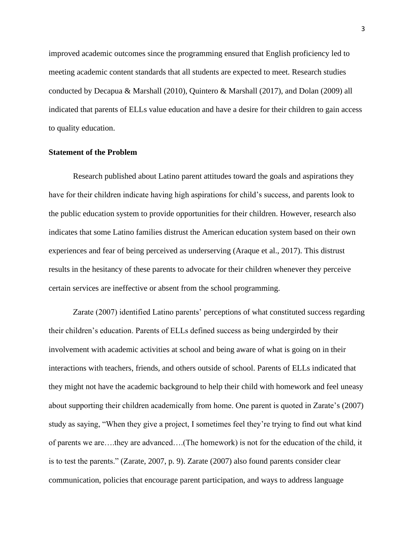improved academic outcomes since the programming ensured that English proficiency led to meeting academic content standards that all students are expected to meet. Research studies conducted by Decapua & Marshall (2010), Quintero & Marshall (2017), and Dolan (2009) all indicated that parents of ELLs value education and have a desire for their children to gain access to quality education.

## **Statement of the Problem**

Research published about Latino parent attitudes toward the goals and aspirations they have for their children indicate having high aspirations for child's success, and parents look to the public education system to provide opportunities for their children. However, research also indicates that some Latino families distrust the American education system based on their own experiences and fear of being perceived as underserving (Araque et al., 2017). This distrust results in the hesitancy of these parents to advocate for their children whenever they perceive certain services are ineffective or absent from the school programming.

Zarate (2007) identified Latino parents' perceptions of what constituted success regarding their children's education. Parents of ELLs defined success as being undergirded by their involvement with academic activities at school and being aware of what is going on in their interactions with teachers, friends, and others outside of school. Parents of ELLs indicated that they might not have the academic background to help their child with homework and feel uneasy about supporting their children academically from home. One parent is quoted in Zarate's (2007) study as saying, "When they give a project, I sometimes feel they're trying to find out what kind of parents we are….they are advanced….(The homework) is not for the education of the child, it is to test the parents." (Zarate, 2007, p. 9). Zarate (2007) also found parents consider clear communication, policies that encourage parent participation, and ways to address language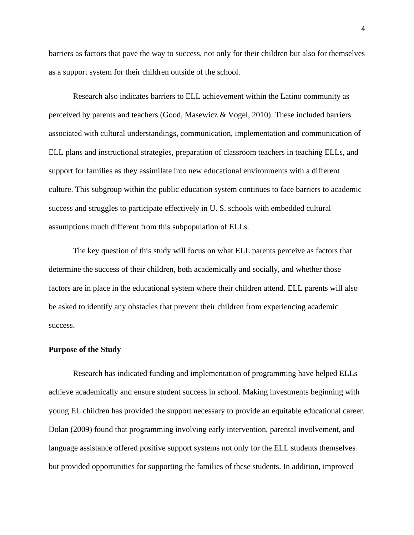barriers as factors that pave the way to success, not only for their children but also for themselves as a support system for their children outside of the school.

Research also indicates barriers to ELL achievement within the Latino community as perceived by parents and teachers (Good, Masewicz & Vogel, 2010). These included barriers associated with cultural understandings, communication, implementation and communication of ELL plans and instructional strategies, preparation of classroom teachers in teaching ELLs, and support for families as they assimilate into new educational environments with a different culture. This subgroup within the public education system continues to face barriers to academic success and struggles to participate effectively in U. S. schools with embedded cultural assumptions much different from this subpopulation of ELLs.

The key question of this study will focus on what ELL parents perceive as factors that determine the success of their children, both academically and socially, and whether those factors are in place in the educational system where their children attend. ELL parents will also be asked to identify any obstacles that prevent their children from experiencing academic success.

## **Purpose of the Study**

Research has indicated funding and implementation of programming have helped ELLs achieve academically and ensure student success in school. Making investments beginning with young EL children has provided the support necessary to provide an equitable educational career. Dolan (2009) found that programming involving early intervention, parental involvement, and language assistance offered positive support systems not only for the ELL students themselves but provided opportunities for supporting the families of these students. In addition, improved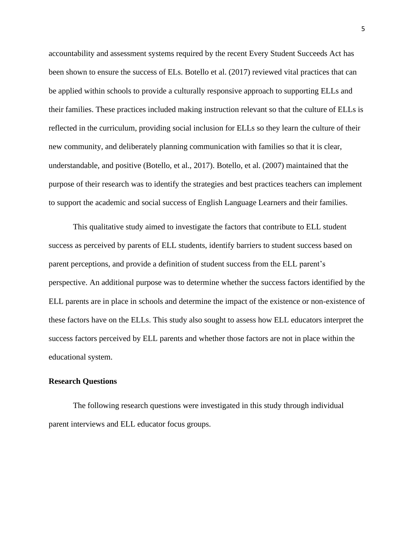accountability and assessment systems required by the recent Every Student Succeeds Act has been shown to ensure the success of ELs. Botello et al. (2017) reviewed vital practices that can be applied within schools to provide a culturally responsive approach to supporting ELLs and their families. These practices included making instruction relevant so that the culture of ELLs is reflected in the curriculum, providing social inclusion for ELLs so they learn the culture of their new community, and deliberately planning communication with families so that it is clear, understandable, and positive (Botello, et al., 2017). Botello, et al. (2007) maintained that the purpose of their research was to identify the strategies and best practices teachers can implement to support the academic and social success of English Language Learners and their families.

This qualitative study aimed to investigate the factors that contribute to ELL student success as perceived by parents of ELL students, identify barriers to student success based on parent perceptions, and provide a definition of student success from the ELL parent's perspective. An additional purpose was to determine whether the success factors identified by the ELL parents are in place in schools and determine the impact of the existence or non-existence of these factors have on the ELLs. This study also sought to assess how ELL educators interpret the success factors perceived by ELL parents and whether those factors are not in place within the educational system.

#### **Research Questions**

The following research questions were investigated in this study through individual parent interviews and ELL educator focus groups.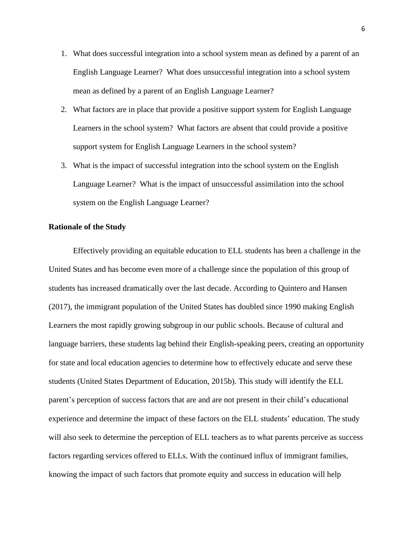- 1. What does successful integration into a school system mean as defined by a parent of an English Language Learner? What does unsuccessful integration into a school system mean as defined by a parent of an English Language Learner?
- 2. What factors are in place that provide a positive support system for English Language Learners in the school system? What factors are absent that could provide a positive support system for English Language Learners in the school system?
- 3. What is the impact of successful integration into the school system on the English Language Learner? What is the impact of unsuccessful assimilation into the school system on the English Language Learner?

# **Rationale of the Study**

Effectively providing an equitable education to ELL students has been a challenge in the United States and has become even more of a challenge since the population of this group of students has increased dramatically over the last decade. According to Quintero and Hansen (2017), the immigrant population of the United States has doubled since 1990 making English Learners the most rapidly growing subgroup in our public schools. Because of cultural and language barriers, these students lag behind their English-speaking peers, creating an opportunity for state and local education agencies to determine how to effectively educate and serve these students (United States Department of Education, 2015b). This study will identify the ELL parent's perception of success factors that are and are not present in their child's educational experience and determine the impact of these factors on the ELL students' education. The study will also seek to determine the perception of ELL teachers as to what parents perceive as success factors regarding services offered to ELLs. With the continued influx of immigrant families, knowing the impact of such factors that promote equity and success in education will help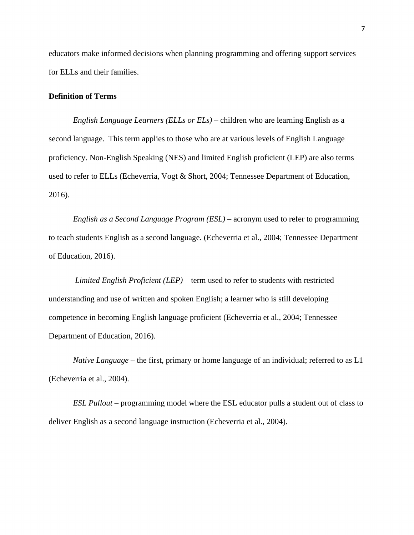educators make informed decisions when planning programming and offering support services for ELLs and their families.

# **Definition of Terms**

*English Language Learners (ELLs or ELs)* – children who are learning English as a second language. This term applies to those who are at various levels of English Language proficiency. Non-English Speaking (NES) and limited English proficient (LEP) are also terms used to refer to ELLs (Echeverria, Vogt & Short, 2004; Tennessee Department of Education, 2016).

*English as a Second Language Program (ESL)* – acronym used to refer to programming to teach students English as a second language. (Echeverria et al., 2004; Tennessee Department of Education, 2016).

*Limited English Proficient (LEP)* – term used to refer to students with restricted understanding and use of written and spoken English; a learner who is still developing competence in becoming English language proficient (Echeverria et al., 2004; Tennessee Department of Education, 2016).

*Native Language* – the first, primary or home language of an individual; referred to as L1 (Echeverria et al., 2004).

*ESL Pullout* – programming model where the ESL educator pulls a student out of class to deliver English as a second language instruction (Echeverria et al., 2004).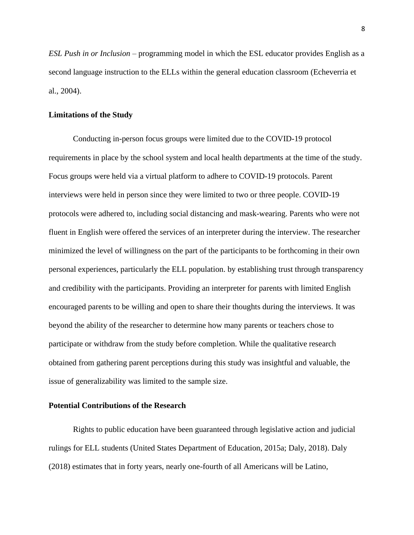*ESL Push in or Inclusion* – programming model in which the ESL educator provides English as a second language instruction to the ELLs within the general education classroom (Echeverria et al., 2004).

## **Limitations of the Study**

Conducting in-person focus groups were limited due to the COVID-19 protocol requirements in place by the school system and local health departments at the time of the study. Focus groups were held via a virtual platform to adhere to COVID-19 protocols. Parent interviews were held in person since they were limited to two or three people. COVID-19 protocols were adhered to, including social distancing and mask-wearing. Parents who were not fluent in English were offered the services of an interpreter during the interview. The researcher minimized the level of willingness on the part of the participants to be forthcoming in their own personal experiences, particularly the ELL population. by establishing trust through transparency and credibility with the participants. Providing an interpreter for parents with limited English encouraged parents to be willing and open to share their thoughts during the interviews. It was beyond the ability of the researcher to determine how many parents or teachers chose to participate or withdraw from the study before completion. While the qualitative research obtained from gathering parent perceptions during this study was insightful and valuable, the issue of generalizability was limited to the sample size.

#### **Potential Contributions of the Research**

Rights to public education have been guaranteed through legislative action and judicial rulings for ELL students (United States Department of Education, 2015a; Daly, 2018). Daly (2018) estimates that in forty years, nearly one-fourth of all Americans will be Latino,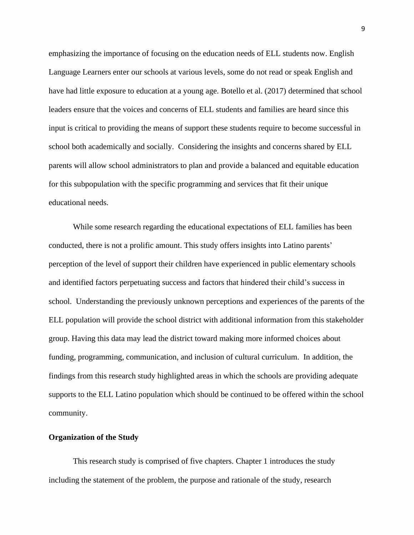emphasizing the importance of focusing on the education needs of ELL students now. English Language Learners enter our schools at various levels, some do not read or speak English and have had little exposure to education at a young age. Botello et al. (2017) determined that school leaders ensure that the voices and concerns of ELL students and families are heard since this input is critical to providing the means of support these students require to become successful in school both academically and socially. Considering the insights and concerns shared by ELL parents will allow school administrators to plan and provide a balanced and equitable education for this subpopulation with the specific programming and services that fit their unique educational needs.

While some research regarding the educational expectations of ELL families has been conducted, there is not a prolific amount. This study offers insights into Latino parents' perception of the level of support their children have experienced in public elementary schools and identified factors perpetuating success and factors that hindered their child's success in school. Understanding the previously unknown perceptions and experiences of the parents of the ELL population will provide the school district with additional information from this stakeholder group. Having this data may lead the district toward making more informed choices about funding, programming, communication, and inclusion of cultural curriculum. In addition, the findings from this research study highlighted areas in which the schools are providing adequate supports to the ELL Latino population which should be continued to be offered within the school community.

# **Organization of the Study**

This research study is comprised of five chapters. Chapter 1 introduces the study including the statement of the problem, the purpose and rationale of the study, research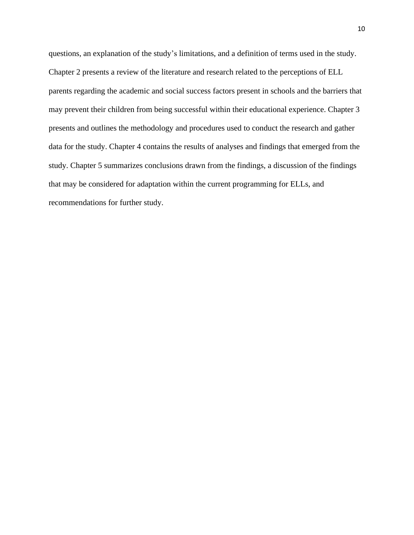questions, an explanation of the study's limitations, and a definition of terms used in the study. Chapter 2 presents a review of the literature and research related to the perceptions of ELL parents regarding the academic and social success factors present in schools and the barriers that may prevent their children from being successful within their educational experience. Chapter 3 presents and outlines the methodology and procedures used to conduct the research and gather data for the study. Chapter 4 contains the results of analyses and findings that emerged from the study. Chapter 5 summarizes conclusions drawn from the findings, a discussion of the findings that may be considered for adaptation within the current programming for ELLs, and recommendations for further study.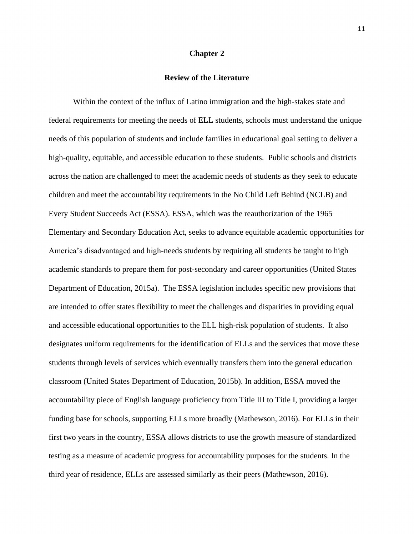#### **Chapter 2**

## **Review of the Literature**

Within the context of the influx of Latino immigration and the high-stakes state and federal requirements for meeting the needs of ELL students, schools must understand the unique needs of this population of students and include families in educational goal setting to deliver a high-quality, equitable, and accessible education to these students. Public schools and districts across the nation are challenged to meet the academic needs of students as they seek to educate children and meet the accountability requirements in the No Child Left Behind (NCLB) and Every Student Succeeds Act (ESSA). ESSA, which was the reauthorization of the 1965 Elementary and Secondary Education Act, seeks to advance equitable academic opportunities for America's disadvantaged and high-needs students by requiring all students be taught to high academic standards to prepare them for post-secondary and career opportunities (United States Department of Education, 2015a). The ESSA legislation includes specific new provisions that are intended to offer states flexibility to meet the challenges and disparities in providing equal and accessible educational opportunities to the ELL high-risk population of students. It also designates uniform requirements for the identification of ELLs and the services that move these students through levels of services which eventually transfers them into the general education classroom (United States Department of Education, 2015b). In addition, ESSA moved the accountability piece of English language proficiency from Title III to Title I, providing a larger funding base for schools, supporting ELLs more broadly (Mathewson, 2016). For ELLs in their first two years in the country, ESSA allows districts to use the growth measure of standardized testing as a measure of academic progress for accountability purposes for the students. In the third year of residence, ELLs are assessed similarly as their peers (Mathewson, 2016).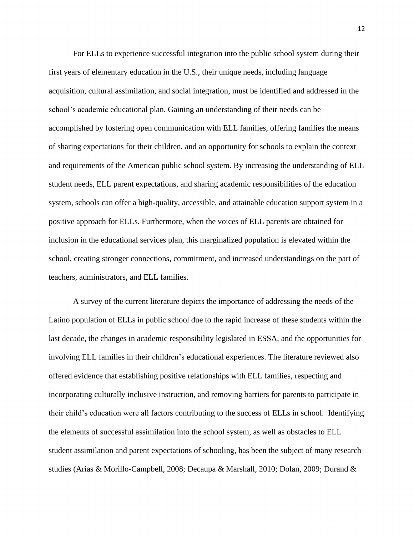For ELLs to experience successful integration into the public school system during their first years of elementary education in the U.S., their unique needs, including language acquisition, cultural assimilation, and social integration, must be identified and addressed in the school's academic educational plan. Gaining an understanding of their needs can be accomplished by fostering open communication with ELL families, offering families the means of sharing expectations for their children, and an opportunity for schools to explain the context and requirements of the American public school system. By increasing the understanding of ELL student needs, ELL parent expectations, and sharing academic responsibilities of the education system, schools can offer a high-quality, accessible, and attainable education support system in a positive approach for ELLs. Furthermore, when the voices of ELL parents are obtained for inclusion in the educational services plan, this marginalized population is elevated within the school, creating stronger connections, commitment, and increased understandings on the part of teachers, administrators, and ELL families.

A survey of the current literature depicts the importance of addressing the needs of the Latino population of ELLs in public school due to the rapid increase of these students within the last decade, the changes in academic responsibility legislated in ESSA, and the opportunities for involving ELL families in their children's educational experiences. The literature reviewed also offered evidence that establishing positive relationships with ELL families, respecting and incorporating culturally inclusive instruction, and removing barriers for parents to participate in their child's education were all factors contributing to the success of ELLs in school. Identifying the elements of successful assimilation into the school system, as well as obstacles to ELL student assimilation and parent expectations of schooling, has been the subject of many research studies (Arias & Morillo-Campbell, 2008; Decaupa & Marshall, 2010; Dolan, 2009; Durand &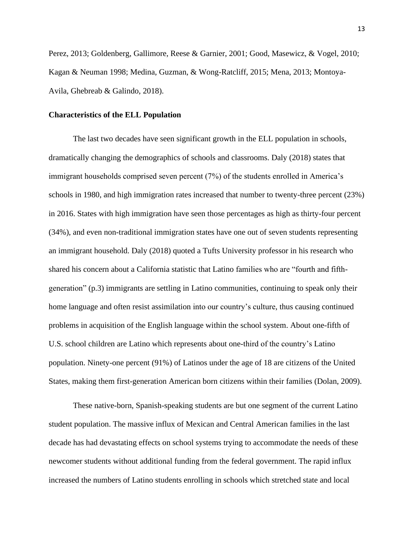Perez, 2013; Goldenberg, Gallimore, Reese & Garnier, 2001; Good, Masewicz, & Vogel, 2010; Kagan & Neuman 1998; Medina, Guzman, & Wong-Ratcliff, 2015; Mena, 2013; Montoya-Avila, Ghebreab & Galindo, 2018).

## **Characteristics of the ELL Population**

The last two decades have seen significant growth in the ELL population in schools, dramatically changing the demographics of schools and classrooms. Daly (2018) states that immigrant households comprised seven percent (7%) of the students enrolled in America's schools in 1980, and high immigration rates increased that number to twenty-three percent (23%) in 2016. States with high immigration have seen those percentages as high as thirty-four percent (34%), and even non-traditional immigration states have one out of seven students representing an immigrant household. Daly (2018) quoted a Tufts University professor in his research who shared his concern about a California statistic that Latino families who are "fourth and fifthgeneration" (p.3) immigrants are settling in Latino communities, continuing to speak only their home language and often resist assimilation into our country's culture, thus causing continued problems in acquisition of the English language within the school system. About one-fifth of U.S. school children are Latino which represents about one-third of the country's Latino population. Ninety-one percent (91%) of Latinos under the age of 18 are citizens of the United States, making them first-generation American born citizens within their families (Dolan, 2009).

These native-born, Spanish-speaking students are but one segment of the current Latino student population. The massive influx of Mexican and Central American families in the last decade has had devastating effects on school systems trying to accommodate the needs of these newcomer students without additional funding from the federal government. The rapid influx increased the numbers of Latino students enrolling in schools which stretched state and local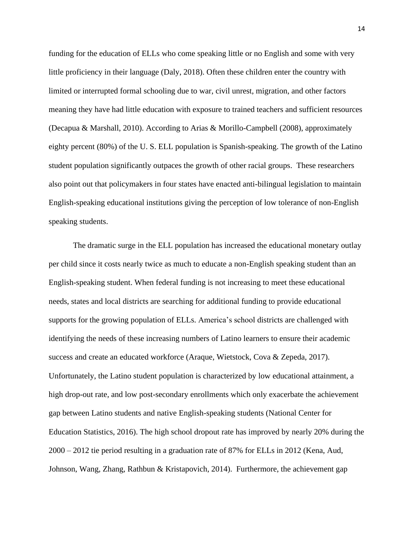funding for the education of ELLs who come speaking little or no English and some with very little proficiency in their language (Daly, 2018). Often these children enter the country with limited or interrupted formal schooling due to war, civil unrest, migration, and other factors meaning they have had little education with exposure to trained teachers and sufficient resources (Decapua & Marshall, 2010). According to Arias & Morillo-Campbell (2008), approximately eighty percent (80%) of the U. S. ELL population is Spanish-speaking. The growth of the Latino student population significantly outpaces the growth of other racial groups. These researchers also point out that policymakers in four states have enacted anti-bilingual legislation to maintain English-speaking educational institutions giving the perception of low tolerance of non-English speaking students.

The dramatic surge in the ELL population has increased the educational monetary outlay per child since it costs nearly twice as much to educate a non-English speaking student than an English-speaking student. When federal funding is not increasing to meet these educational needs, states and local districts are searching for additional funding to provide educational supports for the growing population of ELLs. America's school districts are challenged with identifying the needs of these increasing numbers of Latino learners to ensure their academic success and create an educated workforce (Araque, Wietstock, Cova & Zepeda, 2017). Unfortunately, the Latino student population is characterized by low educational attainment, a high drop-out rate, and low post-secondary enrollments which only exacerbate the achievement gap between Latino students and native English-speaking students (National Center for Education Statistics, 2016). The high school dropout rate has improved by nearly 20% during the 2000 – 2012 tie period resulting in a graduation rate of 87% for ELLs in 2012 (Kena, Aud, Johnson, Wang, Zhang, Rathbun & Kristapovich, 2014). Furthermore, the achievement gap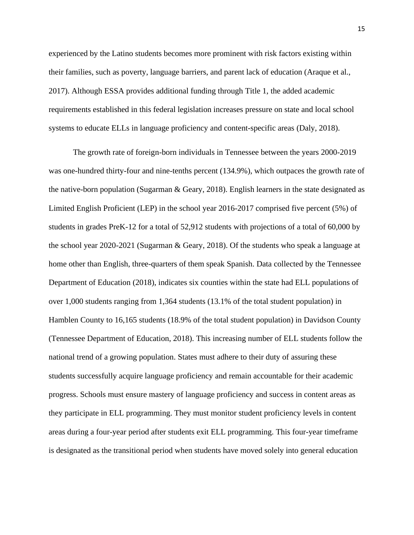experienced by the Latino students becomes more prominent with risk factors existing within their families, such as poverty, language barriers, and parent lack of education (Araque et al., 2017). Although ESSA provides additional funding through Title 1, the added academic requirements established in this federal legislation increases pressure on state and local school systems to educate ELLs in language proficiency and content-specific areas (Daly, 2018).

The growth rate of foreign-born individuals in Tennessee between the years 2000-2019 was one-hundred thirty-four and nine-tenths percent (134.9%), which outpaces the growth rate of the native-born population (Sugarman & Geary, 2018). English learners in the state designated as Limited English Proficient (LEP) in the school year 2016-2017 comprised five percent (5%) of students in grades PreK-12 for a total of 52,912 students with projections of a total of 60,000 by the school year 2020-2021 (Sugarman & Geary, 2018). Of the students who speak a language at home other than English, three-quarters of them speak Spanish. Data collected by the Tennessee Department of Education (2018), indicates six counties within the state had ELL populations of over 1,000 students ranging from 1,364 students (13.1% of the total student population) in Hamblen County to 16,165 students (18.9% of the total student population) in Davidson County (Tennessee Department of Education, 2018). This increasing number of ELL students follow the national trend of a growing population. States must adhere to their duty of assuring these students successfully acquire language proficiency and remain accountable for their academic progress. Schools must ensure mastery of language proficiency and success in content areas as they participate in ELL programming. They must monitor student proficiency levels in content areas during a four-year period after students exit ELL programming. This four-year timeframe is designated as the transitional period when students have moved solely into general education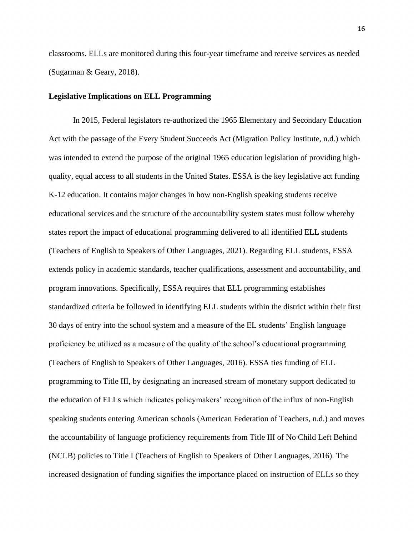classrooms. ELLs are monitored during this four-year timeframe and receive services as needed (Sugarman & Geary, 2018).

# **Legislative Implications on ELL Programming**

In 2015, Federal legislators re-authorized the 1965 Elementary and Secondary Education Act with the passage of the Every Student Succeeds Act (Migration Policy Institute, n.d.) which was intended to extend the purpose of the original 1965 education legislation of providing highquality, equal access to all students in the United States. ESSA is the key legislative act funding K-12 education. It contains major changes in how non-English speaking students receive educational services and the structure of the accountability system states must follow whereby states report the impact of educational programming delivered to all identified ELL students (Teachers of English to Speakers of Other Languages, 2021). Regarding ELL students, ESSA extends policy in academic standards, teacher qualifications, assessment and accountability, and program innovations. Specifically, ESSA requires that ELL programming establishes standardized criteria be followed in identifying ELL students within the district within their first 30 days of entry into the school system and a measure of the EL students' English language proficiency be utilized as a measure of the quality of the school's educational programming (Teachers of English to Speakers of Other Languages, 2016). ESSA ties funding of ELL programming to Title III, by designating an increased stream of monetary support dedicated to the education of ELLs which indicates policymakers' recognition of the influx of non-English speaking students entering American schools (American Federation of Teachers, n.d.) and moves the accountability of language proficiency requirements from Title III of No Child Left Behind (NCLB) policies to Title I (Teachers of English to Speakers of Other Languages, 2016). The increased designation of funding signifies the importance placed on instruction of ELLs so they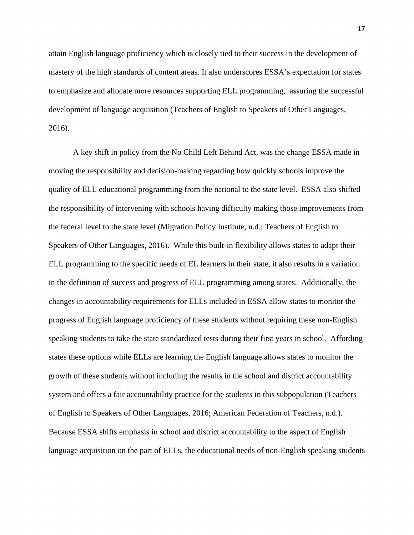attain English language proficiency which is closely tied to their success in the development of mastery of the high standards of content areas. It also underscores ESSA's expectation for states to emphasize and allocate more resources supporting ELL programming, assuring the successful development of language acquisition (Teachers of English to Speakers of Other Languages, 2016).

A key shift in policy from the No Child Left Behind Act, was the change ESSA made in moving the responsibility and decision-making regarding how quickly schools improve the quality of ELL educational programming from the national to the state level. ESSA also shifted the responsibility of intervening with schools having difficulty making those improvements from the federal level to the state level (Migration Policy Institute, n.d.; Teachers of English to Speakers of Other Languages, 2016). While this built-in flexibility allows states to adapt their ELL programming to the specific needs of EL learners in their state, it also results in a variation in the definition of success and progress of ELL programming among states. Additionally, the changes in accountability requirements for ELLs included in ESSA allow states to monitor the progress of English language proficiency of these students without requiring these non-English speaking students to take the state standardized tests during their first years in school. Affording states these options while ELLs are learning the English language allows states to monitor the growth of these students without including the results in the school and district accountability system and offers a fair accountability practice for the students in this subpopulation (Teachers of English to Speakers of Other Languages, 2016; American Federation of Teachers, n.d.). Because ESSA shifts emphasis in school and district accountability to the aspect of English language acquisition on the part of ELLs, the educational needs of non-English speaking students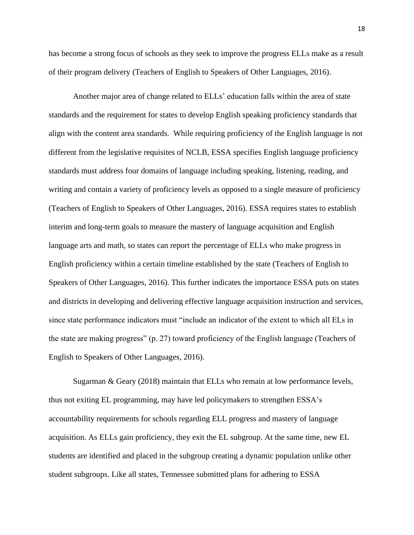has become a strong focus of schools as they seek to improve the progress ELLs make as a result of their program delivery (Teachers of English to Speakers of Other Languages, 2016).

Another major area of change related to ELLs' education falls within the area of state standards and the requirement for states to develop English speaking proficiency standards that align with the content area standards. While requiring proficiency of the English language is not different from the legislative requisites of NCLB, ESSA specifies English language proficiency standards must address four domains of language including speaking, listening, reading, and writing and contain a variety of proficiency levels as opposed to a single measure of proficiency (Teachers of English to Speakers of Other Languages, 2016). ESSA requires states to establish interim and long-term goals to measure the mastery of language acquisition and English language arts and math, so states can report the percentage of ELLs who make progress in English proficiency within a certain timeline established by the state (Teachers of English to Speakers of Other Languages, 2016). This further indicates the importance ESSA puts on states and districts in developing and delivering effective language acquisition instruction and services, since state performance indicators must "include an indicator of the extent to which all ELs in the state are making progress" (p. 27) toward proficiency of the English language (Teachers of English to Speakers of Other Languages, 2016).

Sugarman & Geary (2018) maintain that ELLs who remain at low performance levels, thus not exiting EL programming, may have led policymakers to strengthen ESSA's accountability requirements for schools regarding ELL progress and mastery of language acquisition. As ELLs gain proficiency, they exit the EL subgroup. At the same time, new EL students are identified and placed in the subgroup creating a dynamic population unlike other student subgroups. Like all states, Tennessee submitted plans for adhering to ESSA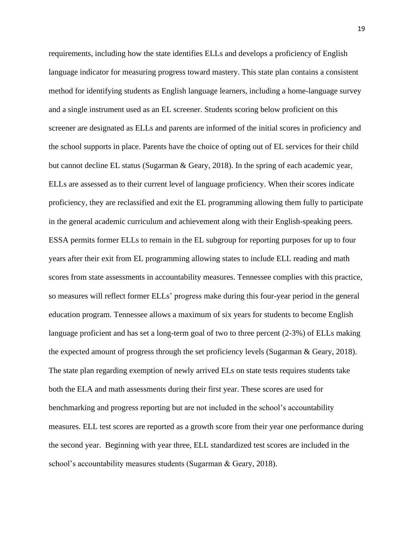requirements, including how the state identifies ELLs and develops a proficiency of English language indicator for measuring progress toward mastery. This state plan contains a consistent method for identifying students as English language learners, including a home-language survey and a single instrument used as an EL screener. Students scoring below proficient on this screener are designated as ELLs and parents are informed of the initial scores in proficiency and the school supports in place. Parents have the choice of opting out of EL services for their child but cannot decline EL status (Sugarman & Geary, 2018). In the spring of each academic year, ELLs are assessed as to their current level of language proficiency. When their scores indicate proficiency, they are reclassified and exit the EL programming allowing them fully to participate in the general academic curriculum and achievement along with their English-speaking peers. ESSA permits former ELLs to remain in the EL subgroup for reporting purposes for up to four years after their exit from EL programming allowing states to include ELL reading and math scores from state assessments in accountability measures. Tennessee complies with this practice, so measures will reflect former ELLs' progress make during this four-year period in the general education program. Tennessee allows a maximum of six years for students to become English language proficient and has set a long-term goal of two to three percent (2-3%) of ELLs making the expected amount of progress through the set proficiency levels (Sugarman & Geary, 2018). The state plan regarding exemption of newly arrived ELs on state tests requires students take both the ELA and math assessments during their first year. These scores are used for benchmarking and progress reporting but are not included in the school's accountability measures. ELL test scores are reported as a growth score from their year one performance during the second year. Beginning with year three, ELL standardized test scores are included in the school's accountability measures students (Sugarman & Geary, 2018).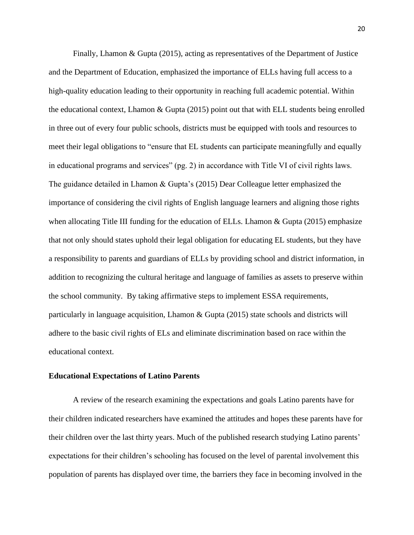Finally, Lhamon & Gupta (2015), acting as representatives of the Department of Justice and the Department of Education, emphasized the importance of ELLs having full access to a high-quality education leading to their opportunity in reaching full academic potential. Within the educational context, Lhamon & Gupta (2015) point out that with ELL students being enrolled in three out of every four public schools, districts must be equipped with tools and resources to meet their legal obligations to "ensure that EL students can participate meaningfully and equally in educational programs and services" (pg. 2) in accordance with Title VI of civil rights laws. The guidance detailed in Lhamon & Gupta's (2015) Dear Colleague letter emphasized the importance of considering the civil rights of English language learners and aligning those rights when allocating Title III funding for the education of ELLs. Lhamon & Gupta (2015) emphasize that not only should states uphold their legal obligation for educating EL students, but they have a responsibility to parents and guardians of ELLs by providing school and district information, in addition to recognizing the cultural heritage and language of families as assets to preserve within the school community. By taking affirmative steps to implement ESSA requirements, particularly in language acquisition, Lhamon & Gupta (2015) state schools and districts will adhere to the basic civil rights of ELs and eliminate discrimination based on race within the educational context.

#### **Educational Expectations of Latino Parents**

A review of the research examining the expectations and goals Latino parents have for their children indicated researchers have examined the attitudes and hopes these parents have for their children over the last thirty years. Much of the published research studying Latino parents' expectations for their children's schooling has focused on the level of parental involvement this population of parents has displayed over time, the barriers they face in becoming involved in the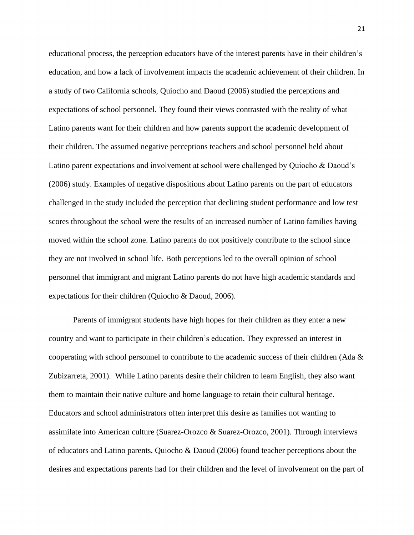educational process, the perception educators have of the interest parents have in their children's education, and how a lack of involvement impacts the academic achievement of their children. In a study of two California schools, Quiocho and Daoud (2006) studied the perceptions and expectations of school personnel. They found their views contrasted with the reality of what Latino parents want for their children and how parents support the academic development of their children. The assumed negative perceptions teachers and school personnel held about Latino parent expectations and involvement at school were challenged by Quiocho & Daoud's (2006) study. Examples of negative dispositions about Latino parents on the part of educators challenged in the study included the perception that declining student performance and low test scores throughout the school were the results of an increased number of Latino families having moved within the school zone. Latino parents do not positively contribute to the school since they are not involved in school life. Both perceptions led to the overall opinion of school personnel that immigrant and migrant Latino parents do not have high academic standards and expectations for their children (Quiocho & Daoud, 2006).

Parents of immigrant students have high hopes for their children as they enter a new country and want to participate in their children's education. They expressed an interest in cooperating with school personnel to contribute to the academic success of their children (Ada & Zubizarreta, 2001). While Latino parents desire their children to learn English, they also want them to maintain their native culture and home language to retain their cultural heritage. Educators and school administrators often interpret this desire as families not wanting to assimilate into American culture (Suarez-Orozco & Suarez-Orozco, 2001). Through interviews of educators and Latino parents, Quiocho & Daoud (2006) found teacher perceptions about the desires and expectations parents had for their children and the level of involvement on the part of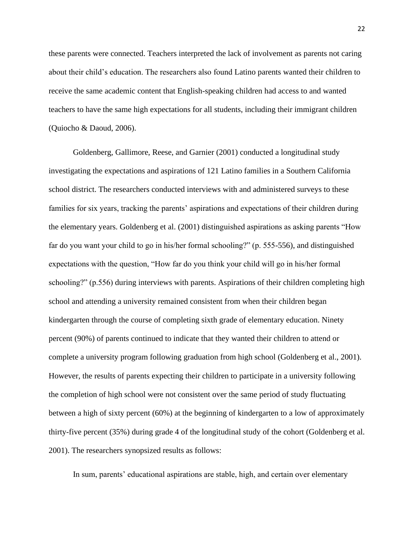these parents were connected. Teachers interpreted the lack of involvement as parents not caring about their child's education. The researchers also found Latino parents wanted their children to receive the same academic content that English-speaking children had access to and wanted teachers to have the same high expectations for all students, including their immigrant children (Quiocho & Daoud, 2006).

Goldenberg, Gallimore, Reese, and Garnier (2001) conducted a longitudinal study investigating the expectations and aspirations of 121 Latino families in a Southern California school district. The researchers conducted interviews with and administered surveys to these families for six years, tracking the parents' aspirations and expectations of their children during the elementary years. Goldenberg et al. (2001) distinguished aspirations as asking parents "How far do you want your child to go in his/her formal schooling?" (p. 555-556), and distinguished expectations with the question, "How far do you think your child will go in his/her formal schooling?" (p.556) during interviews with parents. Aspirations of their children completing high school and attending a university remained consistent from when their children began kindergarten through the course of completing sixth grade of elementary education. Ninety percent (90%) of parents continued to indicate that they wanted their children to attend or complete a university program following graduation from high school (Goldenberg et al., 2001). However, the results of parents expecting their children to participate in a university following the completion of high school were not consistent over the same period of study fluctuating between a high of sixty percent (60%) at the beginning of kindergarten to a low of approximately thirty-five percent (35%) during grade 4 of the longitudinal study of the cohort (Goldenberg et al. 2001). The researchers synopsized results as follows:

In sum, parents' educational aspirations are stable, high, and certain over elementary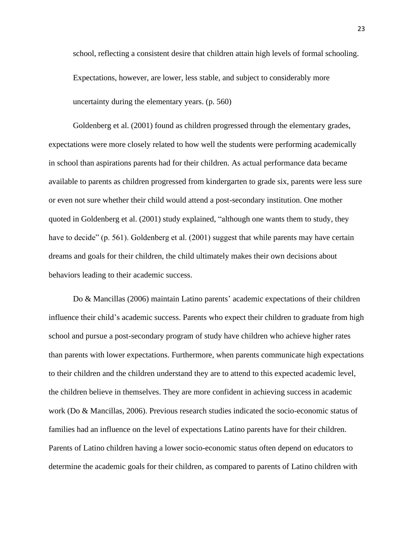school, reflecting a consistent desire that children attain high levels of formal schooling. Expectations, however, are lower, less stable, and subject to considerably more uncertainty during the elementary years. (p. 560)

Goldenberg et al. (2001) found as children progressed through the elementary grades, expectations were more closely related to how well the students were performing academically in school than aspirations parents had for their children. As actual performance data became available to parents as children progressed from kindergarten to grade six, parents were less sure or even not sure whether their child would attend a post-secondary institution. One mother quoted in Goldenberg et al. (2001) study explained, "although one wants them to study, they have to decide" (p. 561). Goldenberg et al. (2001) suggest that while parents may have certain dreams and goals for their children, the child ultimately makes their own decisions about behaviors leading to their academic success.

Do & Mancillas (2006) maintain Latino parents' academic expectations of their children influence their child's academic success. Parents who expect their children to graduate from high school and pursue a post-secondary program of study have children who achieve higher rates than parents with lower expectations. Furthermore, when parents communicate high expectations to their children and the children understand they are to attend to this expected academic level, the children believe in themselves. They are more confident in achieving success in academic work (Do & Mancillas, 2006). Previous research studies indicated the socio-economic status of families had an influence on the level of expectations Latino parents have for their children. Parents of Latino children having a lower socio-economic status often depend on educators to determine the academic goals for their children, as compared to parents of Latino children with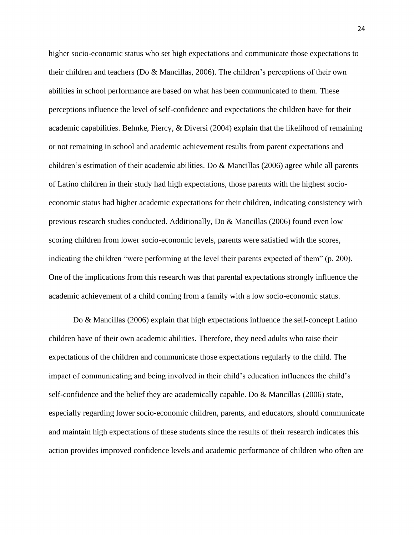higher socio-economic status who set high expectations and communicate those expectations to their children and teachers (Do & Mancillas, 2006). The children's perceptions of their own abilities in school performance are based on what has been communicated to them. These perceptions influence the level of self-confidence and expectations the children have for their academic capabilities. Behnke, Piercy, & Diversi (2004) explain that the likelihood of remaining or not remaining in school and academic achievement results from parent expectations and children's estimation of their academic abilities. Do & Mancillas (2006) agree while all parents of Latino children in their study had high expectations, those parents with the highest socioeconomic status had higher academic expectations for their children, indicating consistency with previous research studies conducted. Additionally, Do & Mancillas (2006) found even low scoring children from lower socio-economic levels, parents were satisfied with the scores, indicating the children "were performing at the level their parents expected of them" (p. 200). One of the implications from this research was that parental expectations strongly influence the academic achievement of a child coming from a family with a low socio-economic status.

Do & Mancillas (2006) explain that high expectations influence the self-concept Latino children have of their own academic abilities. Therefore, they need adults who raise their expectations of the children and communicate those expectations regularly to the child. The impact of communicating and being involved in their child's education influences the child's self-confidence and the belief they are academically capable. Do & Mancillas (2006) state, especially regarding lower socio-economic children, parents, and educators, should communicate and maintain high expectations of these students since the results of their research indicates this action provides improved confidence levels and academic performance of children who often are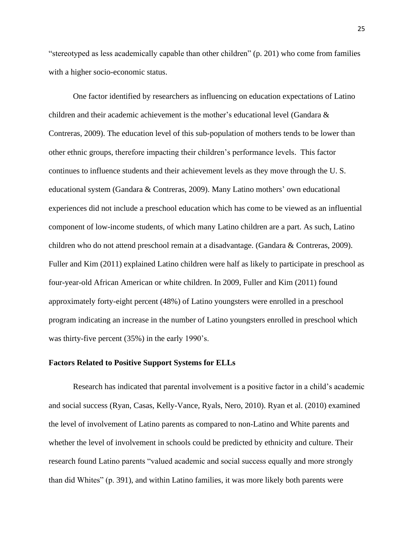"stereotyped as less academically capable than other children" (p. 201) who come from families with a higher socio-economic status.

One factor identified by researchers as influencing on education expectations of Latino children and their academic achievement is the mother's educational level (Gandara & Contreras, 2009). The education level of this sub-population of mothers tends to be lower than other ethnic groups, therefore impacting their children's performance levels. This factor continues to influence students and their achievement levels as they move through the U. S. educational system (Gandara & Contreras, 2009). Many Latino mothers' own educational experiences did not include a preschool education which has come to be viewed as an influential component of low-income students, of which many Latino children are a part. As such, Latino children who do not attend preschool remain at a disadvantage. (Gandara & Contreras, 2009). Fuller and Kim (2011) explained Latino children were half as likely to participate in preschool as four-year-old African American or white children. In 2009, Fuller and Kim (2011) found approximately forty-eight percent (48%) of Latino youngsters were enrolled in a preschool program indicating an increase in the number of Latino youngsters enrolled in preschool which was thirty-five percent (35%) in the early 1990's.

## **Factors Related to Positive Support Systems for ELLs**

Research has indicated that parental involvement is a positive factor in a child's academic and social success (Ryan, Casas, Kelly-Vance, Ryals, Nero, 2010). Ryan et al. (2010) examined the level of involvement of Latino parents as compared to non-Latino and White parents and whether the level of involvement in schools could be predicted by ethnicity and culture. Their research found Latino parents "valued academic and social success equally and more strongly than did Whites" (p. 391), and within Latino families, it was more likely both parents were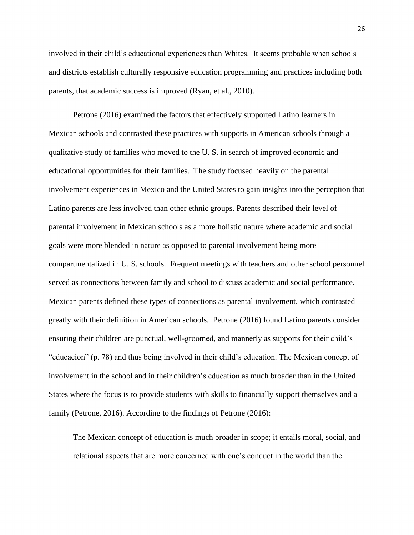involved in their child's educational experiences than Whites. It seems probable when schools and districts establish culturally responsive education programming and practices including both parents, that academic success is improved (Ryan, et al., 2010).

Petrone (2016) examined the factors that effectively supported Latino learners in Mexican schools and contrasted these practices with supports in American schools through a qualitative study of families who moved to the U. S. in search of improved economic and educational opportunities for their families. The study focused heavily on the parental involvement experiences in Mexico and the United States to gain insights into the perception that Latino parents are less involved than other ethnic groups. Parents described their level of parental involvement in Mexican schools as a more holistic nature where academic and social goals were more blended in nature as opposed to parental involvement being more compartmentalized in U. S. schools. Frequent meetings with teachers and other school personnel served as connections between family and school to discuss academic and social performance. Mexican parents defined these types of connections as parental involvement, which contrasted greatly with their definition in American schools. Petrone (2016) found Latino parents consider ensuring their children are punctual, well-groomed, and mannerly as supports for their child's "educacion" (p. 78) and thus being involved in their child's education. The Mexican concept of involvement in the school and in their children's education as much broader than in the United States where the focus is to provide students with skills to financially support themselves and a family (Petrone, 2016). According to the findings of Petrone (2016):

The Mexican concept of education is much broader in scope; it entails moral, social, and relational aspects that are more concerned with one's conduct in the world than the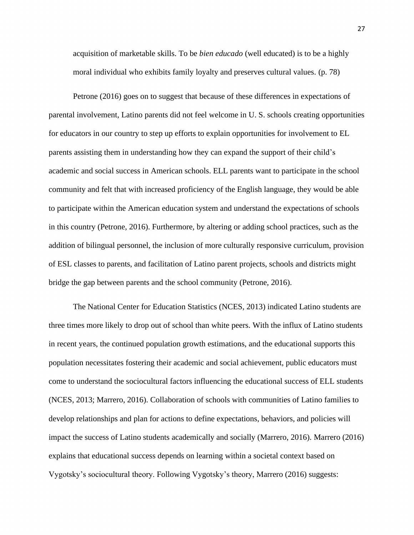acquisition of marketable skills. To be *bien educado* (well educated) is to be a highly moral individual who exhibits family loyalty and preserves cultural values. (p. 78)

Petrone (2016) goes on to suggest that because of these differences in expectations of parental involvement, Latino parents did not feel welcome in U. S. schools creating opportunities for educators in our country to step up efforts to explain opportunities for involvement to EL parents assisting them in understanding how they can expand the support of their child's academic and social success in American schools. ELL parents want to participate in the school community and felt that with increased proficiency of the English language, they would be able to participate within the American education system and understand the expectations of schools in this country (Petrone, 2016). Furthermore, by altering or adding school practices, such as the addition of bilingual personnel, the inclusion of more culturally responsive curriculum, provision of ESL classes to parents, and facilitation of Latino parent projects, schools and districts might bridge the gap between parents and the school community (Petrone, 2016).

The National Center for Education Statistics (NCES, 2013) indicated Latino students are three times more likely to drop out of school than white peers. With the influx of Latino students in recent years, the continued population growth estimations, and the educational supports this population necessitates fostering their academic and social achievement, public educators must come to understand the sociocultural factors influencing the educational success of ELL students (NCES, 2013; Marrero, 2016). Collaboration of schools with communities of Latino families to develop relationships and plan for actions to define expectations, behaviors, and policies will impact the success of Latino students academically and socially (Marrero, 2016). Marrero (2016) explains that educational success depends on learning within a societal context based on Vygotsky's sociocultural theory. Following Vygotsky's theory, Marrero (2016) suggests: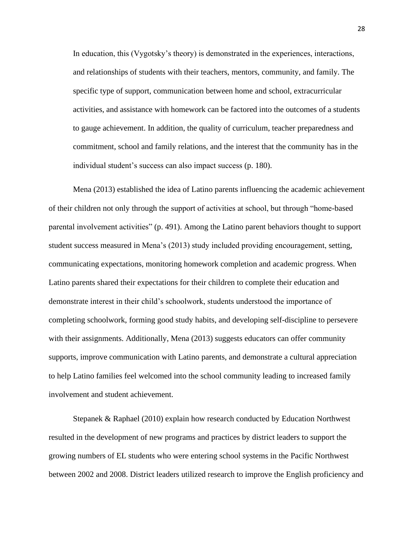In education, this (Vygotsky's theory) is demonstrated in the experiences, interactions, and relationships of students with their teachers, mentors, community, and family. The specific type of support, communication between home and school, extracurricular activities, and assistance with homework can be factored into the outcomes of a students to gauge achievement. In addition, the quality of curriculum, teacher preparedness and commitment, school and family relations, and the interest that the community has in the individual student's success can also impact success (p. 180).

Mena (2013) established the idea of Latino parents influencing the academic achievement of their children not only through the support of activities at school, but through "home-based parental involvement activities" (p. 491). Among the Latino parent behaviors thought to support student success measured in Mena's (2013) study included providing encouragement, setting, communicating expectations, monitoring homework completion and academic progress. When Latino parents shared their expectations for their children to complete their education and demonstrate interest in their child's schoolwork, students understood the importance of completing schoolwork, forming good study habits, and developing self-discipline to persevere with their assignments. Additionally, Mena (2013) suggests educators can offer community supports, improve communication with Latino parents, and demonstrate a cultural appreciation to help Latino families feel welcomed into the school community leading to increased family involvement and student achievement.

Stepanek & Raphael (2010) explain how research conducted by Education Northwest resulted in the development of new programs and practices by district leaders to support the growing numbers of EL students who were entering school systems in the Pacific Northwest between 2002 and 2008. District leaders utilized research to improve the English proficiency and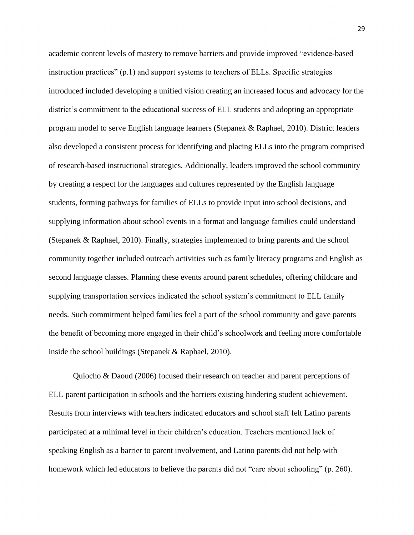academic content levels of mastery to remove barriers and provide improved "evidence-based instruction practices" (p.1) and support systems to teachers of ELLs. Specific strategies introduced included developing a unified vision creating an increased focus and advocacy for the district's commitment to the educational success of ELL students and adopting an appropriate program model to serve English language learners (Stepanek & Raphael, 2010). District leaders also developed a consistent process for identifying and placing ELLs into the program comprised of research-based instructional strategies. Additionally, leaders improved the school community by creating a respect for the languages and cultures represented by the English language students, forming pathways for families of ELLs to provide input into school decisions, and supplying information about school events in a format and language families could understand (Stepanek & Raphael, 2010). Finally, strategies implemented to bring parents and the school community together included outreach activities such as family literacy programs and English as second language classes. Planning these events around parent schedules, offering childcare and supplying transportation services indicated the school system's commitment to ELL family needs. Such commitment helped families feel a part of the school community and gave parents the benefit of becoming more engaged in their child's schoolwork and feeling more comfortable inside the school buildings (Stepanek & Raphael, 2010).

Quiocho & Daoud (2006) focused their research on teacher and parent perceptions of ELL parent participation in schools and the barriers existing hindering student achievement. Results from interviews with teachers indicated educators and school staff felt Latino parents participated at a minimal level in their children's education. Teachers mentioned lack of speaking English as a barrier to parent involvement, and Latino parents did not help with homework which led educators to believe the parents did not "care about schooling" (p. 260).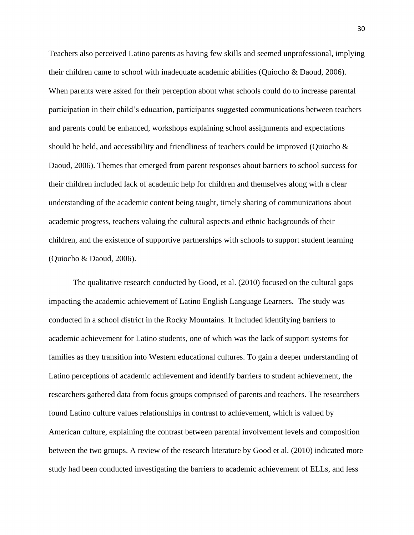Teachers also perceived Latino parents as having few skills and seemed unprofessional, implying their children came to school with inadequate academic abilities (Quiocho & Daoud, 2006). When parents were asked for their perception about what schools could do to increase parental participation in their child's education, participants suggested communications between teachers and parents could be enhanced, workshops explaining school assignments and expectations should be held, and accessibility and friendliness of teachers could be improved (Quiocho & Daoud, 2006). Themes that emerged from parent responses about barriers to school success for their children included lack of academic help for children and themselves along with a clear understanding of the academic content being taught, timely sharing of communications about academic progress, teachers valuing the cultural aspects and ethnic backgrounds of their children, and the existence of supportive partnerships with schools to support student learning (Quiocho & Daoud, 2006).

The qualitative research conducted by Good, et al. (2010) focused on the cultural gaps impacting the academic achievement of Latino English Language Learners. The study was conducted in a school district in the Rocky Mountains. It included identifying barriers to academic achievement for Latino students, one of which was the lack of support systems for families as they transition into Western educational cultures. To gain a deeper understanding of Latino perceptions of academic achievement and identify barriers to student achievement, the researchers gathered data from focus groups comprised of parents and teachers. The researchers found Latino culture values relationships in contrast to achievement, which is valued by American culture, explaining the contrast between parental involvement levels and composition between the two groups. A review of the research literature by Good et al. (2010) indicated more study had been conducted investigating the barriers to academic achievement of ELLs, and less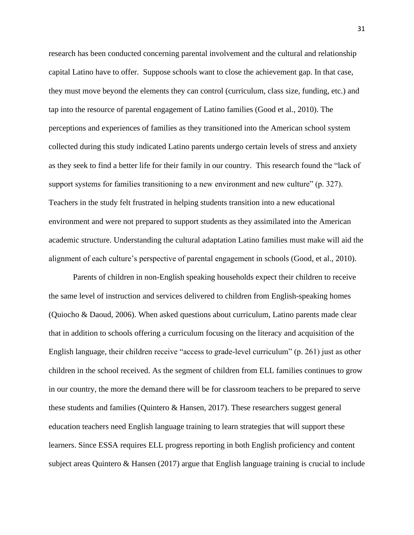research has been conducted concerning parental involvement and the cultural and relationship capital Latino have to offer. Suppose schools want to close the achievement gap. In that case, they must move beyond the elements they can control (curriculum, class size, funding, etc.) and tap into the resource of parental engagement of Latino families (Good et al., 2010). The perceptions and experiences of families as they transitioned into the American school system collected during this study indicated Latino parents undergo certain levels of stress and anxiety as they seek to find a better life for their family in our country. This research found the "lack of support systems for families transitioning to a new environment and new culture" (p. 327). Teachers in the study felt frustrated in helping students transition into a new educational environment and were not prepared to support students as they assimilated into the American academic structure. Understanding the cultural adaptation Latino families must make will aid the alignment of each culture's perspective of parental engagement in schools (Good, et al., 2010).

Parents of children in non-English speaking households expect their children to receive the same level of instruction and services delivered to children from English-speaking homes (Quiocho & Daoud, 2006). When asked questions about curriculum, Latino parents made clear that in addition to schools offering a curriculum focusing on the literacy and acquisition of the English language, their children receive "access to grade-level curriculum" (p. 261) just as other children in the school received. As the segment of children from ELL families continues to grow in our country, the more the demand there will be for classroom teachers to be prepared to serve these students and families (Quintero & Hansen, 2017). These researchers suggest general education teachers need English language training to learn strategies that will support these learners. Since ESSA requires ELL progress reporting in both English proficiency and content subject areas Quintero & Hansen (2017) argue that English language training is crucial to include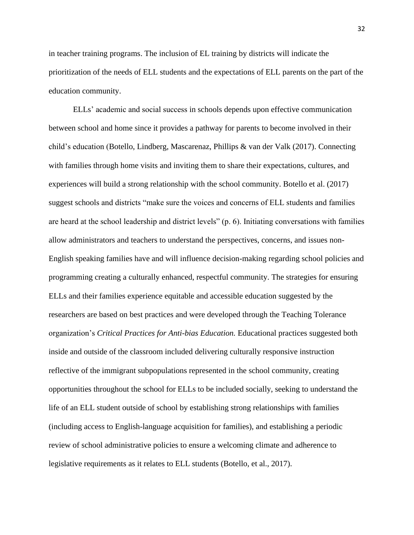in teacher training programs. The inclusion of EL training by districts will indicate the prioritization of the needs of ELL students and the expectations of ELL parents on the part of the education community.

ELLs' academic and social success in schools depends upon effective communication between school and home since it provides a pathway for parents to become involved in their child's education (Botello, Lindberg, Mascarenaz, Phillips & van der Valk (2017). Connecting with families through home visits and inviting them to share their expectations, cultures, and experiences will build a strong relationship with the school community. Botello et al. (2017) suggest schools and districts "make sure the voices and concerns of ELL students and families are heard at the school leadership and district levels" (p. 6). Initiating conversations with families allow administrators and teachers to understand the perspectives, concerns, and issues non-English speaking families have and will influence decision-making regarding school policies and programming creating a culturally enhanced, respectful community. The strategies for ensuring ELLs and their families experience equitable and accessible education suggested by the researchers are based on best practices and were developed through the Teaching Tolerance organization's *Critical Practices for Anti-bias Education.* Educational practices suggested both inside and outside of the classroom included delivering culturally responsive instruction reflective of the immigrant subpopulations represented in the school community, creating opportunities throughout the school for ELLs to be included socially, seeking to understand the life of an ELL student outside of school by establishing strong relationships with families (including access to English-language acquisition for families), and establishing a periodic review of school administrative policies to ensure a welcoming climate and adherence to legislative requirements as it relates to ELL students (Botello, et al., 2017).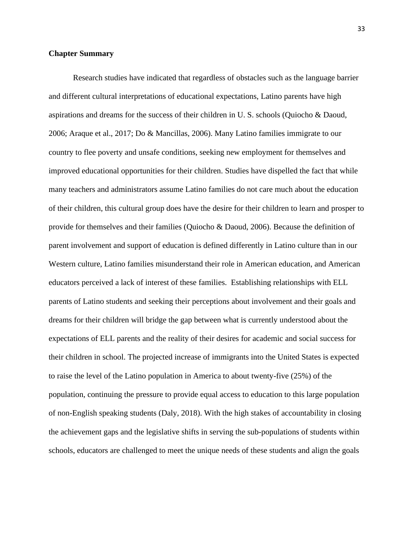#### **Chapter Summary**

Research studies have indicated that regardless of obstacles such as the language barrier and different cultural interpretations of educational expectations, Latino parents have high aspirations and dreams for the success of their children in U. S. schools (Quiocho & Daoud, 2006; Araque et al., 2017; Do & Mancillas, 2006). Many Latino families immigrate to our country to flee poverty and unsafe conditions, seeking new employment for themselves and improved educational opportunities for their children. Studies have dispelled the fact that while many teachers and administrators assume Latino families do not care much about the education of their children, this cultural group does have the desire for their children to learn and prosper to provide for themselves and their families (Quiocho & Daoud, 2006). Because the definition of parent involvement and support of education is defined differently in Latino culture than in our Western culture, Latino families misunderstand their role in American education, and American educators perceived a lack of interest of these families. Establishing relationships with ELL parents of Latino students and seeking their perceptions about involvement and their goals and dreams for their children will bridge the gap between what is currently understood about the expectations of ELL parents and the reality of their desires for academic and social success for their children in school. The projected increase of immigrants into the United States is expected to raise the level of the Latino population in America to about twenty-five (25%) of the population, continuing the pressure to provide equal access to education to this large population of non-English speaking students (Daly, 2018). With the high stakes of accountability in closing the achievement gaps and the legislative shifts in serving the sub-populations of students within schools, educators are challenged to meet the unique needs of these students and align the goals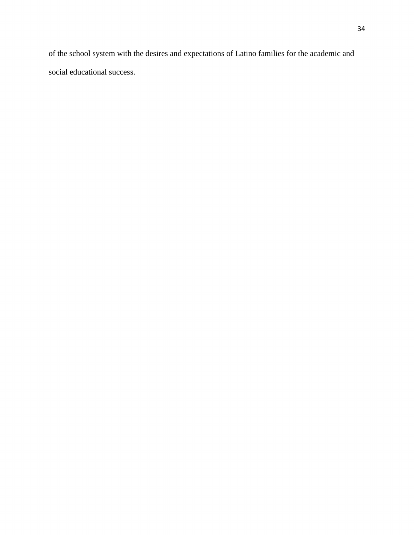of the school system with the desires and expectations of Latino families for the academic and social educational success.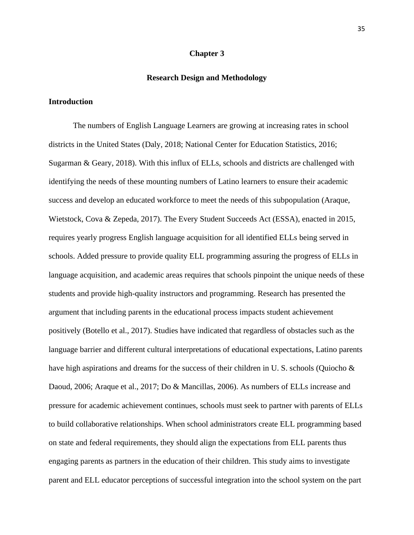## **Chapter 3**

# **Research Design and Methodology**

# **Introduction**

The numbers of English Language Learners are growing at increasing rates in school districts in the United States (Daly, 2018; National Center for Education Statistics, 2016; Sugarman & Geary, 2018). With this influx of ELLs, schools and districts are challenged with identifying the needs of these mounting numbers of Latino learners to ensure their academic success and develop an educated workforce to meet the needs of this subpopulation (Araque, Wietstock, Cova & Zepeda, 2017). The Every Student Succeeds Act (ESSA), enacted in 2015, requires yearly progress English language acquisition for all identified ELLs being served in schools. Added pressure to provide quality ELL programming assuring the progress of ELLs in language acquisition, and academic areas requires that schools pinpoint the unique needs of these students and provide high-quality instructors and programming. Research has presented the argument that including parents in the educational process impacts student achievement positively (Botello et al., 2017). Studies have indicated that regardless of obstacles such as the language barrier and different cultural interpretations of educational expectations, Latino parents have high aspirations and dreams for the success of their children in U. S. schools (Quiocho  $\&$ Daoud, 2006; Araque et al., 2017; Do & Mancillas, 2006). As numbers of ELLs increase and pressure for academic achievement continues, schools must seek to partner with parents of ELLs to build collaborative relationships. When school administrators create ELL programming based on state and federal requirements, they should align the expectations from ELL parents thus engaging parents as partners in the education of their children. This study aims to investigate parent and ELL educator perceptions of successful integration into the school system on the part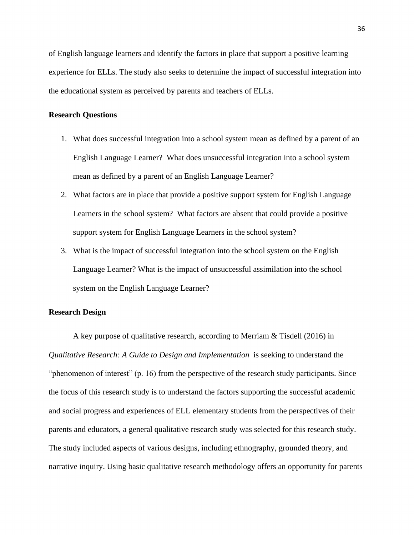of English language learners and identify the factors in place that support a positive learning experience for ELLs. The study also seeks to determine the impact of successful integration into the educational system as perceived by parents and teachers of ELLs.

# **Research Questions**

- 1. What does successful integration into a school system mean as defined by a parent of an English Language Learner? What does unsuccessful integration into a school system mean as defined by a parent of an English Language Learner?
- 2. What factors are in place that provide a positive support system for English Language Learners in the school system? What factors are absent that could provide a positive support system for English Language Learners in the school system?
- 3. What is the impact of successful integration into the school system on the English Language Learner? What is the impact of unsuccessful assimilation into the school system on the English Language Learner?

# **Research Design**

A key purpose of qualitative research, according to Merriam & Tisdell (2016) in *Qualitative Research: A Guide to Design and Implementation* is seeking to understand the "phenomenon of interest" (p. 16) from the perspective of the research study participants. Since the focus of this research study is to understand the factors supporting the successful academic and social progress and experiences of ELL elementary students from the perspectives of their parents and educators, a general qualitative research study was selected for this research study. The study included aspects of various designs, including ethnography, grounded theory, and narrative inquiry. Using basic qualitative research methodology offers an opportunity for parents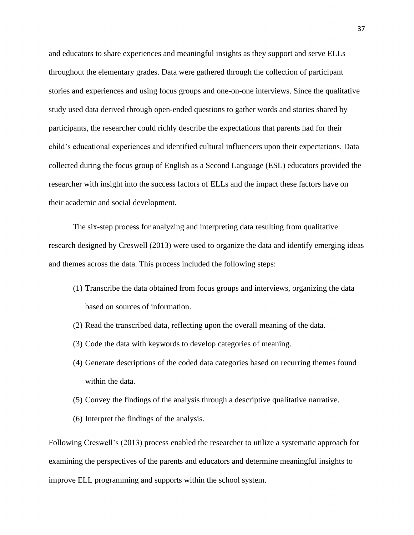and educators to share experiences and meaningful insights as they support and serve ELLs throughout the elementary grades. Data were gathered through the collection of participant stories and experiences and using focus groups and one-on-one interviews. Since the qualitative study used data derived through open-ended questions to gather words and stories shared by participants, the researcher could richly describe the expectations that parents had for their child's educational experiences and identified cultural influencers upon their expectations. Data collected during the focus group of English as a Second Language (ESL) educators provided the researcher with insight into the success factors of ELLs and the impact these factors have on their academic and social development.

The six-step process for analyzing and interpreting data resulting from qualitative research designed by Creswell (2013) were used to organize the data and identify emerging ideas and themes across the data. This process included the following steps:

- (1) Transcribe the data obtained from focus groups and interviews, organizing the data based on sources of information.
- (2) Read the transcribed data, reflecting upon the overall meaning of the data.
- (3) Code the data with keywords to develop categories of meaning.
- (4) Generate descriptions of the coded data categories based on recurring themes found within the data.
- (5) Convey the findings of the analysis through a descriptive qualitative narrative.
- (6) Interpret the findings of the analysis.

Following Creswell's (2013) process enabled the researcher to utilize a systematic approach for examining the perspectives of the parents and educators and determine meaningful insights to improve ELL programming and supports within the school system.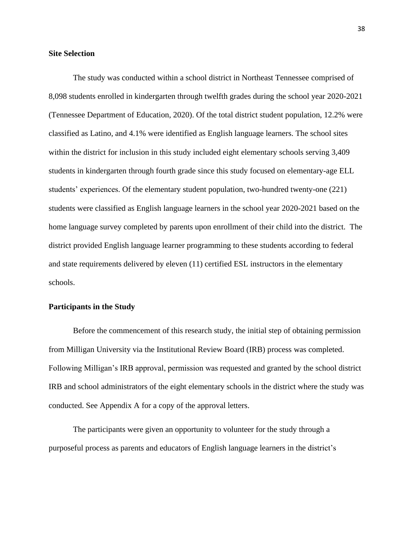# **Site Selection**

The study was conducted within a school district in Northeast Tennessee comprised of 8,098 students enrolled in kindergarten through twelfth grades during the school year 2020-2021 (Tennessee Department of Education, 2020). Of the total district student population, 12.2% were classified as Latino, and 4.1% were identified as English language learners. The school sites within the district for inclusion in this study included eight elementary schools serving 3,409 students in kindergarten through fourth grade since this study focused on elementary-age ELL students' experiences. Of the elementary student population, two-hundred twenty-one (221) students were classified as English language learners in the school year 2020-2021 based on the home language survey completed by parents upon enrollment of their child into the district. The district provided English language learner programming to these students according to federal and state requirements delivered by eleven (11) certified ESL instructors in the elementary schools.

# **Participants in the Study**

Before the commencement of this research study, the initial step of obtaining permission from Milligan University via the Institutional Review Board (IRB) process was completed. Following Milligan's IRB approval, permission was requested and granted by the school district IRB and school administrators of the eight elementary schools in the district where the study was conducted. See Appendix A for a copy of the approval letters.

The participants were given an opportunity to volunteer for the study through a purposeful process as parents and educators of English language learners in the district's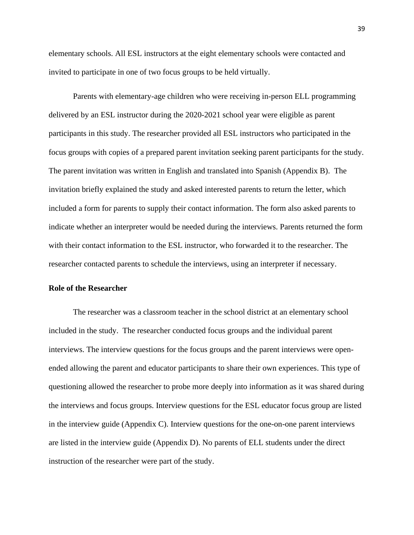elementary schools. All ESL instructors at the eight elementary schools were contacted and invited to participate in one of two focus groups to be held virtually.

Parents with elementary-age children who were receiving in-person ELL programming delivered by an ESL instructor during the 2020-2021 school year were eligible as parent participants in this study. The researcher provided all ESL instructors who participated in the focus groups with copies of a prepared parent invitation seeking parent participants for the study. The parent invitation was written in English and translated into Spanish (Appendix B). The invitation briefly explained the study and asked interested parents to return the letter, which included a form for parents to supply their contact information. The form also asked parents to indicate whether an interpreter would be needed during the interviews. Parents returned the form with their contact information to the ESL instructor, who forwarded it to the researcher. The researcher contacted parents to schedule the interviews, using an interpreter if necessary.

#### **Role of the Researcher**

The researcher was a classroom teacher in the school district at an elementary school included in the study. The researcher conducted focus groups and the individual parent interviews. The interview questions for the focus groups and the parent interviews were openended allowing the parent and educator participants to share their own experiences. This type of questioning allowed the researcher to probe more deeply into information as it was shared during the interviews and focus groups. Interview questions for the ESL educator focus group are listed in the interview guide (Appendix C). Interview questions for the one-on-one parent interviews are listed in the interview guide (Appendix D). No parents of ELL students under the direct instruction of the researcher were part of the study.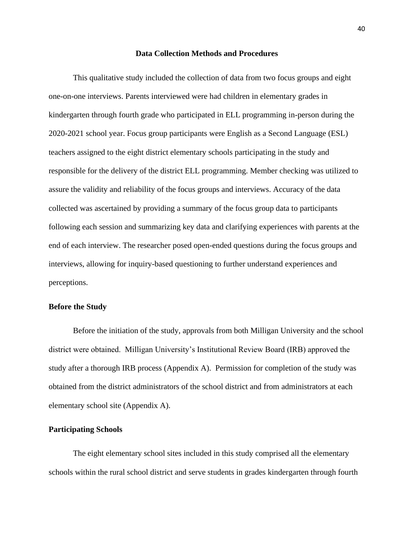## **Data Collection Methods and Procedures**

This qualitative study included the collection of data from two focus groups and eight one-on-one interviews. Parents interviewed were had children in elementary grades in kindergarten through fourth grade who participated in ELL programming in-person during the 2020-2021 school year. Focus group participants were English as a Second Language (ESL) teachers assigned to the eight district elementary schools participating in the study and responsible for the delivery of the district ELL programming. Member checking was utilized to assure the validity and reliability of the focus groups and interviews. Accuracy of the data collected was ascertained by providing a summary of the focus group data to participants following each session and summarizing key data and clarifying experiences with parents at the end of each interview. The researcher posed open-ended questions during the focus groups and interviews, allowing for inquiry-based questioning to further understand experiences and perceptions.

#### **Before the Study**

Before the initiation of the study, approvals from both Milligan University and the school district were obtained. Milligan University's Institutional Review Board (IRB) approved the study after a thorough IRB process (Appendix A). Permission for completion of the study was obtained from the district administrators of the school district and from administrators at each elementary school site (Appendix A).

#### **Participating Schools**

The eight elementary school sites included in this study comprised all the elementary schools within the rural school district and serve students in grades kindergarten through fourth

40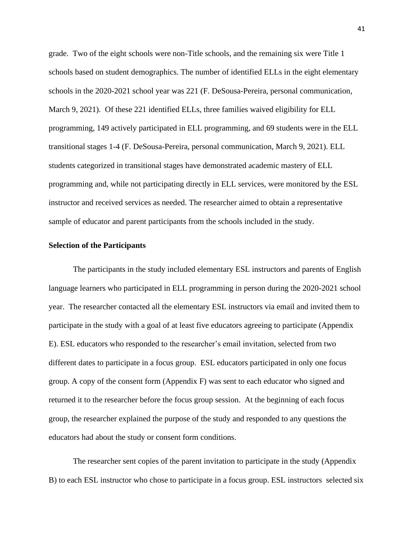grade. Two of the eight schools were non-Title schools, and the remaining six were Title 1 schools based on student demographics. The number of identified ELLs in the eight elementary schools in the 2020-2021 school year was 221 (F. DeSousa-Pereira, personal communication, March 9, 2021). Of these 221 identified ELLs, three families waived eligibility for ELL programming, 149 actively participated in ELL programming, and 69 students were in the ELL transitional stages 1-4 (F. DeSousa-Pereira, personal communication, March 9, 2021). ELL students categorized in transitional stages have demonstrated academic mastery of ELL programming and, while not participating directly in ELL services, were monitored by the ESL instructor and received services as needed. The researcher aimed to obtain a representative sample of educator and parent participants from the schools included in the study.

## **Selection of the Participants**

The participants in the study included elementary ESL instructors and parents of English language learners who participated in ELL programming in person during the 2020-2021 school year. The researcher contacted all the elementary ESL instructors via email and invited them to participate in the study with a goal of at least five educators agreeing to participate (Appendix E). ESL educators who responded to the researcher's email invitation, selected from two different dates to participate in a focus group. ESL educators participated in only one focus group. A copy of the consent form (Appendix F) was sent to each educator who signed and returned it to the researcher before the focus group session. At the beginning of each focus group, the researcher explained the purpose of the study and responded to any questions the educators had about the study or consent form conditions.

The researcher sent copies of the parent invitation to participate in the study (Appendix B) to each ESL instructor who chose to participate in a focus group. ESL instructors selected six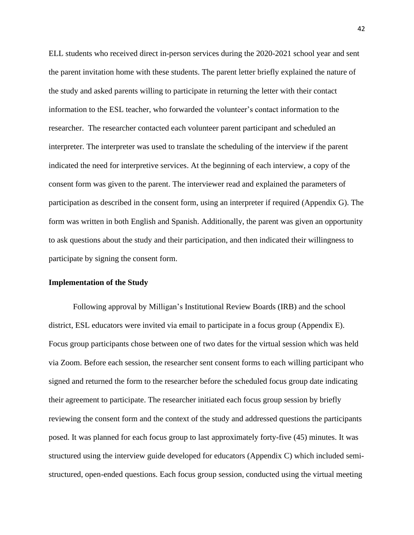ELL students who received direct in-person services during the 2020-2021 school year and sent the parent invitation home with these students. The parent letter briefly explained the nature of the study and asked parents willing to participate in returning the letter with their contact information to the ESL teacher, who forwarded the volunteer's contact information to the researcher. The researcher contacted each volunteer parent participant and scheduled an interpreter. The interpreter was used to translate the scheduling of the interview if the parent indicated the need for interpretive services. At the beginning of each interview, a copy of the consent form was given to the parent. The interviewer read and explained the parameters of participation as described in the consent form, using an interpreter if required (Appendix G). The form was written in both English and Spanish. Additionally, the parent was given an opportunity to ask questions about the study and their participation, and then indicated their willingness to participate by signing the consent form.

### **Implementation of the Study**

Following approval by Milligan's Institutional Review Boards (IRB) and the school district, ESL educators were invited via email to participate in a focus group (Appendix E). Focus group participants chose between one of two dates for the virtual session which was held via Zoom. Before each session, the researcher sent consent forms to each willing participant who signed and returned the form to the researcher before the scheduled focus group date indicating their agreement to participate. The researcher initiated each focus group session by briefly reviewing the consent form and the context of the study and addressed questions the participants posed. It was planned for each focus group to last approximately forty-five (45) minutes. It was structured using the interview guide developed for educators (Appendix C) which included semistructured, open-ended questions. Each focus group session, conducted using the virtual meeting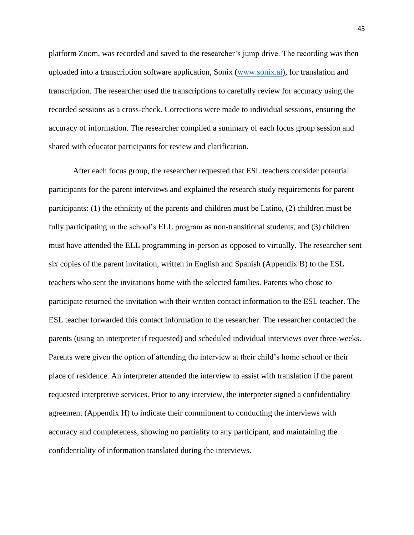platform Zoom, was recorded and saved to the researcher's jump drive. The recording was then uploaded into a transcription software application, Sonix [\(www.sonix.ai\)](http://www.sonix.ai/), for translation and transcription. The researcher used the transcriptions to carefully review for accuracy using the recorded sessions as a cross-check. Corrections were made to individual sessions, ensuring the accuracy of information. The researcher compiled a summary of each focus group session and shared with educator participants for review and clarification.

After each focus group, the researcher requested that ESL teachers consider potential participants for the parent interviews and explained the research study requirements for parent participants: (1) the ethnicity of the parents and children must be Latino, (2) children must be fully participating in the school's ELL program as non-transitional students, and (3) children must have attended the ELL programming in-person as opposed to virtually. The researcher sent six copies of the parent invitation, written in English and Spanish (Appendix B) to the ESL teachers who sent the invitations home with the selected families. Parents who chose to participate returned the invitation with their written contact information to the ESL teacher. The ESL teacher forwarded this contact information to the researcher. The researcher contacted the parents (using an interpreter if requested) and scheduled individual interviews over three-weeks. Parents were given the option of attending the interview at their child's home school or their place of residence. An interpreter attended the interview to assist with translation if the parent requested interpretive services. Prior to any interview, the interpreter signed a confidentiality agreement (Appendix H) to indicate their commitment to conducting the interviews with accuracy and completeness, showing no partiality to any participant, and maintaining the confidentiality of information translated during the interviews.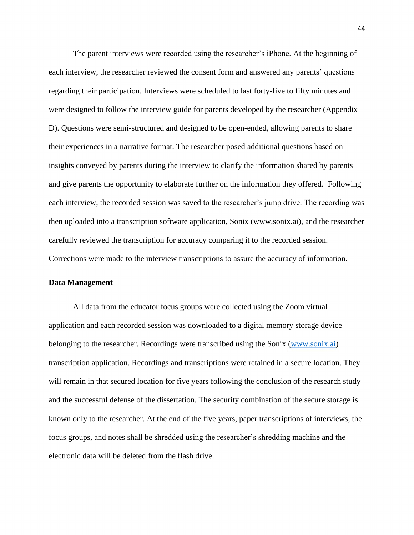The parent interviews were recorded using the researcher's iPhone. At the beginning of each interview, the researcher reviewed the consent form and answered any parents' questions regarding their participation. Interviews were scheduled to last forty-five to fifty minutes and were designed to follow the interview guide for parents developed by the researcher (Appendix D). Questions were semi-structured and designed to be open-ended, allowing parents to share their experiences in a narrative format. The researcher posed additional questions based on insights conveyed by parents during the interview to clarify the information shared by parents and give parents the opportunity to elaborate further on the information they offered. Following each interview, the recorded session was saved to the researcher's jump drive. The recording was then uploaded into a transcription software application, Sonix (www.sonix.ai), and the researcher carefully reviewed the transcription for accuracy comparing it to the recorded session. Corrections were made to the interview transcriptions to assure the accuracy of information.

### **Data Management**

All data from the educator focus groups were collected using the Zoom virtual application and each recorded session was downloaded to a digital memory storage device belonging to the researcher. Recordings were transcribed using the Sonix [\(www.sonix.ai\)](http://www.sonix.ai/) transcription application. Recordings and transcriptions were retained in a secure location. They will remain in that secured location for five years following the conclusion of the research study and the successful defense of the dissertation. The security combination of the secure storage is known only to the researcher. At the end of the five years, paper transcriptions of interviews, the focus groups, and notes shall be shredded using the researcher's shredding machine and the electronic data will be deleted from the flash drive.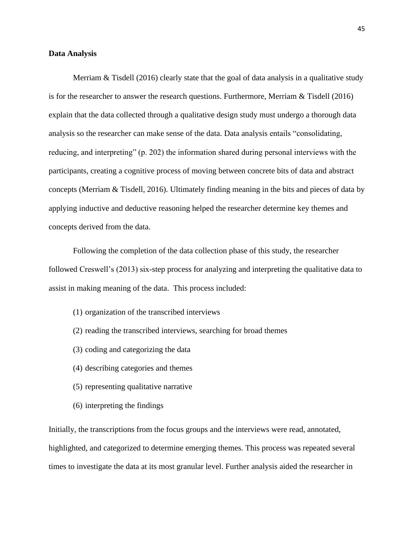#### **Data Analysis**

Merriam & Tisdell (2016) clearly state that the goal of data analysis in a qualitative study is for the researcher to answer the research questions. Furthermore, Merriam & Tisdell (2016) explain that the data collected through a qualitative design study must undergo a thorough data analysis so the researcher can make sense of the data. Data analysis entails "consolidating, reducing, and interpreting" (p. 202) the information shared during personal interviews with the participants, creating a cognitive process of moving between concrete bits of data and abstract concepts (Merriam & Tisdell, 2016). Ultimately finding meaning in the bits and pieces of data by applying inductive and deductive reasoning helped the researcher determine key themes and concepts derived from the data.

Following the completion of the data collection phase of this study, the researcher followed Creswell's (2013) six-step process for analyzing and interpreting the qualitative data to assist in making meaning of the data. This process included:

- (1) organization of the transcribed interviews
- (2) reading the transcribed interviews, searching for broad themes
- (3) coding and categorizing the data
- (4) describing categories and themes
- (5) representing qualitative narrative
- (6) interpreting the findings

Initially, the transcriptions from the focus groups and the interviews were read, annotated, highlighted, and categorized to determine emerging themes. This process was repeated several times to investigate the data at its most granular level. Further analysis aided the researcher in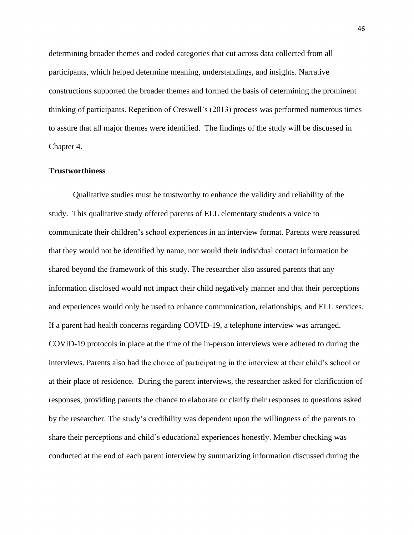determining broader themes and coded categories that cut across data collected from all participants, which helped determine meaning, understandings, and insights. Narrative constructions supported the broader themes and formed the basis of determining the prominent thinking of participants. Repetition of Creswell's (2013) process was performed numerous times to assure that all major themes were identified. The findings of the study will be discussed in Chapter 4.

## **Trustworthiness**

Qualitative studies must be trustworthy to enhance the validity and reliability of the study. This qualitative study offered parents of ELL elementary students a voice to communicate their children's school experiences in an interview format. Parents were reassured that they would not be identified by name, nor would their individual contact information be shared beyond the framework of this study. The researcher also assured parents that any information disclosed would not impact their child negatively manner and that their perceptions and experiences would only be used to enhance communication, relationships, and ELL services. If a parent had health concerns regarding COVID-19, a telephone interview was arranged. COVID-19 protocols in place at the time of the in-person interviews were adhered to during the interviews. Parents also had the choice of participating in the interview at their child's school or at their place of residence. During the parent interviews, the researcher asked for clarification of responses, providing parents the chance to elaborate or clarify their responses to questions asked by the researcher. The study's credibility was dependent upon the willingness of the parents to share their perceptions and child's educational experiences honestly. Member checking was conducted at the end of each parent interview by summarizing information discussed during the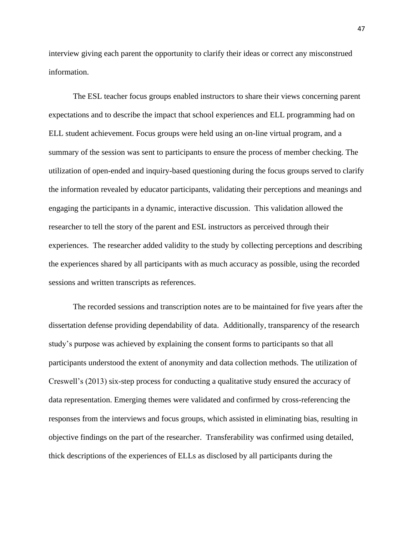interview giving each parent the opportunity to clarify their ideas or correct any misconstrued information.

The ESL teacher focus groups enabled instructors to share their views concerning parent expectations and to describe the impact that school experiences and ELL programming had on ELL student achievement. Focus groups were held using an on-line virtual program, and a summary of the session was sent to participants to ensure the process of member checking. The utilization of open-ended and inquiry-based questioning during the focus groups served to clarify the information revealed by educator participants, validating their perceptions and meanings and engaging the participants in a dynamic, interactive discussion. This validation allowed the researcher to tell the story of the parent and ESL instructors as perceived through their experiences. The researcher added validity to the study by collecting perceptions and describing the experiences shared by all participants with as much accuracy as possible, using the recorded sessions and written transcripts as references.

The recorded sessions and transcription notes are to be maintained for five years after the dissertation defense providing dependability of data. Additionally, transparency of the research study's purpose was achieved by explaining the consent forms to participants so that all participants understood the extent of anonymity and data collection methods. The utilization of Creswell's (2013) six-step process for conducting a qualitative study ensured the accuracy of data representation. Emerging themes were validated and confirmed by cross-referencing the responses from the interviews and focus groups, which assisted in eliminating bias, resulting in objective findings on the part of the researcher. Transferability was confirmed using detailed, thick descriptions of the experiences of ELLs as disclosed by all participants during the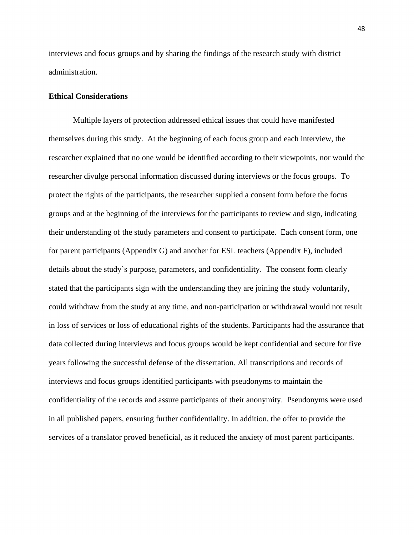interviews and focus groups and by sharing the findings of the research study with district administration.

# **Ethical Considerations**

Multiple layers of protection addressed ethical issues that could have manifested themselves during this study. At the beginning of each focus group and each interview, the researcher explained that no one would be identified according to their viewpoints, nor would the researcher divulge personal information discussed during interviews or the focus groups. To protect the rights of the participants, the researcher supplied a consent form before the focus groups and at the beginning of the interviews for the participants to review and sign, indicating their understanding of the study parameters and consent to participate. Each consent form, one for parent participants (Appendix G) and another for ESL teachers (Appendix F), included details about the study's purpose, parameters, and confidentiality. The consent form clearly stated that the participants sign with the understanding they are joining the study voluntarily, could withdraw from the study at any time, and non-participation or withdrawal would not result in loss of services or loss of educational rights of the students. Participants had the assurance that data collected during interviews and focus groups would be kept confidential and secure for five years following the successful defense of the dissertation. All transcriptions and records of interviews and focus groups identified participants with pseudonyms to maintain the confidentiality of the records and assure participants of their anonymity. Pseudonyms were used in all published papers, ensuring further confidentiality. In addition, the offer to provide the services of a translator proved beneficial, as it reduced the anxiety of most parent participants.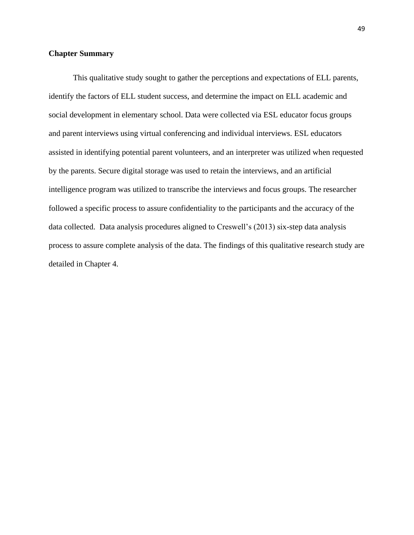# **Chapter Summary**

This qualitative study sought to gather the perceptions and expectations of ELL parents, identify the factors of ELL student success, and determine the impact on ELL academic and social development in elementary school. Data were collected via ESL educator focus groups and parent interviews using virtual conferencing and individual interviews. ESL educators assisted in identifying potential parent volunteers, and an interpreter was utilized when requested by the parents. Secure digital storage was used to retain the interviews, and an artificial intelligence program was utilized to transcribe the interviews and focus groups. The researcher followed a specific process to assure confidentiality to the participants and the accuracy of the data collected. Data analysis procedures aligned to Creswell's (2013) six-step data analysis process to assure complete analysis of the data. The findings of this qualitative research study are detailed in Chapter 4.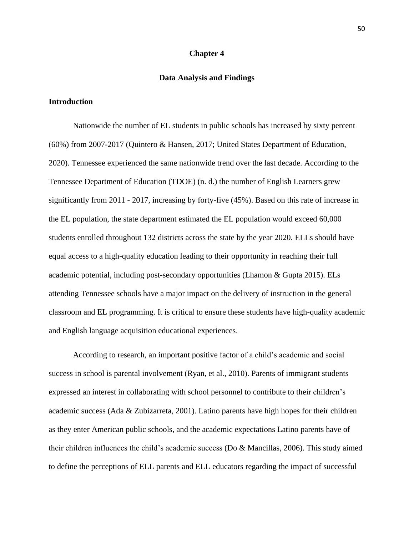### **Chapter 4**

## **Data Analysis and Findings**

# **Introduction**

Nationwide the number of EL students in public schools has increased by sixty percent (60%) from 2007-2017 (Quintero & Hansen, 2017; United States Department of Education, 2020). Tennessee experienced the same nationwide trend over the last decade. According to the Tennessee Department of Education (TDOE) (n. d.) the number of English Learners grew significantly from 2011 - 2017, increasing by forty-five (45%). Based on this rate of increase in the EL population, the state department estimated the EL population would exceed 60,000 students enrolled throughout 132 districts across the state by the year 2020. ELLs should have equal access to a high-quality education leading to their opportunity in reaching their full academic potential, including post-secondary opportunities (Lhamon & Gupta 2015). ELs attending Tennessee schools have a major impact on the delivery of instruction in the general classroom and EL programming. It is critical to ensure these students have high-quality academic and English language acquisition educational experiences.

According to research, an important positive factor of a child's academic and social success in school is parental involvement (Ryan, et al., 2010). Parents of immigrant students expressed an interest in collaborating with school personnel to contribute to their children's academic success (Ada & Zubizarreta, 2001). Latino parents have high hopes for their children as they enter American public schools, and the academic expectations Latino parents have of their children influences the child's academic success (Do & Mancillas, 2006). This study aimed to define the perceptions of ELL parents and ELL educators regarding the impact of successful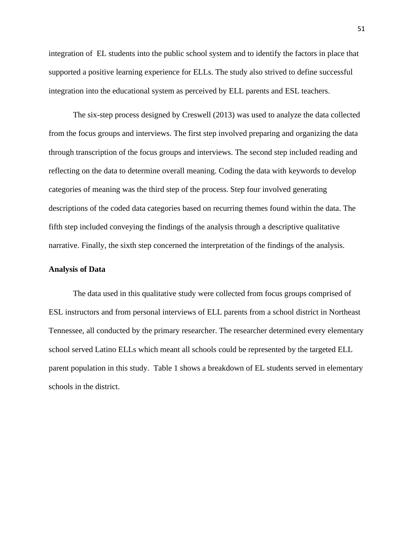integration of EL students into the public school system and to identify the factors in place that supported a positive learning experience for ELLs. The study also strived to define successful integration into the educational system as perceived by ELL parents and ESL teachers.

The six-step process designed by Creswell (2013) was used to analyze the data collected from the focus groups and interviews. The first step involved preparing and organizing the data through transcription of the focus groups and interviews. The second step included reading and reflecting on the data to determine overall meaning. Coding the data with keywords to develop categories of meaning was the third step of the process. Step four involved generating descriptions of the coded data categories based on recurring themes found within the data. The fifth step included conveying the findings of the analysis through a descriptive qualitative narrative. Finally, the sixth step concerned the interpretation of the findings of the analysis.

# **Analysis of Data**

The data used in this qualitative study were collected from focus groups comprised of ESL instructors and from personal interviews of ELL parents from a school district in Northeast Tennessee, all conducted by the primary researcher. The researcher determined every elementary school served Latino ELLs which meant all schools could be represented by the targeted ELL parent population in this study. Table 1 shows a breakdown of EL students served in elementary schools in the district.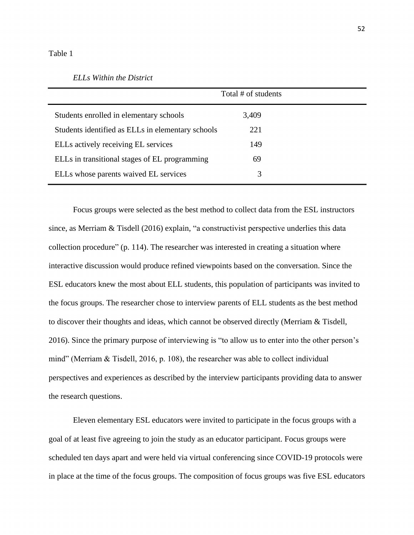#### Table 1

#### *ELLs Within the District*

|                                                   | Total # of students |  |  |  |  |
|---------------------------------------------------|---------------------|--|--|--|--|
| Students enrolled in elementary schools           | 3,409               |  |  |  |  |
| Students identified as ELLs in elementary schools | 221                 |  |  |  |  |
| ELLs actively receiving EL services               | 149                 |  |  |  |  |
| ELLs in transitional stages of EL programming     | 69                  |  |  |  |  |
| ELLs whose parents waived EL services             | 3                   |  |  |  |  |

Focus groups were selected as the best method to collect data from the ESL instructors since, as Merriam & Tisdell (2016) explain, "a constructivist perspective underlies this data collection procedure" (p. 114). The researcher was interested in creating a situation where interactive discussion would produce refined viewpoints based on the conversation. Since the ESL educators knew the most about ELL students, this population of participants was invited to the focus groups. The researcher chose to interview parents of ELL students as the best method to discover their thoughts and ideas, which cannot be observed directly (Merriam & Tisdell, 2016). Since the primary purpose of interviewing is "to allow us to enter into the other person's mind" (Merriam & Tisdell, 2016, p. 108), the researcher was able to collect individual perspectives and experiences as described by the interview participants providing data to answer the research questions.

Eleven elementary ESL educators were invited to participate in the focus groups with a goal of at least five agreeing to join the study as an educator participant. Focus groups were scheduled ten days apart and were held via virtual conferencing since COVID-19 protocols were in place at the time of the focus groups. The composition of focus groups was five ESL educators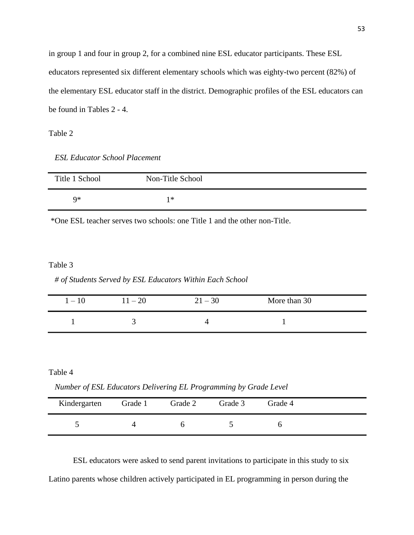in group 1 and four in group 2, for a combined nine ESL educator participants. These ESL educators represented six different elementary schools which was eighty-two percent (82%) of the elementary ESL educator staff in the district. Demographic profiles of the ESL educators can be found in Tables 2 - 4.

Table 2

*ESL Educator School Placement*

| Title 1 School | Non-Title School |  |
|----------------|------------------|--|
| Q*             | 1∗               |  |

\*One ESL teacher serves two schools: one Title 1 and the other non-Title.

# Table 3

*# of Students Served by ESL Educators Within Each School*

| $1-10$ | $11 - 20$ | $21 - 30$ | More than 30 |  |
|--------|-----------|-----------|--------------|--|
|        |           |           |              |  |

Table 4

 *Number of ESL Educators Delivering EL Programming by Grade Level*

| Kindergarten | Grade 1 | Grade 2 | Grade 3 | Grade 4 |  |
|--------------|---------|---------|---------|---------|--|
|              |         |         |         |         |  |

ESL educators were asked to send parent invitations to participate in this study to six Latino parents whose children actively participated in EL programming in person during the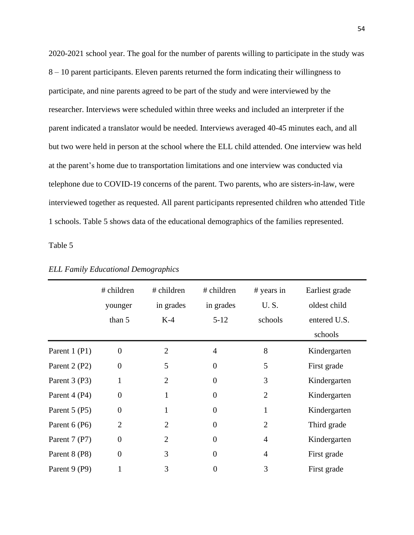2020-2021 school year. The goal for the number of parents willing to participate in the study was 8 – 10 parent participants. Eleven parents returned the form indicating their willingness to participate, and nine parents agreed to be part of the study and were interviewed by the researcher. Interviews were scheduled within three weeks and included an interpreter if the parent indicated a translator would be needed. Interviews averaged 40-45 minutes each, and all but two were held in person at the school where the ELL child attended. One interview was held at the parent's home due to transportation limitations and one interview was conducted via telephone due to COVID-19 concerns of the parent. Two parents, who are sisters-in-law, were interviewed together as requested. All parent participants represented children who attended Title 1 schools. Table 5 shows data of the educational demographics of the families represented.

Table 5

|               | # children       | # children     | # children     | # years in     | Earliest grade |
|---------------|------------------|----------------|----------------|----------------|----------------|
|               | younger          | in grades      | in grades      | U.S.           | oldest child   |
|               | than 5           | $K-4$          | $5 - 12$       | schools        | entered U.S.   |
|               |                  |                |                |                | schools        |
| Parent 1 (P1) | $\overline{0}$   | $\overline{2}$ | $\overline{4}$ | 8              | Kindergarten   |
| Parent 2 (P2) | $\theta$         | 5              | $\overline{0}$ | 5              | First grade    |
| Parent 3 (P3) | 1                | $\overline{2}$ | $\overline{0}$ | 3              | Kindergarten   |
| Parent 4 (P4) | $\theta$         |                | $\overline{0}$ | $\overline{2}$ | Kindergarten   |
| Parent 5 (P5) | $\overline{0}$   |                | $\overline{0}$ | 1              | Kindergarten   |
| Parent 6 (P6) | $\overline{2}$   | $\overline{2}$ | $\overline{0}$ | $\overline{2}$ | Third grade    |
| Parent 7 (P7) | $\boldsymbol{0}$ | $\overline{2}$ | $\overline{0}$ | 4              | Kindergarten   |
| Parent 8 (P8) | $\overline{0}$   | 3              | $\overline{0}$ | 4              | First grade    |
| Parent 9 (P9) |                  | 3              | $\overline{0}$ | 3              | First grade    |

*ELL Family Educational Demographics*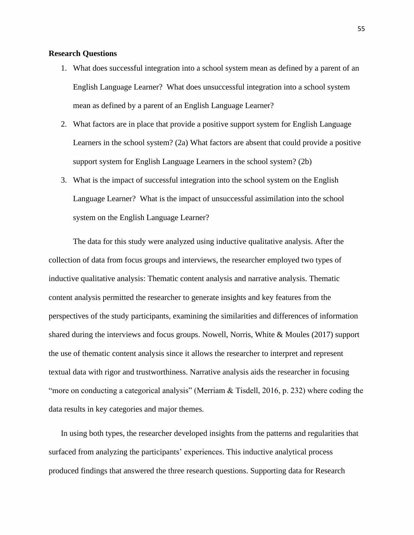# **Research Questions**

- 1. What does successful integration into a school system mean as defined by a parent of an English Language Learner? What does unsuccessful integration into a school system mean as defined by a parent of an English Language Learner?
- 2. What factors are in place that provide a positive support system for English Language Learners in the school system? (2a) What factors are absent that could provide a positive support system for English Language Learners in the school system? (2b)
- 3. What is the impact of successful integration into the school system on the English Language Learner? What is the impact of unsuccessful assimilation into the school system on the English Language Learner?

The data for this study were analyzed using inductive qualitative analysis. After the collection of data from focus groups and interviews, the researcher employed two types of inductive qualitative analysis: Thematic content analysis and narrative analysis. Thematic content analysis permitted the researcher to generate insights and key features from the perspectives of the study participants, examining the similarities and differences of information shared during the interviews and focus groups. Nowell, Norris, White & Moules (2017) support the use of thematic content analysis since it allows the researcher to interpret and represent textual data with rigor and trustworthiness. Narrative analysis aids the researcher in focusing "more on conducting a categorical analysis" (Merriam & Tisdell, 2016, p. 232) where coding the data results in key categories and major themes.

In using both types, the researcher developed insights from the patterns and regularities that surfaced from analyzing the participants' experiences. This inductive analytical process produced findings that answered the three research questions. Supporting data for Research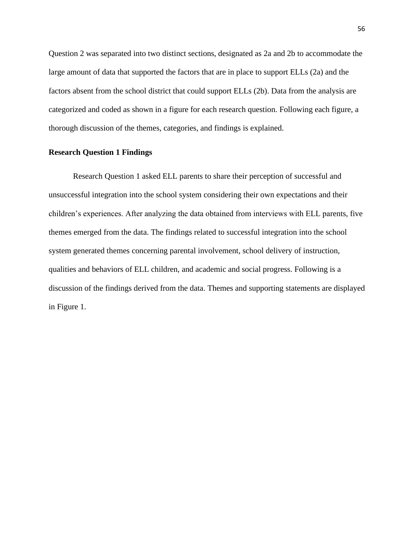Question 2 was separated into two distinct sections, designated as 2a and 2b to accommodate the large amount of data that supported the factors that are in place to support ELLs (2a) and the factors absent from the school district that could support ELLs (2b). Data from the analysis are categorized and coded as shown in a figure for each research question. Following each figure, a thorough discussion of the themes, categories, and findings is explained.

# **Research Question 1 Findings**

Research Question 1 asked ELL parents to share their perception of successful and unsuccessful integration into the school system considering their own expectations and their children's experiences. After analyzing the data obtained from interviews with ELL parents, five themes emerged from the data. The findings related to successful integration into the school system generated themes concerning parental involvement, school delivery of instruction, qualities and behaviors of ELL children, and academic and social progress. Following is a discussion of the findings derived from the data. Themes and supporting statements are displayed in Figure 1.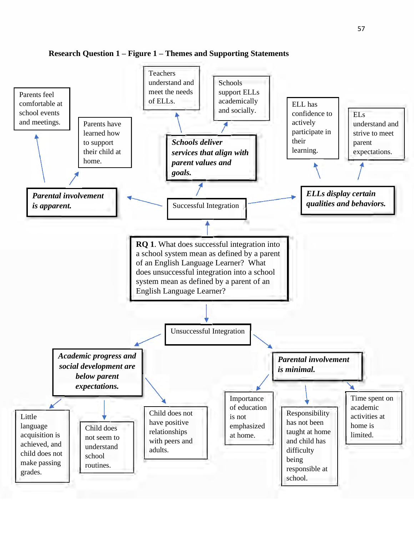

**Research Question 1 – Figure 1 – Themes and Supporting Statements**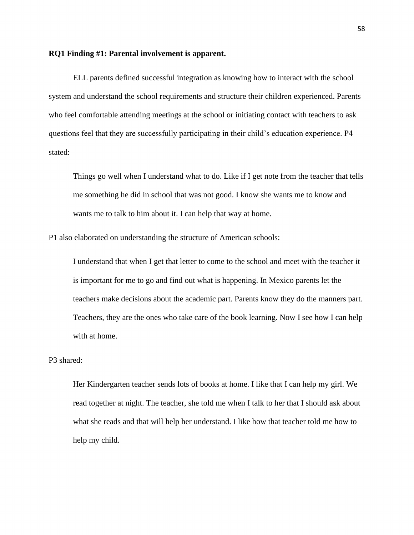## **RQ1 Finding #1: Parental involvement is apparent.**

ELL parents defined successful integration as knowing how to interact with the school system and understand the school requirements and structure their children experienced. Parents who feel comfortable attending meetings at the school or initiating contact with teachers to ask questions feel that they are successfully participating in their child's education experience. P4 stated:

Things go well when I understand what to do. Like if I get note from the teacher that tells me something he did in school that was not good. I know she wants me to know and wants me to talk to him about it. I can help that way at home.

P1 also elaborated on understanding the structure of American schools:

I understand that when I get that letter to come to the school and meet with the teacher it is important for me to go and find out what is happening. In Mexico parents let the teachers make decisions about the academic part. Parents know they do the manners part. Teachers, they are the ones who take care of the book learning. Now I see how I can help with at home.

# P3 shared:

Her Kindergarten teacher sends lots of books at home. I like that I can help my girl. We read together at night. The teacher, she told me when I talk to her that I should ask about what she reads and that will help her understand. I like how that teacher told me how to help my child.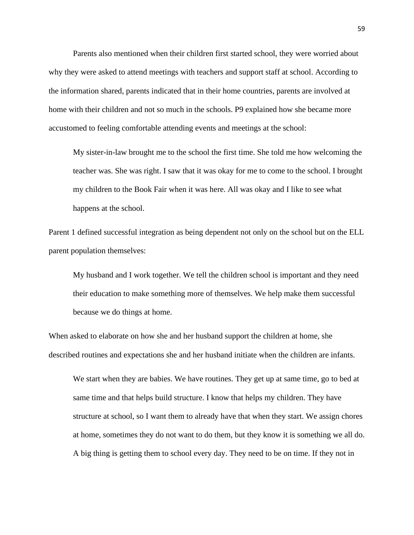Parents also mentioned when their children first started school, they were worried about why they were asked to attend meetings with teachers and support staff at school. According to the information shared, parents indicated that in their home countries, parents are involved at home with their children and not so much in the schools. P9 explained how she became more accustomed to feeling comfortable attending events and meetings at the school:

My sister-in-law brought me to the school the first time. She told me how welcoming the teacher was. She was right. I saw that it was okay for me to come to the school. I brought my children to the Book Fair when it was here. All was okay and I like to see what happens at the school.

Parent 1 defined successful integration as being dependent not only on the school but on the ELL parent population themselves:

My husband and I work together. We tell the children school is important and they need their education to make something more of themselves. We help make them successful because we do things at home.

When asked to elaborate on how she and her husband support the children at home, she described routines and expectations she and her husband initiate when the children are infants.

We start when they are babies. We have routines. They get up at same time, go to bed at same time and that helps build structure. I know that helps my children. They have structure at school, so I want them to already have that when they start. We assign chores at home, sometimes they do not want to do them, but they know it is something we all do. A big thing is getting them to school every day. They need to be on time. If they not in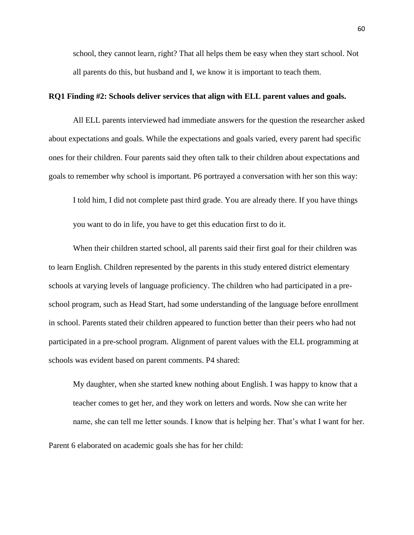school, they cannot learn, right? That all helps them be easy when they start school. Not all parents do this, but husband and I, we know it is important to teach them.

# **RQ1 Finding #2: Schools deliver services that align with ELL parent values and goals.**

All ELL parents interviewed had immediate answers for the question the researcher asked about expectations and goals. While the expectations and goals varied, every parent had specific ones for their children. Four parents said they often talk to their children about expectations and goals to remember why school is important. P6 portrayed a conversation with her son this way:

I told him, I did not complete past third grade. You are already there. If you have things

you want to do in life, you have to get this education first to do it.

When their children started school, all parents said their first goal for their children was to learn English. Children represented by the parents in this study entered district elementary schools at varying levels of language proficiency. The children who had participated in a preschool program, such as Head Start, had some understanding of the language before enrollment in school. Parents stated their children appeared to function better than their peers who had not participated in a pre-school program. Alignment of parent values with the ELL programming at schools was evident based on parent comments. P4 shared:

My daughter, when she started knew nothing about English. I was happy to know that a teacher comes to get her, and they work on letters and words. Now she can write her name, she can tell me letter sounds. I know that is helping her. That's what I want for her.

Parent 6 elaborated on academic goals she has for her child: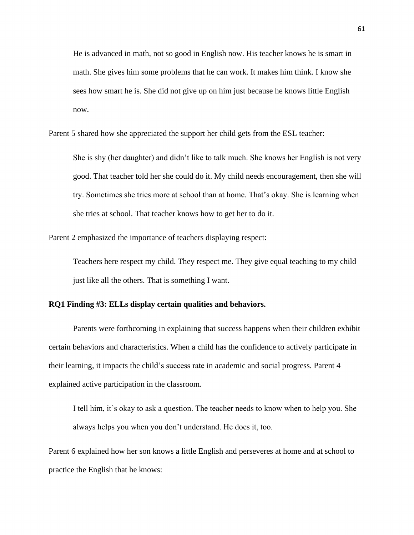He is advanced in math, not so good in English now. His teacher knows he is smart in math. She gives him some problems that he can work. It makes him think. I know she sees how smart he is. She did not give up on him just because he knows little English now.

Parent 5 shared how she appreciated the support her child gets from the ESL teacher:

She is shy (her daughter) and didn't like to talk much. She knows her English is not very good. That teacher told her she could do it. My child needs encouragement, then she will try. Sometimes she tries more at school than at home. That's okay. She is learning when she tries at school. That teacher knows how to get her to do it.

Parent 2 emphasized the importance of teachers displaying respect:

Teachers here respect my child. They respect me. They give equal teaching to my child just like all the others. That is something I want.

# **RQ1 Finding #3: ELLs display certain qualities and behaviors.**

Parents were forthcoming in explaining that success happens when their children exhibit certain behaviors and characteristics. When a child has the confidence to actively participate in their learning, it impacts the child's success rate in academic and social progress. Parent 4 explained active participation in the classroom.

I tell him, it's okay to ask a question. The teacher needs to know when to help you. She always helps you when you don't understand. He does it, too.

Parent 6 explained how her son knows a little English and perseveres at home and at school to practice the English that he knows: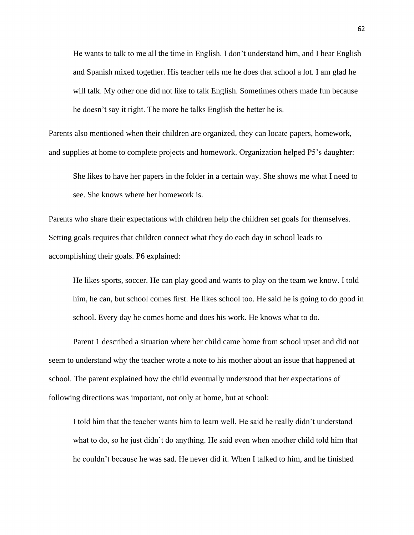He wants to talk to me all the time in English. I don't understand him, and I hear English and Spanish mixed together. His teacher tells me he does that school a lot. I am glad he will talk. My other one did not like to talk English. Sometimes others made fun because he doesn't say it right. The more he talks English the better he is.

Parents also mentioned when their children are organized, they can locate papers, homework, and supplies at home to complete projects and homework. Organization helped P5's daughter:

She likes to have her papers in the folder in a certain way. She shows me what I need to see. She knows where her homework is.

Parents who share their expectations with children help the children set goals for themselves. Setting goals requires that children connect what they do each day in school leads to accomplishing their goals. P6 explained:

He likes sports, soccer. He can play good and wants to play on the team we know. I told him, he can, but school comes first. He likes school too. He said he is going to do good in school. Every day he comes home and does his work. He knows what to do.

Parent 1 described a situation where her child came home from school upset and did not seem to understand why the teacher wrote a note to his mother about an issue that happened at school. The parent explained how the child eventually understood that her expectations of following directions was important, not only at home, but at school:

I told him that the teacher wants him to learn well. He said he really didn't understand what to do, so he just didn't do anything. He said even when another child told him that he couldn't because he was sad. He never did it. When I talked to him, and he finished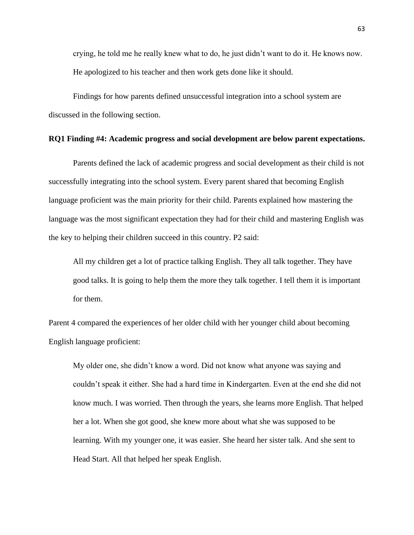crying, he told me he really knew what to do, he just didn't want to do it. He knows now. He apologized to his teacher and then work gets done like it should.

Findings for how parents defined unsuccessful integration into a school system are discussed in the following section.

# **RQ1 Finding #4: Academic progress and social development are below parent expectations.**

Parents defined the lack of academic progress and social development as their child is not successfully integrating into the school system. Every parent shared that becoming English language proficient was the main priority for their child. Parents explained how mastering the language was the most significant expectation they had for their child and mastering English was the key to helping their children succeed in this country. P2 said:

All my children get a lot of practice talking English. They all talk together. They have good talks. It is going to help them the more they talk together. I tell them it is important for them.

Parent 4 compared the experiences of her older child with her younger child about becoming English language proficient:

My older one, she didn't know a word. Did not know what anyone was saying and couldn't speak it either. She had a hard time in Kindergarten. Even at the end she did not know much. I was worried. Then through the years, she learns more English. That helped her a lot. When she got good, she knew more about what she was supposed to be learning. With my younger one, it was easier. She heard her sister talk. And she sent to Head Start. All that helped her speak English.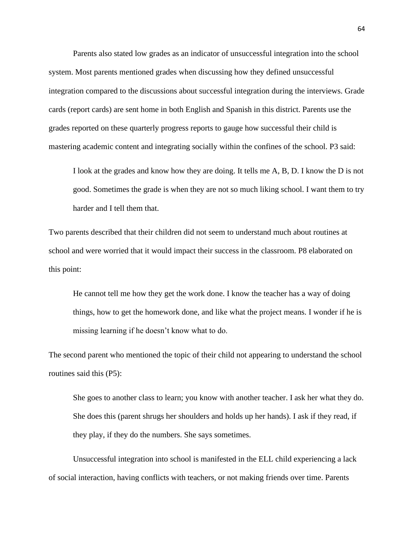Parents also stated low grades as an indicator of unsuccessful integration into the school system. Most parents mentioned grades when discussing how they defined unsuccessful integration compared to the discussions about successful integration during the interviews. Grade cards (report cards) are sent home in both English and Spanish in this district. Parents use the grades reported on these quarterly progress reports to gauge how successful their child is mastering academic content and integrating socially within the confines of the school. P3 said:

I look at the grades and know how they are doing. It tells me A, B, D. I know the D is not good. Sometimes the grade is when they are not so much liking school. I want them to try harder and I tell them that.

Two parents described that their children did not seem to understand much about routines at school and were worried that it would impact their success in the classroom. P8 elaborated on this point:

He cannot tell me how they get the work done. I know the teacher has a way of doing things, how to get the homework done, and like what the project means. I wonder if he is missing learning if he doesn't know what to do.

The second parent who mentioned the topic of their child not appearing to understand the school routines said this (P5):

She goes to another class to learn; you know with another teacher. I ask her what they do. She does this (parent shrugs her shoulders and holds up her hands). I ask if they read, if they play, if they do the numbers. She says sometimes.

Unsuccessful integration into school is manifested in the ELL child experiencing a lack of social interaction, having conflicts with teachers, or not making friends over time. Parents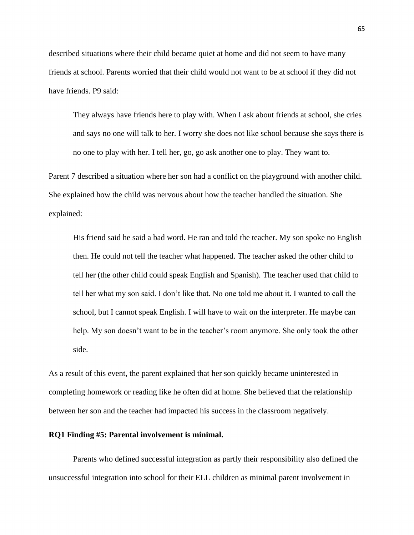described situations where their child became quiet at home and did not seem to have many friends at school. Parents worried that their child would not want to be at school if they did not have friends. P9 said:

They always have friends here to play with. When I ask about friends at school, she cries and says no one will talk to her. I worry she does not like school because she says there is no one to play with her. I tell her, go, go ask another one to play. They want to.

Parent 7 described a situation where her son had a conflict on the playground with another child. She explained how the child was nervous about how the teacher handled the situation. She explained:

His friend said he said a bad word. He ran and told the teacher. My son spoke no English then. He could not tell the teacher what happened. The teacher asked the other child to tell her (the other child could speak English and Spanish). The teacher used that child to tell her what my son said. I don't like that. No one told me about it. I wanted to call the school, but I cannot speak English. I will have to wait on the interpreter. He maybe can help. My son doesn't want to be in the teacher's room anymore. She only took the other side.

As a result of this event, the parent explained that her son quickly became uninterested in completing homework or reading like he often did at home. She believed that the relationship between her son and the teacher had impacted his success in the classroom negatively.

## **RQ1 Finding #5: Parental involvement is minimal.**

Parents who defined successful integration as partly their responsibility also defined the unsuccessful integration into school for their ELL children as minimal parent involvement in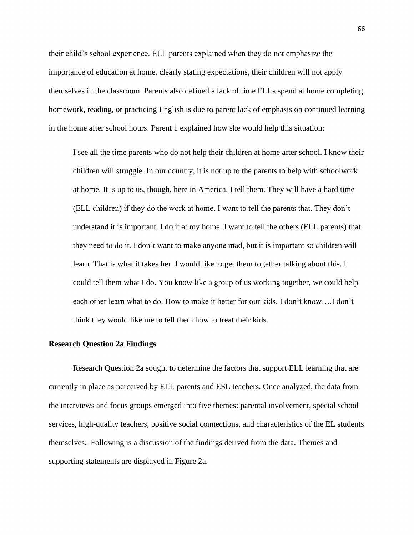their child's school experience. ELL parents explained when they do not emphasize the importance of education at home, clearly stating expectations, their children will not apply themselves in the classroom. Parents also defined a lack of time ELLs spend at home completing homework, reading, or practicing English is due to parent lack of emphasis on continued learning in the home after school hours. Parent 1 explained how she would help this situation:

I see all the time parents who do not help their children at home after school. I know their children will struggle. In our country, it is not up to the parents to help with schoolwork at home. It is up to us, though, here in America, I tell them. They will have a hard time (ELL children) if they do the work at home. I want to tell the parents that. They don't understand it is important. I do it at my home. I want to tell the others (ELL parents) that they need to do it. I don't want to make anyone mad, but it is important so children will learn. That is what it takes her. I would like to get them together talking about this. I could tell them what I do. You know like a group of us working together, we could help each other learn what to do. How to make it better for our kids. I don't know….I don't think they would like me to tell them how to treat their kids.

#### **Research Question 2a Findings**

Research Question 2a sought to determine the factors that support ELL learning that are currently in place as perceived by ELL parents and ESL teachers. Once analyzed, the data from the interviews and focus groups emerged into five themes: parental involvement, special school services, high-quality teachers, positive social connections, and characteristics of the EL students themselves. Following is a discussion of the findings derived from the data. Themes and supporting statements are displayed in Figure 2a.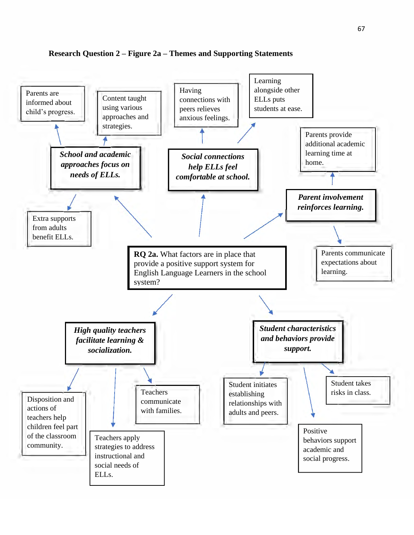

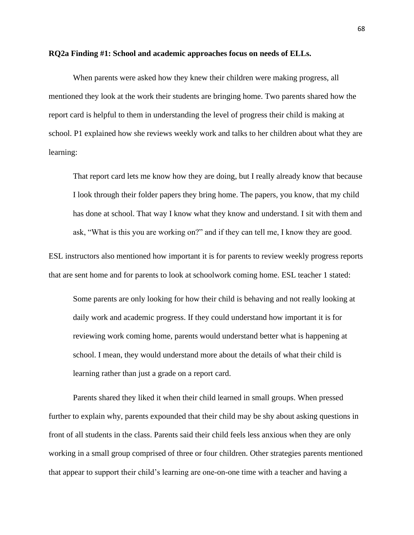#### **RQ2a Finding #1: School and academic approaches focus on needs of ELLs.**

When parents were asked how they knew their children were making progress, all mentioned they look at the work their students are bringing home. Two parents shared how the report card is helpful to them in understanding the level of progress their child is making at school. P1 explained how she reviews weekly work and talks to her children about what they are learning:

That report card lets me know how they are doing, but I really already know that because I look through their folder papers they bring home. The papers, you know, that my child has done at school. That way I know what they know and understand. I sit with them and ask, "What is this you are working on?" and if they can tell me, I know they are good.

ESL instructors also mentioned how important it is for parents to review weekly progress reports that are sent home and for parents to look at schoolwork coming home. ESL teacher 1 stated:

Some parents are only looking for how their child is behaving and not really looking at daily work and academic progress. If they could understand how important it is for reviewing work coming home, parents would understand better what is happening at school. I mean, they would understand more about the details of what their child is learning rather than just a grade on a report card.

Parents shared they liked it when their child learned in small groups. When pressed further to explain why, parents expounded that their child may be shy about asking questions in front of all students in the class. Parents said their child feels less anxious when they are only working in a small group comprised of three or four children. Other strategies parents mentioned that appear to support their child's learning are one-on-one time with a teacher and having a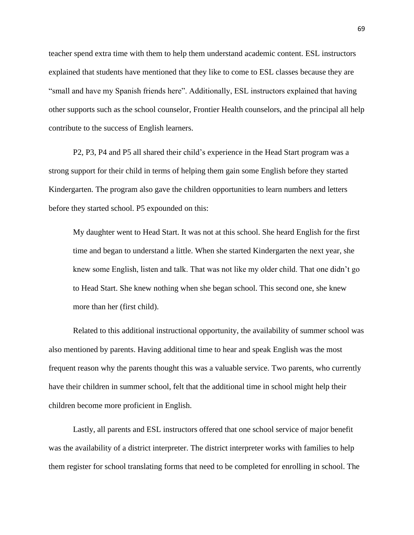teacher spend extra time with them to help them understand academic content. ESL instructors explained that students have mentioned that they like to come to ESL classes because they are "small and have my Spanish friends here". Additionally, ESL instructors explained that having other supports such as the school counselor, Frontier Health counselors, and the principal all help contribute to the success of English learners.

P2, P3, P4 and P5 all shared their child's experience in the Head Start program was a strong support for their child in terms of helping them gain some English before they started Kindergarten. The program also gave the children opportunities to learn numbers and letters before they started school. P5 expounded on this:

My daughter went to Head Start. It was not at this school. She heard English for the first time and began to understand a little. When she started Kindergarten the next year, she knew some English, listen and talk. That was not like my older child. That one didn't go to Head Start. She knew nothing when she began school. This second one, she knew more than her (first child).

Related to this additional instructional opportunity, the availability of summer school was also mentioned by parents. Having additional time to hear and speak English was the most frequent reason why the parents thought this was a valuable service. Two parents, who currently have their children in summer school, felt that the additional time in school might help their children become more proficient in English.

Lastly, all parents and ESL instructors offered that one school service of major benefit was the availability of a district interpreter. The district interpreter works with families to help them register for school translating forms that need to be completed for enrolling in school. The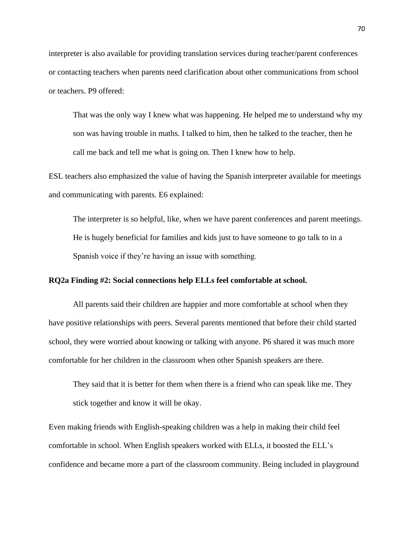interpreter is also available for providing translation services during teacher/parent conferences or contacting teachers when parents need clarification about other communications from school or teachers. P9 offered:

That was the only way I knew what was happening. He helped me to understand why my son was having trouble in maths. I talked to him, then he talked to the teacher, then he call me back and tell me what is going on. Then I knew how to help.

ESL teachers also emphasized the value of having the Spanish interpreter available for meetings and communicating with parents. E6 explained:

The interpreter is so helpful, like, when we have parent conferences and parent meetings. He is hugely beneficial for families and kids just to have someone to go talk to in a Spanish voice if they're having an issue with something.

# **RQ2a Finding #2: Social connections help ELLs feel comfortable at school.**

All parents said their children are happier and more comfortable at school when they have positive relationships with peers. Several parents mentioned that before their child started school, they were worried about knowing or talking with anyone. P6 shared it was much more comfortable for her children in the classroom when other Spanish speakers are there.

They said that it is better for them when there is a friend who can speak like me. They stick together and know it will be okay.

Even making friends with English-speaking children was a help in making their child feel comfortable in school. When English speakers worked with ELLs, it boosted the ELL's confidence and became more a part of the classroom community. Being included in playground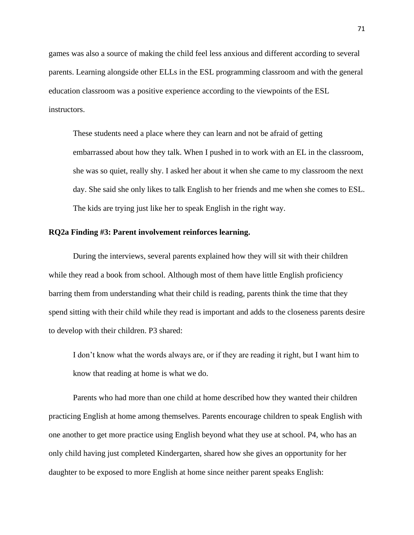games was also a source of making the child feel less anxious and different according to several parents. Learning alongside other ELLs in the ESL programming classroom and with the general education classroom was a positive experience according to the viewpoints of the ESL instructors.

These students need a place where they can learn and not be afraid of getting embarrassed about how they talk. When I pushed in to work with an EL in the classroom, she was so quiet, really shy. I asked her about it when she came to my classroom the next day. She said she only likes to talk English to her friends and me when she comes to ESL. The kids are trying just like her to speak English in the right way.

# **RQ2a Finding #3: Parent involvement reinforces learning.**

During the interviews, several parents explained how they will sit with their children while they read a book from school. Although most of them have little English proficiency barring them from understanding what their child is reading, parents think the time that they spend sitting with their child while they read is important and adds to the closeness parents desire to develop with their children. P3 shared:

I don't know what the words always are, or if they are reading it right, but I want him to know that reading at home is what we do.

Parents who had more than one child at home described how they wanted their children practicing English at home among themselves. Parents encourage children to speak English with one another to get more practice using English beyond what they use at school. P4, who has an only child having just completed Kindergarten, shared how she gives an opportunity for her daughter to be exposed to more English at home since neither parent speaks English: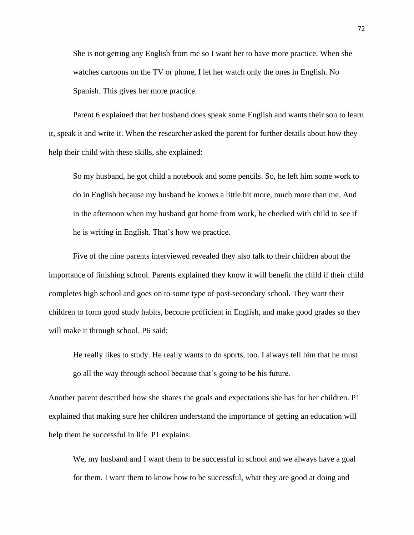She is not getting any English from me so I want her to have more practice. When she watches cartoons on the TV or phone, I let her watch only the ones in English. No Spanish. This gives her more practice.

Parent 6 explained that her husband does speak some English and wants their son to learn it, speak it and write it. When the researcher asked the parent for further details about how they help their child with these skills, she explained:

So my husband, he got child a notebook and some pencils. So, he left him some work to do in English because my husband he knows a little bit more, much more than me. And in the afternoon when my husband got home from work, he checked with child to see if he is writing in English. That's how we practice.

Five of the nine parents interviewed revealed they also talk to their children about the importance of finishing school. Parents explained they know it will benefit the child if their child completes high school and goes on to some type of post-secondary school. They want their children to form good study habits, become proficient in English, and make good grades so they will make it through school. P6 said:

He really likes to study. He really wants to do sports, too. I always tell him that he must go all the way through school because that's going to be his future.

Another parent described how she shares the goals and expectations she has for her children. P1 explained that making sure her children understand the importance of getting an education will help them be successful in life. P1 explains:

We, my husband and I want them to be successful in school and we always have a goal for them. I want them to know how to be successful, what they are good at doing and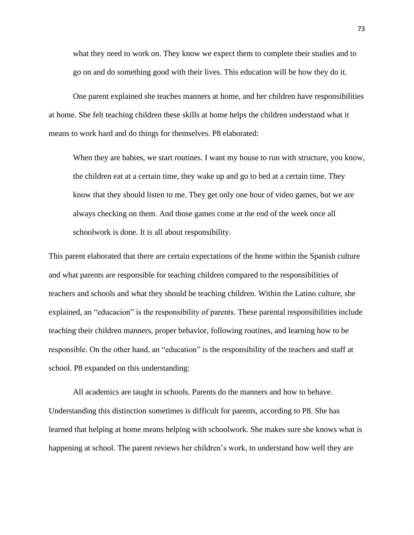what they need to work on. They know we expect them to complete their studies and to go on and do something good with their lives. This education will be how they do it.

One parent explained she teaches manners at home, and her children have responsibilities at home. She felt teaching children these skills at home helps the children understand what it means to work hard and do things for themselves. P8 elaborated:

When they are babies, we start routines. I want my house to run with structure, you know, the children eat at a certain time, they wake up and go to bed at a certain time. They know that they should listen to me. They get only one hour of video games, but we are always checking on them. And those games come at the end of the week once all schoolwork is done. It is all about responsibility.

This parent elaborated that there are certain expectations of the home within the Spanish culture and what parents are responsible for teaching children compared to the responsibilities of teachers and schools and what they should be teaching children. Within the Latino culture, she explained, an "educacion" is the responsibility of parents. These parental responsibilities include teaching their children manners, proper behavior, following routines, and learning how to be responsible. On the other hand, an "education" is the responsibility of the teachers and staff at school. P8 expanded on this understanding:

All academics are taught in schools. Parents do the manners and how to behave. Understanding this distinction sometimes is difficult for parents, according to P8. She has learned that helping at home means helping with schoolwork. She makes sure she knows what is happening at school. The parent reviews her children's work, to understand how well they are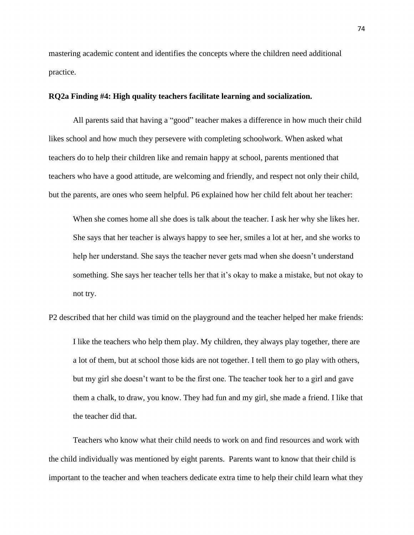mastering academic content and identifies the concepts where the children need additional practice.

# **RQ2a Finding #4: High quality teachers facilitate learning and socialization.**

All parents said that having a "good" teacher makes a difference in how much their child likes school and how much they persevere with completing schoolwork. When asked what teachers do to help their children like and remain happy at school, parents mentioned that teachers who have a good attitude, are welcoming and friendly, and respect not only their child, but the parents, are ones who seem helpful. P6 explained how her child felt about her teacher:

When she comes home all she does is talk about the teacher. I ask her why she likes her. She says that her teacher is always happy to see her, smiles a lot at her, and she works to help her understand. She says the teacher never gets mad when she doesn't understand something. She says her teacher tells her that it's okay to make a mistake, but not okay to not try.

P2 described that her child was timid on the playground and the teacher helped her make friends: I like the teachers who help them play. My children, they always play together, there are a lot of them, but at school those kids are not together. I tell them to go play with others, but my girl she doesn't want to be the first one. The teacher took her to a girl and gave them a chalk, to draw, you know. They had fun and my girl, she made a friend. I like that the teacher did that.

Teachers who know what their child needs to work on and find resources and work with the child individually was mentioned by eight parents. Parents want to know that their child is important to the teacher and when teachers dedicate extra time to help their child learn what they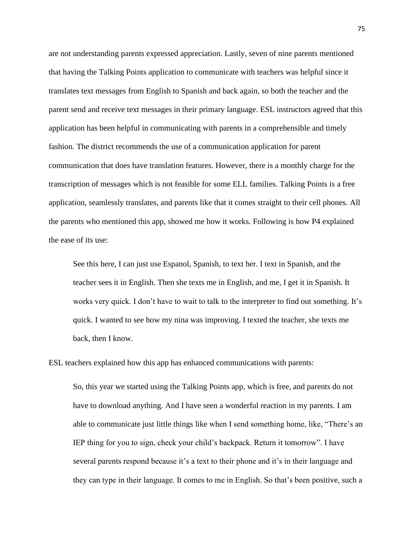are not understanding parents expressed appreciation. Lastly, seven of nine parents mentioned that having the Talking Points application to communicate with teachers was helpful since it translates text messages from English to Spanish and back again, so both the teacher and the parent send and receive text messages in their primary language. ESL instructors agreed that this application has been helpful in communicating with parents in a comprehensible and timely fashion. The district recommends the use of a communication application for parent communication that does have translation features. However, there is a monthly charge for the transcription of messages which is not feasible for some ELL families. Talking Points is a free application, seamlessly translates, and parents like that it comes straight to their cell phones. All the parents who mentioned this app, showed me how it works. Following is how P4 explained the ease of its use:

See this here, I can just use Espanol, Spanish, to text her. I text in Spanish, and the teacher sees it in English. Then she texts me in English, and me, I get it in Spanish. It works very quick. I don't have to wait to talk to the interpreter to find out something. It's quick. I wanted to see how my nina was improving. I texted the teacher, she texts me back, then I know.

ESL teachers explained how this app has enhanced communications with parents:

So, this year we started using the Talking Points app, which is free, and parents do not have to download anything. And I have seen a wonderful reaction in my parents. I am able to communicate just little things like when I send something home, like, "There's an IEP thing for you to sign, check your child's backpack. Return it tomorrow". I have several parents respond because it's a text to their phone and it's in their language and they can type in their language. It comes to me in English. So that's been positive, such a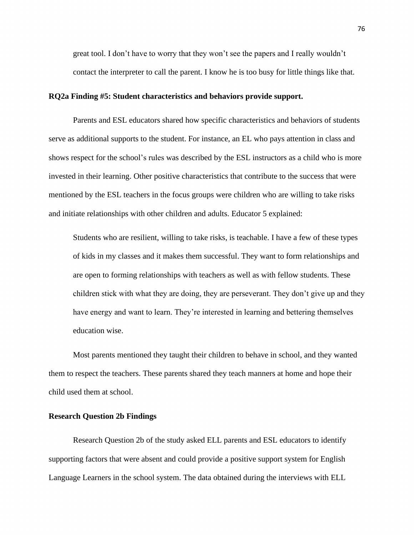great tool. I don't have to worry that they won't see the papers and I really wouldn't contact the interpreter to call the parent. I know he is too busy for little things like that.

# **RQ2a Finding #5: Student characteristics and behaviors provide support.**

Parents and ESL educators shared how specific characteristics and behaviors of students serve as additional supports to the student. For instance, an EL who pays attention in class and shows respect for the school's rules was described by the ESL instructors as a child who is more invested in their learning. Other positive characteristics that contribute to the success that were mentioned by the ESL teachers in the focus groups were children who are willing to take risks and initiate relationships with other children and adults. Educator 5 explained:

Students who are resilient, willing to take risks, is teachable. I have a few of these types of kids in my classes and it makes them successful. They want to form relationships and are open to forming relationships with teachers as well as with fellow students. These children stick with what they are doing, they are perseverant. They don't give up and they have energy and want to learn. They're interested in learning and bettering themselves education wise.

Most parents mentioned they taught their children to behave in school, and they wanted them to respect the teachers. These parents shared they teach manners at home and hope their child used them at school.

# **Research Question 2b Findings**

Research Question 2b of the study asked ELL parents and ESL educators to identify supporting factors that were absent and could provide a positive support system for English Language Learners in the school system. The data obtained during the interviews with ELL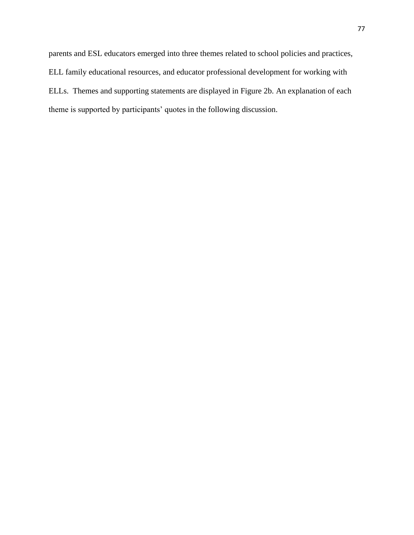parents and ESL educators emerged into three themes related to school policies and practices, ELL family educational resources, and educator professional development for working with ELLs. Themes and supporting statements are displayed in Figure 2b. An explanation of each theme is supported by participants' quotes in the following discussion.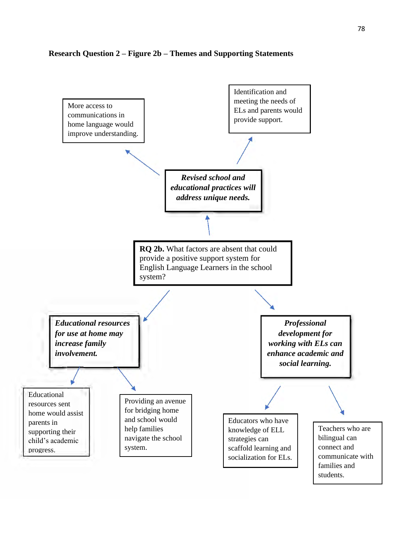# **Research Question 2 – Figure 2b – Themes and Supporting Statements**

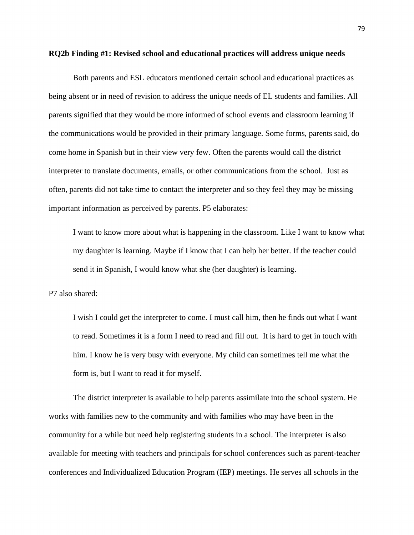#### **RQ2b Finding #1: Revised school and educational practices will address unique needs**

Both parents and ESL educators mentioned certain school and educational practices as being absent or in need of revision to address the unique needs of EL students and families. All parents signified that they would be more informed of school events and classroom learning if the communications would be provided in their primary language. Some forms, parents said, do come home in Spanish but in their view very few. Often the parents would call the district interpreter to translate documents, emails, or other communications from the school. Just as often, parents did not take time to contact the interpreter and so they feel they may be missing important information as perceived by parents. P5 elaborates:

I want to know more about what is happening in the classroom. Like I want to know what my daughter is learning. Maybe if I know that I can help her better. If the teacher could send it in Spanish, I would know what she (her daughter) is learning.

P7 also shared:

I wish I could get the interpreter to come. I must call him, then he finds out what I want to read. Sometimes it is a form I need to read and fill out. It is hard to get in touch with him. I know he is very busy with everyone. My child can sometimes tell me what the form is, but I want to read it for myself.

The district interpreter is available to help parents assimilate into the school system. He works with families new to the community and with families who may have been in the community for a while but need help registering students in a school. The interpreter is also available for meeting with teachers and principals for school conferences such as parent-teacher conferences and Individualized Education Program (IEP) meetings. He serves all schools in the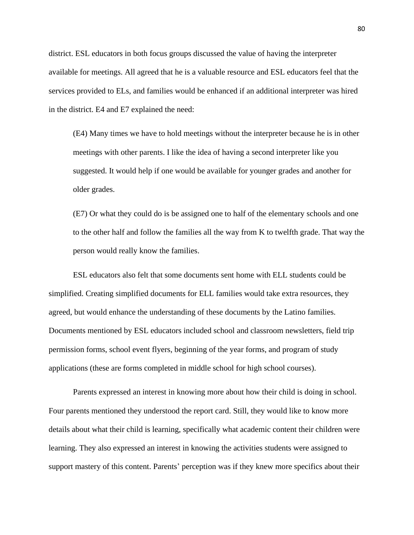district. ESL educators in both focus groups discussed the value of having the interpreter available for meetings. All agreed that he is a valuable resource and ESL educators feel that the services provided to ELs, and families would be enhanced if an additional interpreter was hired in the district. E4 and E7 explained the need:

(E4) Many times we have to hold meetings without the interpreter because he is in other meetings with other parents. I like the idea of having a second interpreter like you suggested. It would help if one would be available for younger grades and another for older grades.

(E7) Or what they could do is be assigned one to half of the elementary schools and one to the other half and follow the families all the way from K to twelfth grade. That way the person would really know the families.

ESL educators also felt that some documents sent home with ELL students could be simplified. Creating simplified documents for ELL families would take extra resources, they agreed, but would enhance the understanding of these documents by the Latino families. Documents mentioned by ESL educators included school and classroom newsletters, field trip permission forms, school event flyers, beginning of the year forms, and program of study applications (these are forms completed in middle school for high school courses).

Parents expressed an interest in knowing more about how their child is doing in school. Four parents mentioned they understood the report card. Still, they would like to know more details about what their child is learning, specifically what academic content their children were learning. They also expressed an interest in knowing the activities students were assigned to support mastery of this content. Parents' perception was if they knew more specifics about their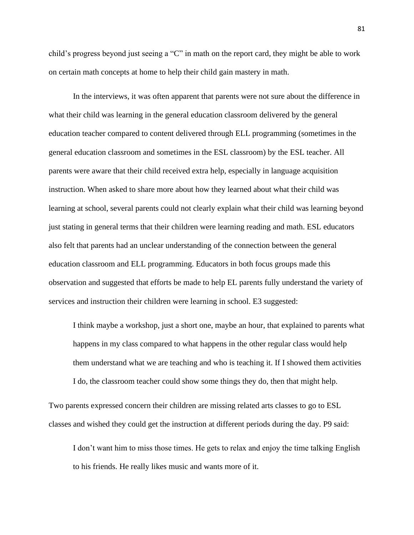child's progress beyond just seeing a "C" in math on the report card, they might be able to work on certain math concepts at home to help their child gain mastery in math.

In the interviews, it was often apparent that parents were not sure about the difference in what their child was learning in the general education classroom delivered by the general education teacher compared to content delivered through ELL programming (sometimes in the general education classroom and sometimes in the ESL classroom) by the ESL teacher. All parents were aware that their child received extra help, especially in language acquisition instruction. When asked to share more about how they learned about what their child was learning at school, several parents could not clearly explain what their child was learning beyond just stating in general terms that their children were learning reading and math. ESL educators also felt that parents had an unclear understanding of the connection between the general education classroom and ELL programming. Educators in both focus groups made this observation and suggested that efforts be made to help EL parents fully understand the variety of services and instruction their children were learning in school. E3 suggested:

I think maybe a workshop, just a short one, maybe an hour, that explained to parents what happens in my class compared to what happens in the other regular class would help them understand what we are teaching and who is teaching it. If I showed them activities I do, the classroom teacher could show some things they do, then that might help.

Two parents expressed concern their children are missing related arts classes to go to ESL classes and wished they could get the instruction at different periods during the day. P9 said:

I don't want him to miss those times. He gets to relax and enjoy the time talking English to his friends. He really likes music and wants more of it.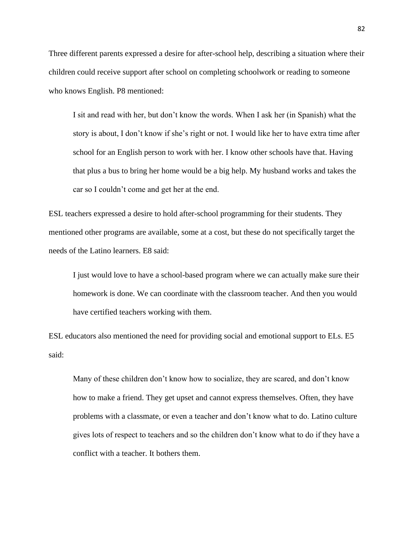Three different parents expressed a desire for after-school help, describing a situation where their children could receive support after school on completing schoolwork or reading to someone who knows English. P8 mentioned:

I sit and read with her, but don't know the words. When I ask her (in Spanish) what the story is about, I don't know if she's right or not. I would like her to have extra time after school for an English person to work with her. I know other schools have that. Having that plus a bus to bring her home would be a big help. My husband works and takes the car so I couldn't come and get her at the end.

ESL teachers expressed a desire to hold after-school programming for their students. They mentioned other programs are available, some at a cost, but these do not specifically target the needs of the Latino learners. E8 said:

I just would love to have a school-based program where we can actually make sure their homework is done. We can coordinate with the classroom teacher. And then you would have certified teachers working with them.

ESL educators also mentioned the need for providing social and emotional support to ELs. E5 said:

Many of these children don't know how to socialize, they are scared, and don't know how to make a friend. They get upset and cannot express themselves. Often, they have problems with a classmate, or even a teacher and don't know what to do. Latino culture gives lots of respect to teachers and so the children don't know what to do if they have a conflict with a teacher. It bothers them.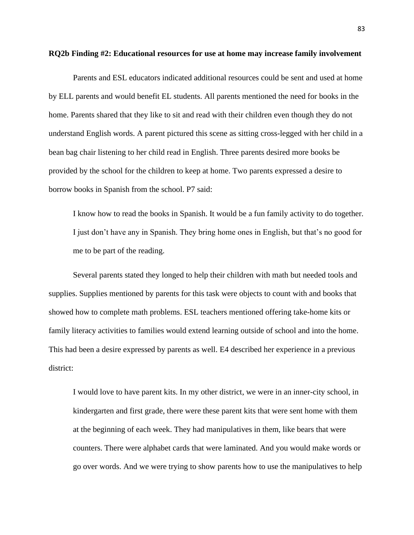# **RQ2b Finding #2: Educational resources for use at home may increase family involvement**

Parents and ESL educators indicated additional resources could be sent and used at home by ELL parents and would benefit EL students. All parents mentioned the need for books in the home. Parents shared that they like to sit and read with their children even though they do not understand English words. A parent pictured this scene as sitting cross-legged with her child in a bean bag chair listening to her child read in English. Three parents desired more books be provided by the school for the children to keep at home. Two parents expressed a desire to borrow books in Spanish from the school. P7 said:

I know how to read the books in Spanish. It would be a fun family activity to do together. I just don't have any in Spanish. They bring home ones in English, but that's no good for me to be part of the reading.

Several parents stated they longed to help their children with math but needed tools and supplies. Supplies mentioned by parents for this task were objects to count with and books that showed how to complete math problems. ESL teachers mentioned offering take-home kits or family literacy activities to families would extend learning outside of school and into the home. This had been a desire expressed by parents as well. E4 described her experience in a previous district:

I would love to have parent kits. In my other district, we were in an inner-city school, in kindergarten and first grade, there were these parent kits that were sent home with them at the beginning of each week. They had manipulatives in them, like bears that were counters. There were alphabet cards that were laminated. And you would make words or go over words. And we were trying to show parents how to use the manipulatives to help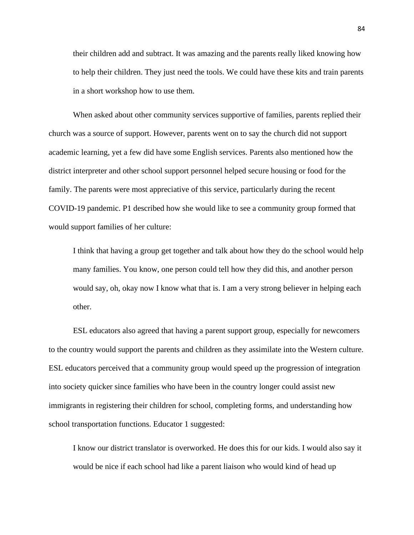their children add and subtract. It was amazing and the parents really liked knowing how to help their children. They just need the tools. We could have these kits and train parents in a short workshop how to use them.

When asked about other community services supportive of families, parents replied their church was a source of support. However, parents went on to say the church did not support academic learning, yet a few did have some English services. Parents also mentioned how the district interpreter and other school support personnel helped secure housing or food for the family. The parents were most appreciative of this service, particularly during the recent COVID-19 pandemic. P1 described how she would like to see a community group formed that would support families of her culture:

I think that having a group get together and talk about how they do the school would help many families. You know, one person could tell how they did this, and another person would say, oh, okay now I know what that is. I am a very strong believer in helping each other.

ESL educators also agreed that having a parent support group, especially for newcomers to the country would support the parents and children as they assimilate into the Western culture. ESL educators perceived that a community group would speed up the progression of integration into society quicker since families who have been in the country longer could assist new immigrants in registering their children for school, completing forms, and understanding how school transportation functions. Educator 1 suggested:

I know our district translator is overworked. He does this for our kids. I would also say it would be nice if each school had like a parent liaison who would kind of head up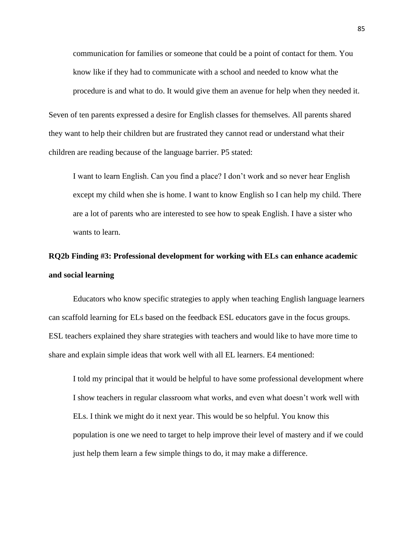communication for families or someone that could be a point of contact for them. You know like if they had to communicate with a school and needed to know what the procedure is and what to do. It would give them an avenue for help when they needed it.

Seven of ten parents expressed a desire for English classes for themselves. All parents shared they want to help their children but are frustrated they cannot read or understand what their children are reading because of the language barrier. P5 stated:

I want to learn English. Can you find a place? I don't work and so never hear English except my child when she is home. I want to know English so I can help my child. There are a lot of parents who are interested to see how to speak English. I have a sister who wants to learn.

# **RQ2b Finding #3: Professional development for working with ELs can enhance academic and social learning**

Educators who know specific strategies to apply when teaching English language learners can scaffold learning for ELs based on the feedback ESL educators gave in the focus groups. ESL teachers explained they share strategies with teachers and would like to have more time to share and explain simple ideas that work well with all EL learners. E4 mentioned:

I told my principal that it would be helpful to have some professional development where I show teachers in regular classroom what works, and even what doesn't work well with ELs. I think we might do it next year. This would be so helpful. You know this population is one we need to target to help improve their level of mastery and if we could just help them learn a few simple things to do, it may make a difference.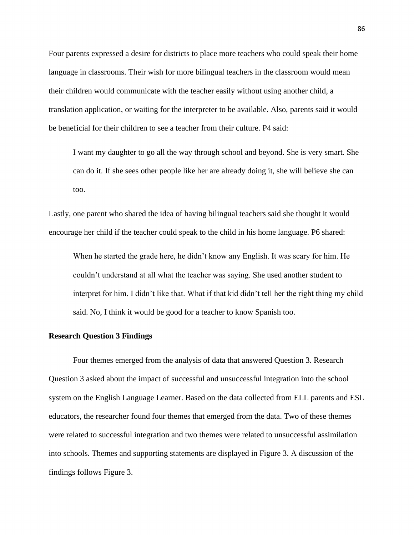Four parents expressed a desire for districts to place more teachers who could speak their home language in classrooms. Their wish for more bilingual teachers in the classroom would mean their children would communicate with the teacher easily without using another child, a translation application, or waiting for the interpreter to be available. Also, parents said it would be beneficial for their children to see a teacher from their culture. P4 said:

I want my daughter to go all the way through school and beyond. She is very smart. She can do it. If she sees other people like her are already doing it, she will believe she can too.

Lastly, one parent who shared the idea of having bilingual teachers said she thought it would encourage her child if the teacher could speak to the child in his home language. P6 shared:

When he started the grade here, he didn't know any English. It was scary for him. He couldn't understand at all what the teacher was saying. She used another student to interpret for him. I didn't like that. What if that kid didn't tell her the right thing my child said. No, I think it would be good for a teacher to know Spanish too.

## **Research Question 3 Findings**

Four themes emerged from the analysis of data that answered Question 3. Research Question 3 asked about the impact of successful and unsuccessful integration into the school system on the English Language Learner. Based on the data collected from ELL parents and ESL educators, the researcher found four themes that emerged from the data. Two of these themes were related to successful integration and two themes were related to unsuccessful assimilation into schools. Themes and supporting statements are displayed in Figure 3. A discussion of the findings follows Figure 3.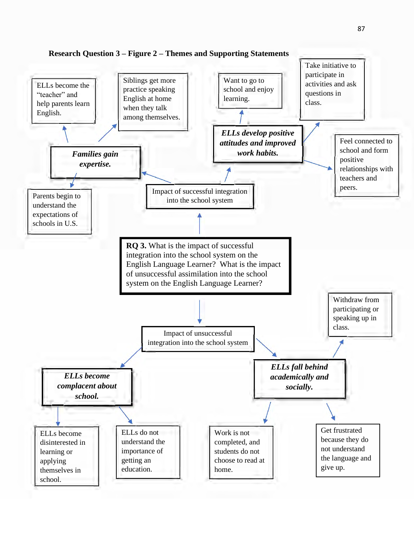

**Research Question 3 – Figure 2 – Themes and Supporting Statements**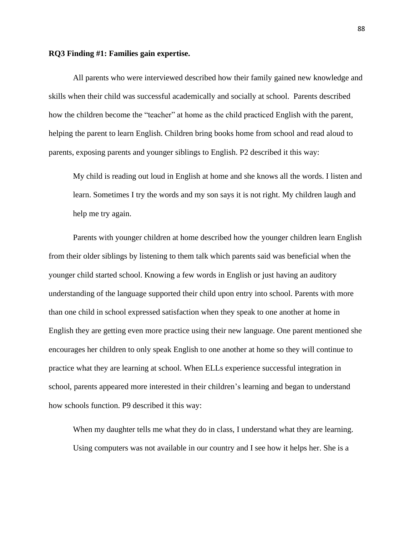#### **RQ3 Finding #1: Families gain expertise.**

All parents who were interviewed described how their family gained new knowledge and skills when their child was successful academically and socially at school. Parents described how the children become the "teacher" at home as the child practiced English with the parent, helping the parent to learn English. Children bring books home from school and read aloud to parents, exposing parents and younger siblings to English. P2 described it this way:

My child is reading out loud in English at home and she knows all the words. I listen and learn. Sometimes I try the words and my son says it is not right. My children laugh and help me try again.

Parents with younger children at home described how the younger children learn English from their older siblings by listening to them talk which parents said was beneficial when the younger child started school. Knowing a few words in English or just having an auditory understanding of the language supported their child upon entry into school. Parents with more than one child in school expressed satisfaction when they speak to one another at home in English they are getting even more practice using their new language. One parent mentioned she encourages her children to only speak English to one another at home so they will continue to practice what they are learning at school. When ELLs experience successful integration in school, parents appeared more interested in their children's learning and began to understand how schools function. P9 described it this way:

When my daughter tells me what they do in class, I understand what they are learning. Using computers was not available in our country and I see how it helps her. She is a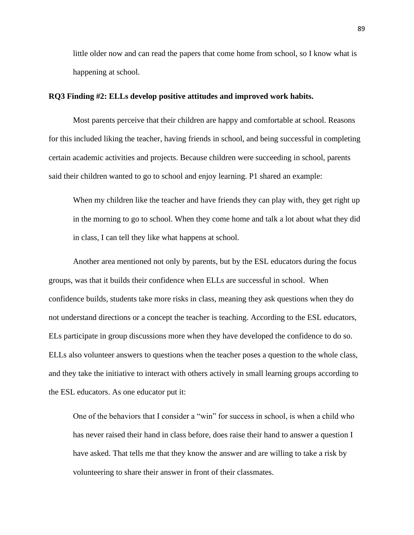little older now and can read the papers that come home from school, so I know what is happening at school.

# **RQ3 Finding #2: ELLs develop positive attitudes and improved work habits.**

Most parents perceive that their children are happy and comfortable at school. Reasons for this included liking the teacher, having friends in school, and being successful in completing certain academic activities and projects. Because children were succeeding in school, parents said their children wanted to go to school and enjoy learning. P1 shared an example:

When my children like the teacher and have friends they can play with, they get right up in the morning to go to school. When they come home and talk a lot about what they did in class, I can tell they like what happens at school.

Another area mentioned not only by parents, but by the ESL educators during the focus groups, was that it builds their confidence when ELLs are successful in school. When confidence builds, students take more risks in class, meaning they ask questions when they do not understand directions or a concept the teacher is teaching. According to the ESL educators, ELs participate in group discussions more when they have developed the confidence to do so. ELLs also volunteer answers to questions when the teacher poses a question to the whole class, and they take the initiative to interact with others actively in small learning groups according to the ESL educators. As one educator put it:

One of the behaviors that I consider a "win" for success in school, is when a child who has never raised their hand in class before, does raise their hand to answer a question I have asked. That tells me that they know the answer and are willing to take a risk by volunteering to share their answer in front of their classmates.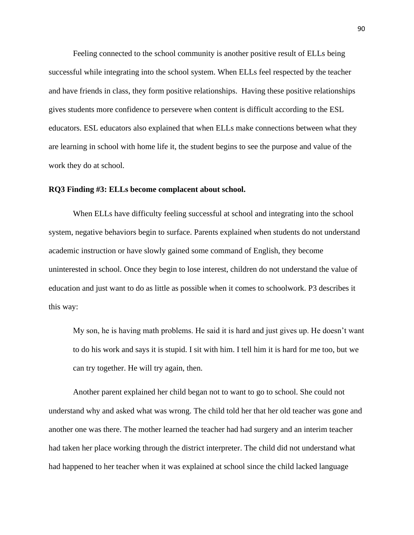Feeling connected to the school community is another positive result of ELLs being successful while integrating into the school system. When ELLs feel respected by the teacher and have friends in class, they form positive relationships. Having these positive relationships gives students more confidence to persevere when content is difficult according to the ESL educators. ESL educators also explained that when ELLs make connections between what they are learning in school with home life it, the student begins to see the purpose and value of the work they do at school.

# **RQ3 Finding #3: ELLs become complacent about school.**

When ELLs have difficulty feeling successful at school and integrating into the school system, negative behaviors begin to surface. Parents explained when students do not understand academic instruction or have slowly gained some command of English, they become uninterested in school. Once they begin to lose interest, children do not understand the value of education and just want to do as little as possible when it comes to schoolwork. P3 describes it this way:

My son, he is having math problems. He said it is hard and just gives up. He doesn't want to do his work and says it is stupid. I sit with him. I tell him it is hard for me too, but we can try together. He will try again, then.

Another parent explained her child began not to want to go to school. She could not understand why and asked what was wrong. The child told her that her old teacher was gone and another one was there. The mother learned the teacher had had surgery and an interim teacher had taken her place working through the district interpreter. The child did not understand what had happened to her teacher when it was explained at school since the child lacked language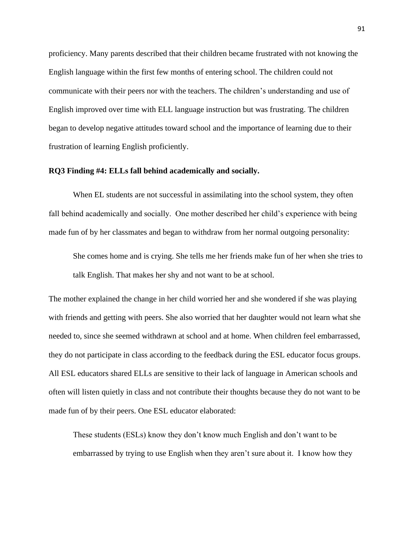proficiency. Many parents described that their children became frustrated with not knowing the English language within the first few months of entering school. The children could not communicate with their peers nor with the teachers. The children's understanding and use of English improved over time with ELL language instruction but was frustrating. The children began to develop negative attitudes toward school and the importance of learning due to their frustration of learning English proficiently.

# **RQ3 Finding #4: ELLs fall behind academically and socially.**

When EL students are not successful in assimilating into the school system, they often fall behind academically and socially. One mother described her child's experience with being made fun of by her classmates and began to withdraw from her normal outgoing personality:

She comes home and is crying. She tells me her friends make fun of her when she tries to talk English. That makes her shy and not want to be at school.

The mother explained the change in her child worried her and she wondered if she was playing with friends and getting with peers. She also worried that her daughter would not learn what she needed to, since she seemed withdrawn at school and at home. When children feel embarrassed, they do not participate in class according to the feedback during the ESL educator focus groups. All ESL educators shared ELLs are sensitive to their lack of language in American schools and often will listen quietly in class and not contribute their thoughts because they do not want to be made fun of by their peers. One ESL educator elaborated:

These students (ESLs) know they don't know much English and don't want to be embarrassed by trying to use English when they aren't sure about it. I know how they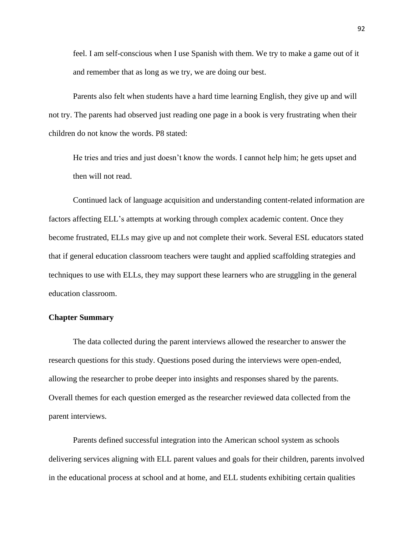feel. I am self-conscious when I use Spanish with them. We try to make a game out of it and remember that as long as we try, we are doing our best.

Parents also felt when students have a hard time learning English, they give up and will not try. The parents had observed just reading one page in a book is very frustrating when their children do not know the words. P8 stated:

He tries and tries and just doesn't know the words. I cannot help him; he gets upset and then will not read.

Continued lack of language acquisition and understanding content-related information are factors affecting ELL's attempts at working through complex academic content. Once they become frustrated, ELLs may give up and not complete their work. Several ESL educators stated that if general education classroom teachers were taught and applied scaffolding strategies and techniques to use with ELLs, they may support these learners who are struggling in the general education classroom.

## **Chapter Summary**

The data collected during the parent interviews allowed the researcher to answer the research questions for this study. Questions posed during the interviews were open-ended, allowing the researcher to probe deeper into insights and responses shared by the parents. Overall themes for each question emerged as the researcher reviewed data collected from the parent interviews.

Parents defined successful integration into the American school system as schools delivering services aligning with ELL parent values and goals for their children, parents involved in the educational process at school and at home, and ELL students exhibiting certain qualities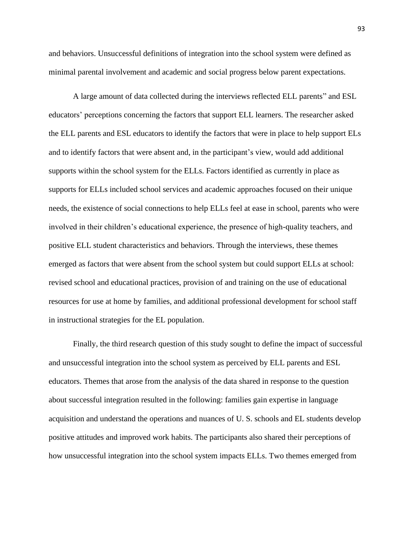and behaviors. Unsuccessful definitions of integration into the school system were defined as minimal parental involvement and academic and social progress below parent expectations.

A large amount of data collected during the interviews reflected ELL parents" and ESL educators' perceptions concerning the factors that support ELL learners. The researcher asked the ELL parents and ESL educators to identify the factors that were in place to help support ELs and to identify factors that were absent and, in the participant's view, would add additional supports within the school system for the ELLs. Factors identified as currently in place as supports for ELLs included school services and academic approaches focused on their unique needs, the existence of social connections to help ELLs feel at ease in school, parents who were involved in their children's educational experience, the presence of high-quality teachers, and positive ELL student characteristics and behaviors. Through the interviews, these themes emerged as factors that were absent from the school system but could support ELLs at school: revised school and educational practices, provision of and training on the use of educational resources for use at home by families, and additional professional development for school staff in instructional strategies for the EL population.

Finally, the third research question of this study sought to define the impact of successful and unsuccessful integration into the school system as perceived by ELL parents and ESL educators. Themes that arose from the analysis of the data shared in response to the question about successful integration resulted in the following: families gain expertise in language acquisition and understand the operations and nuances of U. S. schools and EL students develop positive attitudes and improved work habits. The participants also shared their perceptions of how unsuccessful integration into the school system impacts ELLs. Two themes emerged from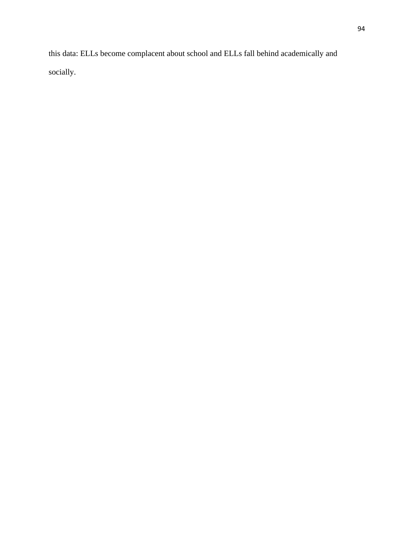this data: ELLs become complacent about school and ELLs fall behind academically and socially.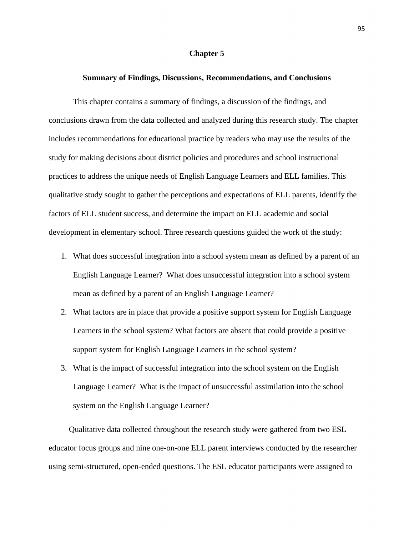#### **Chapter 5**

#### **Summary of Findings, Discussions, Recommendations, and Conclusions**

This chapter contains a summary of findings, a discussion of the findings, and conclusions drawn from the data collected and analyzed during this research study. The chapter includes recommendations for educational practice by readers who may use the results of the study for making decisions about district policies and procedures and school instructional practices to address the unique needs of English Language Learners and ELL families. This qualitative study sought to gather the perceptions and expectations of ELL parents, identify the factors of ELL student success, and determine the impact on ELL academic and social development in elementary school. Three research questions guided the work of the study:

- 1. What does successful integration into a school system mean as defined by a parent of an English Language Learner? What does unsuccessful integration into a school system mean as defined by a parent of an English Language Learner?
- 2. What factors are in place that provide a positive support system for English Language Learners in the school system? What factors are absent that could provide a positive support system for English Language Learners in the school system?
- 3. What is the impact of successful integration into the school system on the English Language Learner? What is the impact of unsuccessful assimilation into the school system on the English Language Learner?

 Qualitative data collected throughout the research study were gathered from two ESL educator focus groups and nine one-on-one ELL parent interviews conducted by the researcher using semi-structured, open-ended questions. The ESL educator participants were assigned to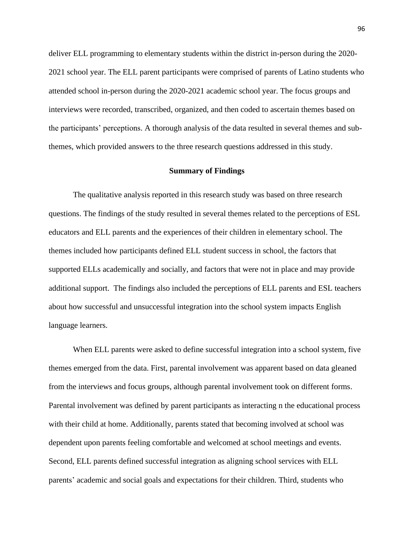deliver ELL programming to elementary students within the district in-person during the 2020- 2021 school year. The ELL parent participants were comprised of parents of Latino students who attended school in-person during the 2020-2021 academic school year. The focus groups and interviews were recorded, transcribed, organized, and then coded to ascertain themes based on the participants' perceptions. A thorough analysis of the data resulted in several themes and subthemes, which provided answers to the three research questions addressed in this study.

## **Summary of Findings**

The qualitative analysis reported in this research study was based on three research questions. The findings of the study resulted in several themes related to the perceptions of ESL educators and ELL parents and the experiences of their children in elementary school. The themes included how participants defined ELL student success in school, the factors that supported ELLs academically and socially, and factors that were not in place and may provide additional support. The findings also included the perceptions of ELL parents and ESL teachers about how successful and unsuccessful integration into the school system impacts English language learners.

When ELL parents were asked to define successful integration into a school system, five themes emerged from the data. First, parental involvement was apparent based on data gleaned from the interviews and focus groups, although parental involvement took on different forms. Parental involvement was defined by parent participants as interacting n the educational process with their child at home. Additionally, parents stated that becoming involved at school was dependent upon parents feeling comfortable and welcomed at school meetings and events. Second, ELL parents defined successful integration as aligning school services with ELL parents' academic and social goals and expectations for their children. Third, students who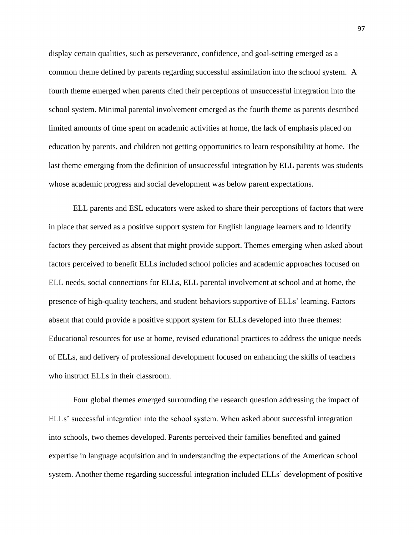display certain qualities, such as perseverance, confidence, and goal-setting emerged as a common theme defined by parents regarding successful assimilation into the school system. A fourth theme emerged when parents cited their perceptions of unsuccessful integration into the school system. Minimal parental involvement emerged as the fourth theme as parents described limited amounts of time spent on academic activities at home, the lack of emphasis placed on education by parents, and children not getting opportunities to learn responsibility at home. The last theme emerging from the definition of unsuccessful integration by ELL parents was students whose academic progress and social development was below parent expectations.

ELL parents and ESL educators were asked to share their perceptions of factors that were in place that served as a positive support system for English language learners and to identify factors they perceived as absent that might provide support. Themes emerging when asked about factors perceived to benefit ELLs included school policies and academic approaches focused on ELL needs, social connections for ELLs, ELL parental involvement at school and at home, the presence of high-quality teachers, and student behaviors supportive of ELLs' learning. Factors absent that could provide a positive support system for ELLs developed into three themes: Educational resources for use at home, revised educational practices to address the unique needs of ELLs, and delivery of professional development focused on enhancing the skills of teachers who instruct ELLs in their classroom.

Four global themes emerged surrounding the research question addressing the impact of ELLs' successful integration into the school system. When asked about successful integration into schools, two themes developed. Parents perceived their families benefited and gained expertise in language acquisition and in understanding the expectations of the American school system. Another theme regarding successful integration included ELLs' development of positive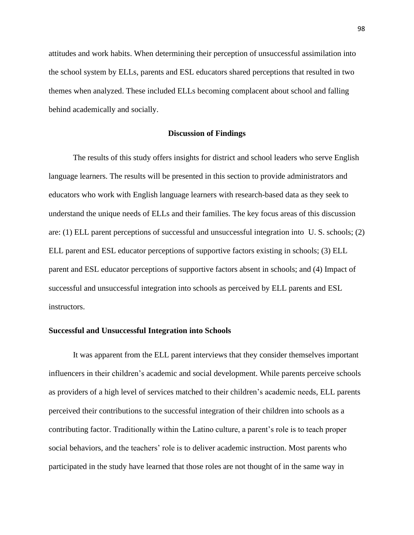attitudes and work habits. When determining their perception of unsuccessful assimilation into the school system by ELLs, parents and ESL educators shared perceptions that resulted in two themes when analyzed. These included ELLs becoming complacent about school and falling behind academically and socially.

### **Discussion of Findings**

The results of this study offers insights for district and school leaders who serve English language learners. The results will be presented in this section to provide administrators and educators who work with English language learners with research-based data as they seek to understand the unique needs of ELLs and their families. The key focus areas of this discussion are: (1) ELL parent perceptions of successful and unsuccessful integration into U. S. schools; (2) ELL parent and ESL educator perceptions of supportive factors existing in schools; (3) ELL parent and ESL educator perceptions of supportive factors absent in schools; and (4) Impact of successful and unsuccessful integration into schools as perceived by ELL parents and ESL instructors.

## **Successful and Unsuccessful Integration into Schools**

It was apparent from the ELL parent interviews that they consider themselves important influencers in their children's academic and social development. While parents perceive schools as providers of a high level of services matched to their children's academic needs, ELL parents perceived their contributions to the successful integration of their children into schools as a contributing factor. Traditionally within the Latino culture, a parent's role is to teach proper social behaviors, and the teachers' role is to deliver academic instruction. Most parents who participated in the study have learned that those roles are not thought of in the same way in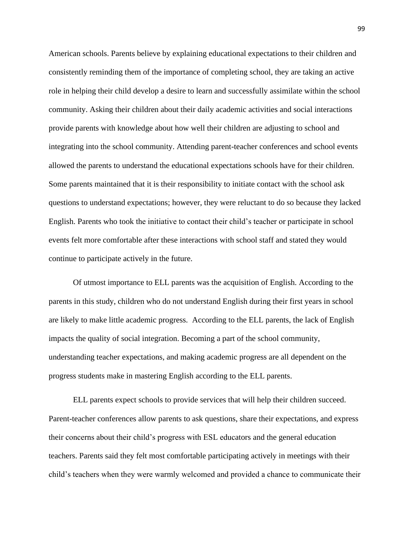American schools. Parents believe by explaining educational expectations to their children and consistently reminding them of the importance of completing school, they are taking an active role in helping their child develop a desire to learn and successfully assimilate within the school community. Asking their children about their daily academic activities and social interactions provide parents with knowledge about how well their children are adjusting to school and integrating into the school community. Attending parent-teacher conferences and school events allowed the parents to understand the educational expectations schools have for their children. Some parents maintained that it is their responsibility to initiate contact with the school ask questions to understand expectations; however, they were reluctant to do so because they lacked English. Parents who took the initiative to contact their child's teacher or participate in school events felt more comfortable after these interactions with school staff and stated they would continue to participate actively in the future.

Of utmost importance to ELL parents was the acquisition of English. According to the parents in this study, children who do not understand English during their first years in school are likely to make little academic progress. According to the ELL parents, the lack of English impacts the quality of social integration. Becoming a part of the school community, understanding teacher expectations, and making academic progress are all dependent on the progress students make in mastering English according to the ELL parents.

ELL parents expect schools to provide services that will help their children succeed. Parent-teacher conferences allow parents to ask questions, share their expectations, and express their concerns about their child's progress with ESL educators and the general education teachers. Parents said they felt most comfortable participating actively in meetings with their child's teachers when they were warmly welcomed and provided a chance to communicate their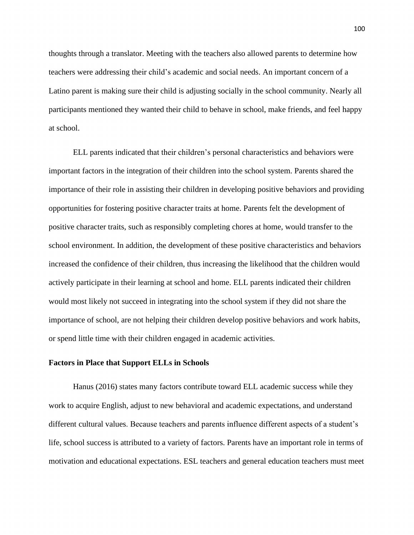thoughts through a translator. Meeting with the teachers also allowed parents to determine how teachers were addressing their child's academic and social needs. An important concern of a Latino parent is making sure their child is adjusting socially in the school community. Nearly all participants mentioned they wanted their child to behave in school, make friends, and feel happy at school.

ELL parents indicated that their children's personal characteristics and behaviors were important factors in the integration of their children into the school system. Parents shared the importance of their role in assisting their children in developing positive behaviors and providing opportunities for fostering positive character traits at home. Parents felt the development of positive character traits, such as responsibly completing chores at home, would transfer to the school environment. In addition, the development of these positive characteristics and behaviors increased the confidence of their children, thus increasing the likelihood that the children would actively participate in their learning at school and home. ELL parents indicated their children would most likely not succeed in integrating into the school system if they did not share the importance of school, are not helping their children develop positive behaviors and work habits, or spend little time with their children engaged in academic activities.

#### **Factors in Place that Support ELLs in Schools**

Hanus (2016) states many factors contribute toward ELL academic success while they work to acquire English, adjust to new behavioral and academic expectations, and understand different cultural values. Because teachers and parents influence different aspects of a student's life, school success is attributed to a variety of factors. Parents have an important role in terms of motivation and educational expectations. ESL teachers and general education teachers must meet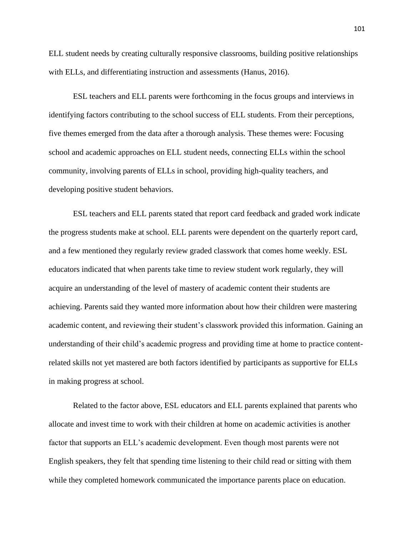ELL student needs by creating culturally responsive classrooms, building positive relationships with ELLs, and differentiating instruction and assessments (Hanus, 2016).

ESL teachers and ELL parents were forthcoming in the focus groups and interviews in identifying factors contributing to the school success of ELL students. From their perceptions, five themes emerged from the data after a thorough analysis. These themes were: Focusing school and academic approaches on ELL student needs, connecting ELLs within the school community, involving parents of ELLs in school, providing high-quality teachers, and developing positive student behaviors.

ESL teachers and ELL parents stated that report card feedback and graded work indicate the progress students make at school. ELL parents were dependent on the quarterly report card, and a few mentioned they regularly review graded classwork that comes home weekly. ESL educators indicated that when parents take time to review student work regularly, they will acquire an understanding of the level of mastery of academic content their students are achieving. Parents said they wanted more information about how their children were mastering academic content, and reviewing their student's classwork provided this information. Gaining an understanding of their child's academic progress and providing time at home to practice contentrelated skills not yet mastered are both factors identified by participants as supportive for ELLs in making progress at school.

Related to the factor above, ESL educators and ELL parents explained that parents who allocate and invest time to work with their children at home on academic activities is another factor that supports an ELL's academic development. Even though most parents were not English speakers, they felt that spending time listening to their child read or sitting with them while they completed homework communicated the importance parents place on education.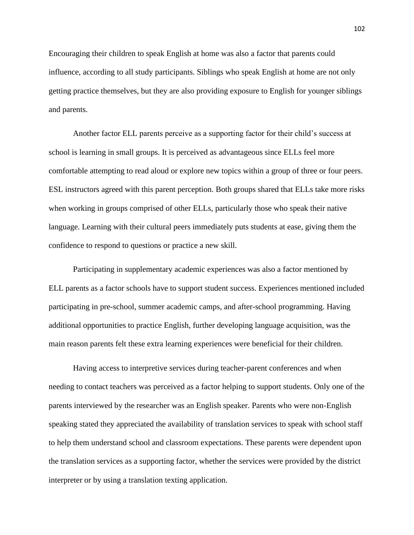Encouraging their children to speak English at home was also a factor that parents could influence, according to all study participants. Siblings who speak English at home are not only getting practice themselves, but they are also providing exposure to English for younger siblings and parents.

Another factor ELL parents perceive as a supporting factor for their child's success at school is learning in small groups. It is perceived as advantageous since ELLs feel more comfortable attempting to read aloud or explore new topics within a group of three or four peers. ESL instructors agreed with this parent perception. Both groups shared that ELLs take more risks when working in groups comprised of other ELLs, particularly those who speak their native language. Learning with their cultural peers immediately puts students at ease, giving them the confidence to respond to questions or practice a new skill.

Participating in supplementary academic experiences was also a factor mentioned by ELL parents as a factor schools have to support student success. Experiences mentioned included participating in pre-school, summer academic camps, and after-school programming. Having additional opportunities to practice English, further developing language acquisition, was the main reason parents felt these extra learning experiences were beneficial for their children.

Having access to interpretive services during teacher-parent conferences and when needing to contact teachers was perceived as a factor helping to support students. Only one of the parents interviewed by the researcher was an English speaker. Parents who were non-English speaking stated they appreciated the availability of translation services to speak with school staff to help them understand school and classroom expectations. These parents were dependent upon the translation services as a supporting factor, whether the services were provided by the district interpreter or by using a translation texting application.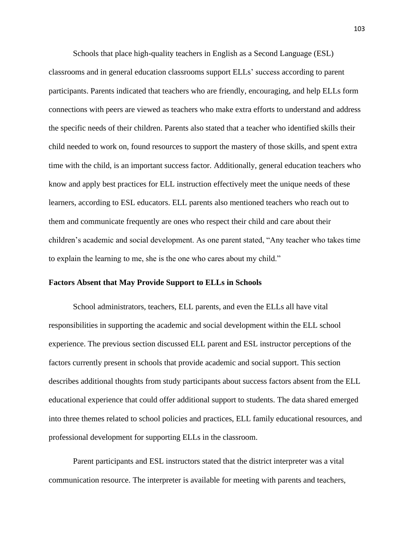Schools that place high-quality teachers in English as a Second Language (ESL) classrooms and in general education classrooms support ELLs' success according to parent participants. Parents indicated that teachers who are friendly, encouraging, and help ELLs form connections with peers are viewed as teachers who make extra efforts to understand and address the specific needs of their children. Parents also stated that a teacher who identified skills their child needed to work on, found resources to support the mastery of those skills, and spent extra time with the child, is an important success factor. Additionally, general education teachers who know and apply best practices for ELL instruction effectively meet the unique needs of these learners, according to ESL educators. ELL parents also mentioned teachers who reach out to them and communicate frequently are ones who respect their child and care about their children's academic and social development. As one parent stated, "Any teacher who takes time to explain the learning to me, she is the one who cares about my child."

#### **Factors Absent that May Provide Support to ELLs in Schools**

School administrators, teachers, ELL parents, and even the ELLs all have vital responsibilities in supporting the academic and social development within the ELL school experience. The previous section discussed ELL parent and ESL instructor perceptions of the factors currently present in schools that provide academic and social support. This section describes additional thoughts from study participants about success factors absent from the ELL educational experience that could offer additional support to students. The data shared emerged into three themes related to school policies and practices, ELL family educational resources, and professional development for supporting ELLs in the classroom.

Parent participants and ESL instructors stated that the district interpreter was a vital communication resource. The interpreter is available for meeting with parents and teachers,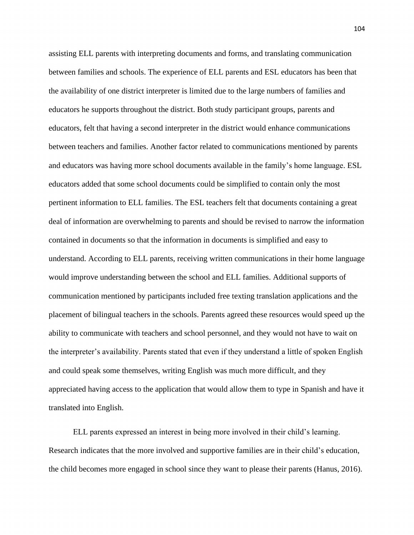assisting ELL parents with interpreting documents and forms, and translating communication between families and schools. The experience of ELL parents and ESL educators has been that the availability of one district interpreter is limited due to the large numbers of families and educators he supports throughout the district. Both study participant groups, parents and educators, felt that having a second interpreter in the district would enhance communications between teachers and families. Another factor related to communications mentioned by parents and educators was having more school documents available in the family's home language. ESL educators added that some school documents could be simplified to contain only the most pertinent information to ELL families. The ESL teachers felt that documents containing a great deal of information are overwhelming to parents and should be revised to narrow the information contained in documents so that the information in documents is simplified and easy to understand. According to ELL parents, receiving written communications in their home language would improve understanding between the school and ELL families. Additional supports of communication mentioned by participants included free texting translation applications and the placement of bilingual teachers in the schools. Parents agreed these resources would speed up the ability to communicate with teachers and school personnel, and they would not have to wait on the interpreter's availability. Parents stated that even if they understand a little of spoken English and could speak some themselves, writing English was much more difficult, and they appreciated having access to the application that would allow them to type in Spanish and have it translated into English.

ELL parents expressed an interest in being more involved in their child's learning. Research indicates that the more involved and supportive families are in their child's education, the child becomes more engaged in school since they want to please their parents (Hanus, 2016).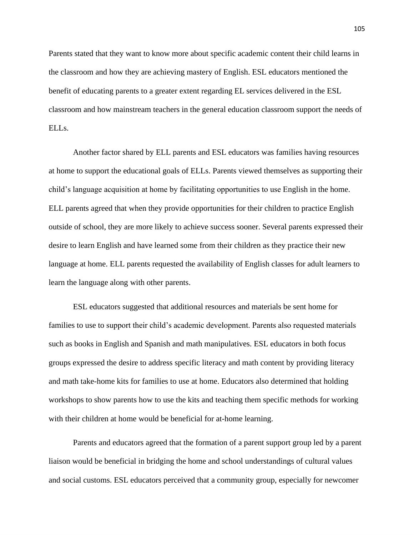Parents stated that they want to know more about specific academic content their child learns in the classroom and how they are achieving mastery of English. ESL educators mentioned the benefit of educating parents to a greater extent regarding EL services delivered in the ESL classroom and how mainstream teachers in the general education classroom support the needs of ELLs.

Another factor shared by ELL parents and ESL educators was families having resources at home to support the educational goals of ELLs. Parents viewed themselves as supporting their child's language acquisition at home by facilitating opportunities to use English in the home. ELL parents agreed that when they provide opportunities for their children to practice English outside of school, they are more likely to achieve success sooner. Several parents expressed their desire to learn English and have learned some from their children as they practice their new language at home. ELL parents requested the availability of English classes for adult learners to learn the language along with other parents.

ESL educators suggested that additional resources and materials be sent home for families to use to support their child's academic development. Parents also requested materials such as books in English and Spanish and math manipulatives. ESL educators in both focus groups expressed the desire to address specific literacy and math content by providing literacy and math take-home kits for families to use at home. Educators also determined that holding workshops to show parents how to use the kits and teaching them specific methods for working with their children at home would be beneficial for at-home learning.

Parents and educators agreed that the formation of a parent support group led by a parent liaison would be beneficial in bridging the home and school understandings of cultural values and social customs. ESL educators perceived that a community group, especially for newcomer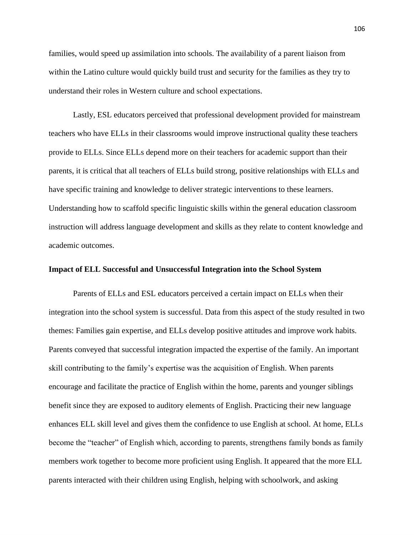families, would speed up assimilation into schools. The availability of a parent liaison from within the Latino culture would quickly build trust and security for the families as they try to understand their roles in Western culture and school expectations.

Lastly, ESL educators perceived that professional development provided for mainstream teachers who have ELLs in their classrooms would improve instructional quality these teachers provide to ELLs. Since ELLs depend more on their teachers for academic support than their parents, it is critical that all teachers of ELLs build strong, positive relationships with ELLs and have specific training and knowledge to deliver strategic interventions to these learners. Understanding how to scaffold specific linguistic skills within the general education classroom instruction will address language development and skills as they relate to content knowledge and academic outcomes.

## **Impact of ELL Successful and Unsuccessful Integration into the School System**

Parents of ELLs and ESL educators perceived a certain impact on ELLs when their integration into the school system is successful. Data from this aspect of the study resulted in two themes: Families gain expertise, and ELLs develop positive attitudes and improve work habits. Parents conveyed that successful integration impacted the expertise of the family. An important skill contributing to the family's expertise was the acquisition of English. When parents encourage and facilitate the practice of English within the home, parents and younger siblings benefit since they are exposed to auditory elements of English. Practicing their new language enhances ELL skill level and gives them the confidence to use English at school. At home, ELLs become the "teacher" of English which, according to parents, strengthens family bonds as family members work together to become more proficient using English. It appeared that the more ELL parents interacted with their children using English, helping with schoolwork, and asking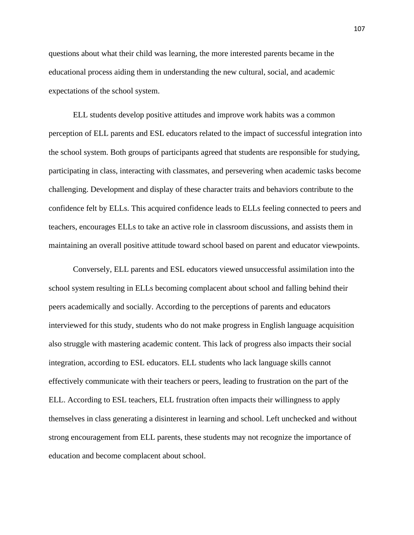questions about what their child was learning, the more interested parents became in the educational process aiding them in understanding the new cultural, social, and academic expectations of the school system.

ELL students develop positive attitudes and improve work habits was a common perception of ELL parents and ESL educators related to the impact of successful integration into the school system. Both groups of participants agreed that students are responsible for studying, participating in class, interacting with classmates, and persevering when academic tasks become challenging. Development and display of these character traits and behaviors contribute to the confidence felt by ELLs. This acquired confidence leads to ELLs feeling connected to peers and teachers, encourages ELLs to take an active role in classroom discussions, and assists them in maintaining an overall positive attitude toward school based on parent and educator viewpoints.

Conversely, ELL parents and ESL educators viewed unsuccessful assimilation into the school system resulting in ELLs becoming complacent about school and falling behind their peers academically and socially. According to the perceptions of parents and educators interviewed for this study, students who do not make progress in English language acquisition also struggle with mastering academic content. This lack of progress also impacts their social integration, according to ESL educators. ELL students who lack language skills cannot effectively communicate with their teachers or peers, leading to frustration on the part of the ELL. According to ESL teachers, ELL frustration often impacts their willingness to apply themselves in class generating a disinterest in learning and school. Left unchecked and without strong encouragement from ELL parents, these students may not recognize the importance of education and become complacent about school.

107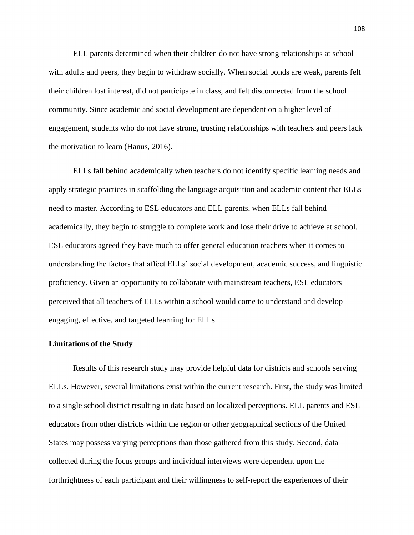ELL parents determined when their children do not have strong relationships at school with adults and peers, they begin to withdraw socially. When social bonds are weak, parents felt their children lost interest, did not participate in class, and felt disconnected from the school community. Since academic and social development are dependent on a higher level of engagement, students who do not have strong, trusting relationships with teachers and peers lack the motivation to learn (Hanus, 2016).

ELLs fall behind academically when teachers do not identify specific learning needs and apply strategic practices in scaffolding the language acquisition and academic content that ELLs need to master. According to ESL educators and ELL parents, when ELLs fall behind academically, they begin to struggle to complete work and lose their drive to achieve at school. ESL educators agreed they have much to offer general education teachers when it comes to understanding the factors that affect ELLs' social development, academic success, and linguistic proficiency. Given an opportunity to collaborate with mainstream teachers, ESL educators perceived that all teachers of ELLs within a school would come to understand and develop engaging, effective, and targeted learning for ELLs.

### **Limitations of the Study**

Results of this research study may provide helpful data for districts and schools serving ELLs. However, several limitations exist within the current research. First, the study was limited to a single school district resulting in data based on localized perceptions. ELL parents and ESL educators from other districts within the region or other geographical sections of the United States may possess varying perceptions than those gathered from this study. Second, data collected during the focus groups and individual interviews were dependent upon the forthrightness of each participant and their willingness to self-report the experiences of their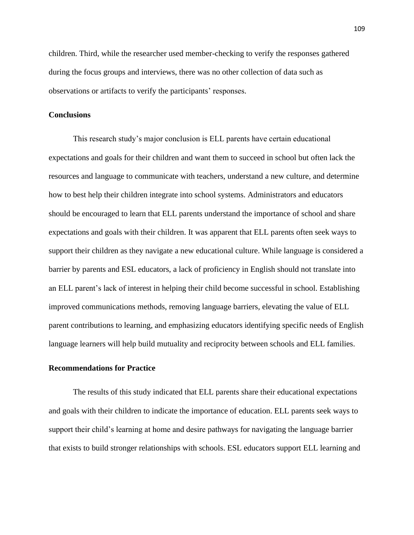children. Third, while the researcher used member-checking to verify the responses gathered during the focus groups and interviews, there was no other collection of data such as observations or artifacts to verify the participants' responses.

## **Conclusions**

This research study's major conclusion is ELL parents have certain educational expectations and goals for their children and want them to succeed in school but often lack the resources and language to communicate with teachers, understand a new culture, and determine how to best help their children integrate into school systems. Administrators and educators should be encouraged to learn that ELL parents understand the importance of school and share expectations and goals with their children. It was apparent that ELL parents often seek ways to support their children as they navigate a new educational culture. While language is considered a barrier by parents and ESL educators, a lack of proficiency in English should not translate into an ELL parent's lack of interest in helping their child become successful in school. Establishing improved communications methods, removing language barriers, elevating the value of ELL parent contributions to learning, and emphasizing educators identifying specific needs of English language learners will help build mutuality and reciprocity between schools and ELL families.

#### **Recommendations for Practice**

The results of this study indicated that ELL parents share their educational expectations and goals with their children to indicate the importance of education. ELL parents seek ways to support their child's learning at home and desire pathways for navigating the language barrier that exists to build stronger relationships with schools. ESL educators support ELL learning and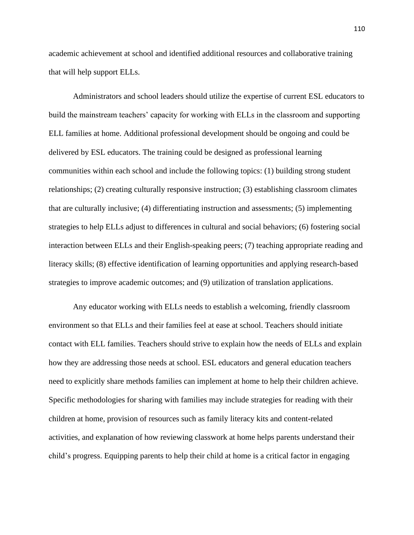academic achievement at school and identified additional resources and collaborative training that will help support ELLs.

Administrators and school leaders should utilize the expertise of current ESL educators to build the mainstream teachers' capacity for working with ELLs in the classroom and supporting ELL families at home. Additional professional development should be ongoing and could be delivered by ESL educators. The training could be designed as professional learning communities within each school and include the following topics: (1) building strong student relationships; (2) creating culturally responsive instruction; (3) establishing classroom climates that are culturally inclusive; (4) differentiating instruction and assessments; (5) implementing strategies to help ELLs adjust to differences in cultural and social behaviors; (6) fostering social interaction between ELLs and their English-speaking peers; (7) teaching appropriate reading and literacy skills; (8) effective identification of learning opportunities and applying research-based strategies to improve academic outcomes; and (9) utilization of translation applications.

Any educator working with ELLs needs to establish a welcoming, friendly classroom environment so that ELLs and their families feel at ease at school. Teachers should initiate contact with ELL families. Teachers should strive to explain how the needs of ELLs and explain how they are addressing those needs at school. ESL educators and general education teachers need to explicitly share methods families can implement at home to help their children achieve. Specific methodologies for sharing with families may include strategies for reading with their children at home, provision of resources such as family literacy kits and content-related activities, and explanation of how reviewing classwork at home helps parents understand their child's progress. Equipping parents to help their child at home is a critical factor in engaging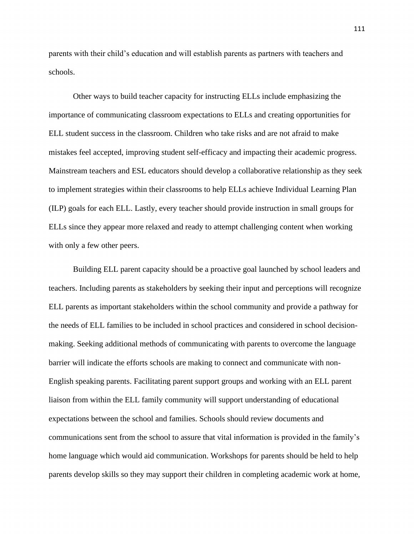parents with their child's education and will establish parents as partners with teachers and schools.

Other ways to build teacher capacity for instructing ELLs include emphasizing the importance of communicating classroom expectations to ELLs and creating opportunities for ELL student success in the classroom. Children who take risks and are not afraid to make mistakes feel accepted, improving student self-efficacy and impacting their academic progress. Mainstream teachers and ESL educators should develop a collaborative relationship as they seek to implement strategies within their classrooms to help ELLs achieve Individual Learning Plan (ILP) goals for each ELL. Lastly, every teacher should provide instruction in small groups for ELLs since they appear more relaxed and ready to attempt challenging content when working with only a few other peers.

Building ELL parent capacity should be a proactive goal launched by school leaders and teachers. Including parents as stakeholders by seeking their input and perceptions will recognize ELL parents as important stakeholders within the school community and provide a pathway for the needs of ELL families to be included in school practices and considered in school decisionmaking. Seeking additional methods of communicating with parents to overcome the language barrier will indicate the efforts schools are making to connect and communicate with non-English speaking parents. Facilitating parent support groups and working with an ELL parent liaison from within the ELL family community will support understanding of educational expectations between the school and families. Schools should review documents and communications sent from the school to assure that vital information is provided in the family's home language which would aid communication. Workshops for parents should be held to help parents develop skills so they may support their children in completing academic work at home,

111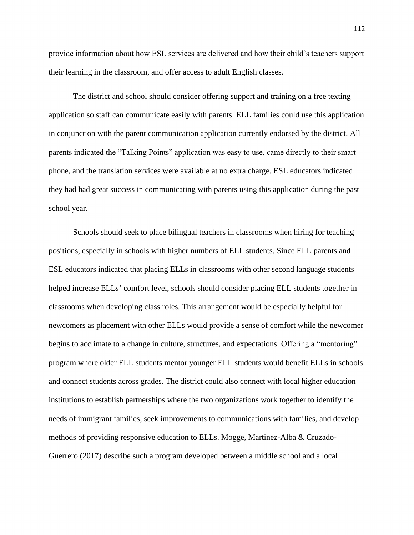provide information about how ESL services are delivered and how their child's teachers support their learning in the classroom, and offer access to adult English classes.

The district and school should consider offering support and training on a free texting application so staff can communicate easily with parents. ELL families could use this application in conjunction with the parent communication application currently endorsed by the district. All parents indicated the "Talking Points" application was easy to use, came directly to their smart phone, and the translation services were available at no extra charge. ESL educators indicated they had had great success in communicating with parents using this application during the past school year.

Schools should seek to place bilingual teachers in classrooms when hiring for teaching positions, especially in schools with higher numbers of ELL students. Since ELL parents and ESL educators indicated that placing ELLs in classrooms with other second language students helped increase ELLs' comfort level, schools should consider placing ELL students together in classrooms when developing class roles. This arrangement would be especially helpful for newcomers as placement with other ELLs would provide a sense of comfort while the newcomer begins to acclimate to a change in culture, structures, and expectations. Offering a "mentoring" program where older ELL students mentor younger ELL students would benefit ELLs in schools and connect students across grades. The district could also connect with local higher education institutions to establish partnerships where the two organizations work together to identify the needs of immigrant families, seek improvements to communications with families, and develop methods of providing responsive education to ELLs. Mogge, Martinez-Alba & Cruzado-Guerrero (2017) describe such a program developed between a middle school and a local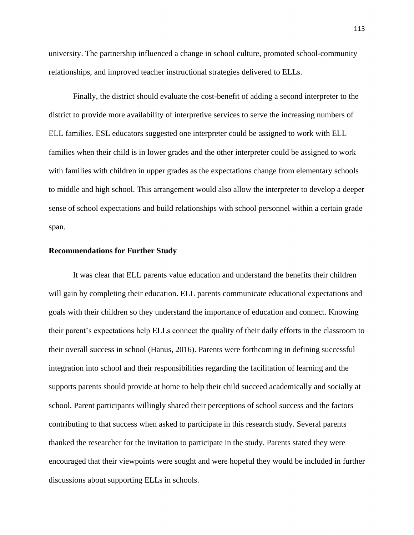university. The partnership influenced a change in school culture, promoted school-community relationships, and improved teacher instructional strategies delivered to ELLs.

Finally, the district should evaluate the cost-benefit of adding a second interpreter to the district to provide more availability of interpretive services to serve the increasing numbers of ELL families. ESL educators suggested one interpreter could be assigned to work with ELL families when their child is in lower grades and the other interpreter could be assigned to work with families with children in upper grades as the expectations change from elementary schools to middle and high school. This arrangement would also allow the interpreter to develop a deeper sense of school expectations and build relationships with school personnel within a certain grade span.

## **Recommendations for Further Study**

It was clear that ELL parents value education and understand the benefits their children will gain by completing their education. ELL parents communicate educational expectations and goals with their children so they understand the importance of education and connect. Knowing their parent's expectations help ELLs connect the quality of their daily efforts in the classroom to their overall success in school (Hanus, 2016). Parents were forthcoming in defining successful integration into school and their responsibilities regarding the facilitation of learning and the supports parents should provide at home to help their child succeed academically and socially at school. Parent participants willingly shared their perceptions of school success and the factors contributing to that success when asked to participate in this research study. Several parents thanked the researcher for the invitation to participate in the study. Parents stated they were encouraged that their viewpoints were sought and were hopeful they would be included in further discussions about supporting ELLs in schools.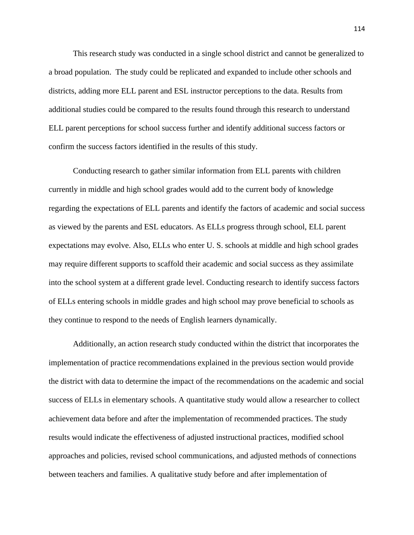This research study was conducted in a single school district and cannot be generalized to a broad population. The study could be replicated and expanded to include other schools and districts, adding more ELL parent and ESL instructor perceptions to the data. Results from additional studies could be compared to the results found through this research to understand ELL parent perceptions for school success further and identify additional success factors or confirm the success factors identified in the results of this study.

Conducting research to gather similar information from ELL parents with children currently in middle and high school grades would add to the current body of knowledge regarding the expectations of ELL parents and identify the factors of academic and social success as viewed by the parents and ESL educators. As ELLs progress through school, ELL parent expectations may evolve. Also, ELLs who enter U. S. schools at middle and high school grades may require different supports to scaffold their academic and social success as they assimilate into the school system at a different grade level. Conducting research to identify success factors of ELLs entering schools in middle grades and high school may prove beneficial to schools as they continue to respond to the needs of English learners dynamically.

Additionally, an action research study conducted within the district that incorporates the implementation of practice recommendations explained in the previous section would provide the district with data to determine the impact of the recommendations on the academic and social success of ELLs in elementary schools. A quantitative study would allow a researcher to collect achievement data before and after the implementation of recommended practices. The study results would indicate the effectiveness of adjusted instructional practices, modified school approaches and policies, revised school communications, and adjusted methods of connections between teachers and families. A qualitative study before and after implementation of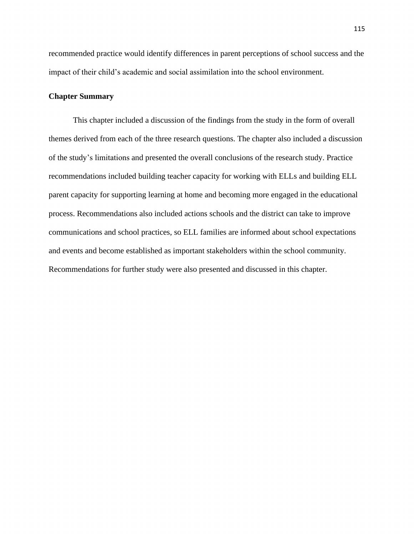recommended practice would identify differences in parent perceptions of school success and the impact of their child's academic and social assimilation into the school environment.

## **Chapter Summary**

This chapter included a discussion of the findings from the study in the form of overall themes derived from each of the three research questions. The chapter also included a discussion of the study's limitations and presented the overall conclusions of the research study. Practice recommendations included building teacher capacity for working with ELLs and building ELL parent capacity for supporting learning at home and becoming more engaged in the educational process. Recommendations also included actions schools and the district can take to improve communications and school practices, so ELL families are informed about school expectations and events and become established as important stakeholders within the school community. Recommendations for further study were also presented and discussed in this chapter.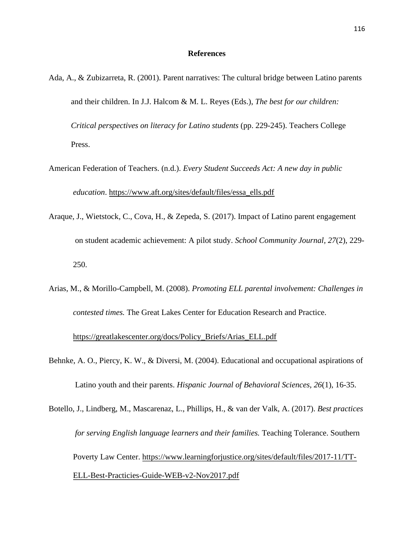### **References**

- Ada, A., & Zubizarreta, R. (2001). Parent narratives: The cultural bridge between Latino parents and their children. In J.J. Halcom & M. L. Reyes (Eds.), *The best for our children: Critical perspectives on literacy for Latino students* (pp. 229-245). Teachers College Press.
- American Federation of Teachers. (n.d.). *Every Student Succeeds Act: A new day in public education*. [https://www.aft.org/sites/default/files/essa\\_ells.pdf](https://www.aft.org/sites/default/files/essa_ells.pdf)
- Araque, J., Wietstock, C., Cova, H., & Zepeda, S. (2017). Impact of Latino parent engagement on student academic achievement: A pilot study. *School Community Journal, 27*(2), 229- 250.
- Arias, M., & Morillo-Campbell, M. (2008). *Promoting ELL parental involvement: Challenges in contested times.* The Great Lakes Center for Education Research and Practice.

## [https://greatlakescenter.org/docs/Policy\\_Briefs/Arias\\_ELL.pdf](https://greatlakescenter.org/docs/Policy_Briefs/Arias_ELL.pdf)

- Behnke, A. O., Piercy, K. W., & Diversi, M. (2004). Educational and occupational aspirations of Latino youth and their parents. *Hispanic Journal of Behavioral Sciences, 26*(1), 16-35.
- Botello, J., Lindberg, M., Mascarenaz, L., Phillips, H., & van der Valk, A. (2017). *Best practices for serving English language learners and their families.* Teaching Tolerance. Southern Poverty Law Center. [https://www.learningforjustice.org/sites/default/files/2017-11/TT-](https://www.learningforjustice.org/sites/default/files/2017-11/TT-ELL-Best-Practicies-Guide-WEB-v2-Nov2017.pdf)[ELL-Best-Practicies-Guide-WEB-v2-Nov2017.pdf](https://www.learningforjustice.org/sites/default/files/2017-11/TT-ELL-Best-Practicies-Guide-WEB-v2-Nov2017.pdf)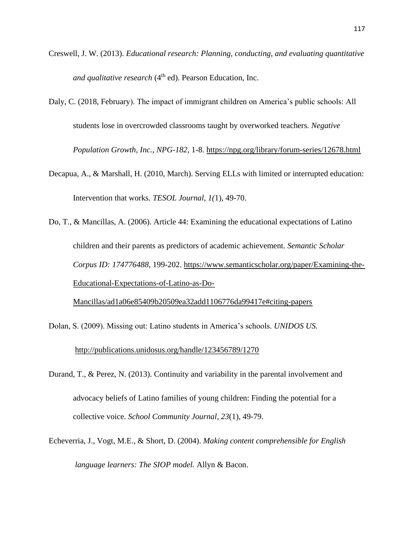- Creswell, J. W. (2013). *Educational research: Planning, conducting, and evaluating quantitative and qualitative research* (4<sup>th</sup> ed). Pearson Education, Inc.
- Daly, C. (2018, February). The impact of immigrant children on America's public schools: All students lose in overcrowded classrooms taught by overworked teachers*. Negative Population Growth, Inc., NPG-182*, 1-8. <https://npg.org/library/forum-series/12678.html>
- Decapua, A., & Marshall, H. (2010, March). Serving ELLs with limited or interrupted education: Intervention that works*. TESOL Journal, 1(*1), 49-70.
- Do, T., & Mancillas, A. (2006). Article 44: Examining the educational expectations of Latino children and their parents as predictors of academic achievement. *Semantic Scholar Corpus ID: 174776488*, 199-202. [https://www.semanticscholar.org/paper/Examining-the-](https://www.semanticscholar.org/paper/Examining-the-Educational-Expectations-of-Latino-as-Do-Mancillas/ad1a06e85409b20509ea32add1106776da99417e#citing-papers)[Educational-Expectations-of-Latino-as-Do-](https://www.semanticscholar.org/paper/Examining-the-Educational-Expectations-of-Latino-as-Do-Mancillas/ad1a06e85409b20509ea32add1106776da99417e#citing-papers)

[Mancillas/ad1a06e85409b20509ea32add1106776da99417e#citing-papers](https://www.semanticscholar.org/paper/Examining-the-Educational-Expectations-of-Latino-as-Do-Mancillas/ad1a06e85409b20509ea32add1106776da99417e#citing-papers)

- Dolan, S. (2009). Missing out: Latino students in America's schools. *UNIDOS US.* <http://publications.unidosus.org/handle/123456789/1270>
- Durand, T., & Perez, N. (2013). Continuity and variability in the parental involvement and advocacy beliefs of Latino families of young children: Finding the potential for a collective voice. *School Community Journal, 23*(1), 49-79.
- Echeverria, J., Vogt, M.E., & Short, D. (2004). *Making content comprehensible for English language learners: The SIOP model.* Allyn & Bacon.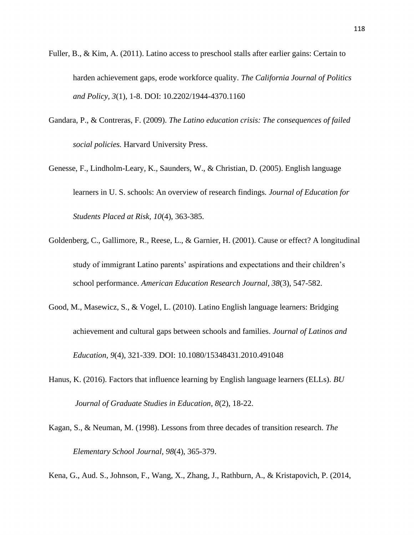Fuller, B., & Kim, A. (2011). Latino access to preschool stalls after earlier gains: Certain to harden achievement gaps, erode workforce quality. *The California Journal of Politics and Policy, 3*(1), 1-8. DOI: 10.2202/1944-4370.1160

- Gandara, P., & Contreras, F. (2009). *The Latino education crisis: The consequences of failed social policies.* Harvard University Press.
- Genesse, F., Lindholm-Leary, K., Saunders, W., & Christian, D. (2005). English language learners in U. S. schools: An overview of research findings*. Journal of Education for Students Placed at Risk, 10*(4), 363-385.
- Goldenberg, C., Gallimore, R., Reese, L., & Garnier, H. (2001). Cause or effect? A longitudinal study of immigrant Latino parents' aspirations and expectations and their children's school performance. *American Education Research Journal, 38*(3), 547-582.
- Good, M., Masewicz, S., & Vogel, L. (2010). Latino English language learners: Bridging achievement and cultural gaps between schools and families. *Journal of Latinos and Education, 9*(4), 321-339. DOI: 10.1080/15348431.2010.491048
- Hanus, K. (2016). Factors that influence learning by English language learners (ELLs). *BU Journal of Graduate Studies in Education, 8*(2), 18-22.
- Kagan, S., & Neuman, M. (1998). Lessons from three decades of transition research. *The Elementary School Journal, 98*(4), 365-379.

Kena, G., Aud. S., Johnson, F., Wang, X., Zhang, J., Rathburn, A., & Kristapovich, P. (2014,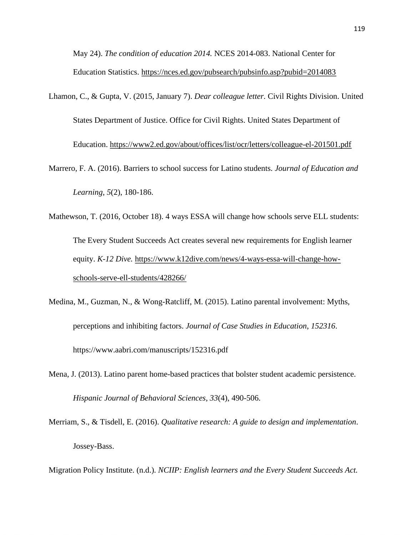May 24). *The condition of education 2014.* NCES 2014-083. National Center for Education Statistics.<https://nces.ed.gov/pubsearch/pubsinfo.asp?pubid=2014083>

- Lhamon, C., & Gupta, V. (2015, January 7). *Dear colleague letter.* Civil Rights Division. United States Department of Justice. Office for Civil Rights. United States Department of Education.<https://www2.ed.gov/about/offices/list/ocr/letters/colleague-el-201501.pdf>
- Marrero, F. A. (2016). Barriers to school success for Latino students. *Journal of Education and Learning, 5*(2), 180-186.
- Mathewson, T. (2016, October 18). 4 ways ESSA will change how schools serve ELL students: The Every Student Succeeds Act creates several new requirements for English learner equity. *K-12 Dive.* [https://www.k12dive.com/news/4-ways-essa-will-change-how](https://www.k12dive.com/news/4-ways-essa-will-change-how-schools-serve-ell-students/428266/)[schools-serve-ell-students/428266/](https://www.k12dive.com/news/4-ways-essa-will-change-how-schools-serve-ell-students/428266/)
- Medina, M., Guzman, N., & Wong-Ratcliff, M. (2015). Latino parental involvement: Myths, perceptions and inhibiting factors. *Journal of Case Studies in Education*, *152316*. https://www.aabri.com/manuscripts/152316.pdf
- Mena, J. (2013). Latino parent home-based practices that bolster student academic persistence. *Hispanic Journal of Behavioral Sciences, 33*(4), 490-506.
- Merriam, S., & Tisdell, E. (2016). *Qualitative research: A guide to design and implementation*. Jossey-Bass.

Migration Policy Institute. (n.d.). *NCIIP: English learners and the Every Student Succeeds Act.*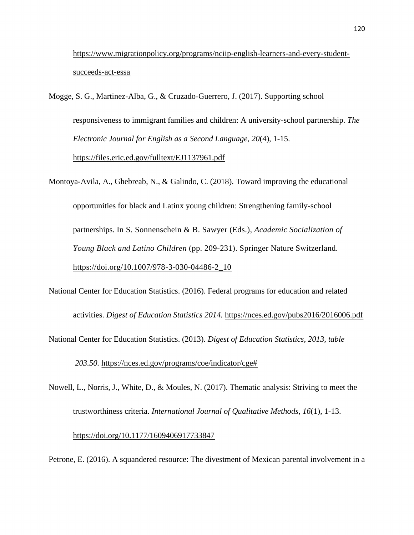[https://www.migrationpolicy.org/programs/nciip-english-learners-and-every-student](https://www.migrationpolicy.org/programs/nciip-english-learners-and-every-student-succeeds-act-essa)[succeeds-act-essa](https://www.migrationpolicy.org/programs/nciip-english-learners-and-every-student-succeeds-act-essa)

Mogge, S. G., Martinez-Alba, G., & Cruzado-Guerrero, J. (2017). Supporting school responsiveness to immigrant families and children: A university-school partnership. *The Electronic Journal for English as a Second Language, 20*(4), 1-15. <https://files.eric.ed.gov/fulltext/EJ1137961.pdf>

Montoya-Avila, A., Ghebreab, N., & Galindo, C. (2018). Toward improving the educational opportunities for black and Latinx young children: Strengthening family-school partnerships. In S. Sonnenschein & B. Sawyer (Eds.), *Academic Socialization of Young Black and Latino Children* (pp. 209-231). Springer Nature Switzerland. [https://doi.org/10.1007/978-3-030-04486-2\\_10](https://doi.org/10.1007/978-3-030-04486-2_10)

National Center for Education Statistics. (2016). Federal programs for education and related activities. *Digest of Education Statistics 2014.* <https://nces.ed.gov/pubs2016/2016006.pdf>

National Center for Education Statistics. (2013). *Digest of Education Statistics, 2013, table 203.50.* [https://nces.ed.gov/programs/coe/indicator/cge#](https://nces.ed.gov/programs/coe/indicator/cge)

Nowell, L., Norris, J., White, D., & Moules, N. (2017). Thematic analysis: Striving to meet the trustworthiness criteria. *International Journal of Qualitative Methods, 16*(1), 1-13. [https://doi.org/10.1177/1609406917733847](https://doi.org/10.1177%2F1609406917733847)

Petrone, E. (2016). A squandered resource: The divestment of Mexican parental involvement in a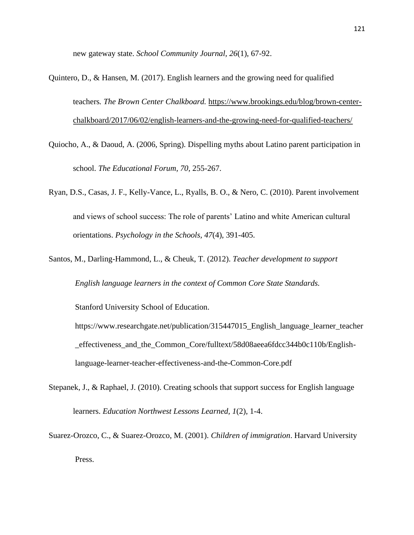new gateway state. *School Community Journal, 26*(1), 67-92.

- Quintero, D., & Hansen, M. (2017). English learners and the growing need for qualified teachers*. The Brown Center Chalkboard.* [https://www.brookings.edu/blog/brown-center](https://www.brookings.edu/blog/brown-center-chalkboard/2017/06/02/english-learners-and-the-growing-need-for-qualified-teachers/)[chalkboard/2017/06/02/english-learners-and-the-growing-need-for-qualified-teachers/](https://www.brookings.edu/blog/brown-center-chalkboard/2017/06/02/english-learners-and-the-growing-need-for-qualified-teachers/)
- Quiocho, A., & Daoud, A. (2006, Spring). Dispelling myths about Latino parent participation in school. *The Educational Forum, 70,* 255-267.
- Ryan, D.S., Casas, J. F., Kelly-Vance, L., Ryalls, B. O., & Nero, C. (2010). Parent involvement and views of school success: The role of parents' Latino and white American cultural orientations. *Psychology in the Schools, 47*(4), 391-405.
- Santos, M., Darling-Hammond, L., & Cheuk, T. (2012). *Teacher development to support English language learners in the context of Common Core State Standards.*

Stanford University School of Education.

- https://www.researchgate.net/publication/315447015\_English\_language\_learner\_teacher \_effectiveness\_and\_the\_Common\_Core/fulltext/58d08aeea6fdcc344b0c110b/Englishlanguage-learner-teacher-effectiveness-and-the-Common-Core.pdf
- Stepanek, J., & Raphael, J. (2010). Creating schools that support success for English language learners. *Education Northwest Lessons Learned, 1*(2), 1-4.
- Suarez-Orozco, C., & Suarez-Orozco, M. (2001). *Children of immigration*. Harvard University Press.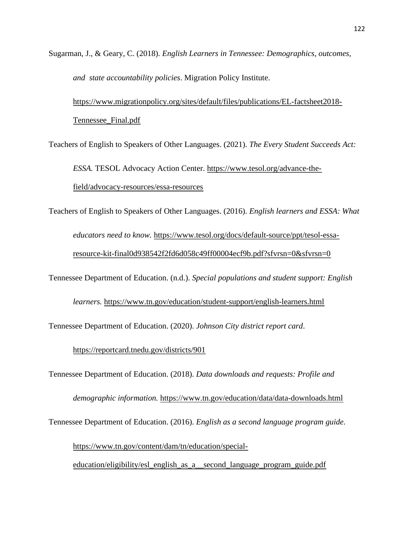Sugarman, J., & Geary, C. (2018). *English Learners in Tennessee: Demographics, outcomes, and state accountability policies*. Migration Policy Institute.

[https://www.migrationpolicy.org/sites/default/files/publications/EL-factsheet2018-](https://www.migrationpolicy.org/sites/default/files/publications/EL-factsheet2018-Tennessee_Final.pdf) [Tennessee\\_Final.pdf](https://www.migrationpolicy.org/sites/default/files/publications/EL-factsheet2018-Tennessee_Final.pdf)

Teachers of English to Speakers of Other Languages. (2021). *The Every Student Succeeds Act:* 

*ESSA.* TESOL Advocacy Action Center. [https://www.tesol.org/advance-the](https://www.tesol.org/advance-the-field/advocacy-resources/essa-resources)[field/advocacy-resources/essa-resources](https://www.tesol.org/advance-the-field/advocacy-resources/essa-resources)

Teachers of English to Speakers of Other Languages. (2016). *English learners and ESSA: What* 

*educators need to know.* [https://www.tesol.org/docs/default-source/ppt/tesol-essa](https://www.tesol.org/docs/default-source/ppt/tesol-essa-resource-kit-final0d938542f2fd6d058c49ff00004ecf9b.pdf?sfvrsn=0&sfvrsn=0)[resource-kit-final0d938542f2fd6d058c49ff00004ecf9b.pdf?sfvrsn=0&sfvrsn=0](https://www.tesol.org/docs/default-source/ppt/tesol-essa-resource-kit-final0d938542f2fd6d058c49ff00004ecf9b.pdf?sfvrsn=0&sfvrsn=0)

Tennessee Department of Education. (n.d.). *Special populations and student support: English* 

*learners.* <https://www.tn.gov/education/student-support/english-learners.html>

Tennessee Department of Education. (2020). *Johnson City district report card*.

<https://reportcard.tnedu.gov/districts/901>

Tennessee Department of Education. (2018). *Data downloads and requests: Profile and* 

*demographic information.* <https://www.tn.gov/education/data/data-downloads.html>

Tennessee Department of Education. (2016). *English as a second language program guide.* 

[https://www.tn.gov/content/dam/tn/education/special-](https://www.tn.gov/content/dam/tn/education/special-education/eligibility/esl_english_as_a__second_language_program_guide.pdf)

[education/eligibility/esl\\_english\\_as\\_a\\_\\_second\\_language\\_program\\_guide.pdf](https://www.tn.gov/content/dam/tn/education/special-education/eligibility/esl_english_as_a__second_language_program_guide.pdf)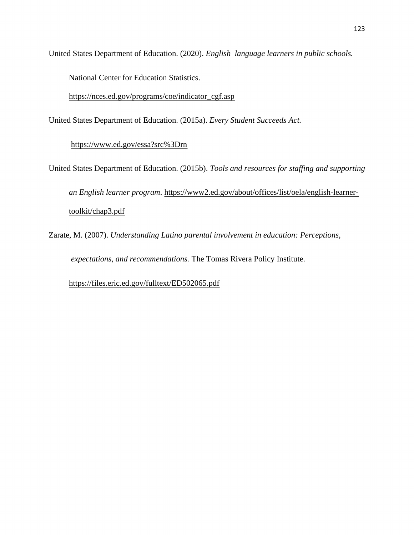United States Department of Education. (2020). *English language learners in public schools.*

National Center for Education Statistics.

[https://nces.ed.gov/programs/coe/indicator\\_cgf.asp](https://nces.ed.gov/programs/coe/indicator_cgf.asp)

United States Department of Education. (2015a). *Every Student Succeeds Act.*

<https://www.ed.gov/essa?src%3Drn>

United States Department of Education. (2015b). *Tools and resources for staffing and supporting an English learner program*. [https://www2.ed.gov/about/offices/list/oela/english-learner](https://www2.ed.gov/about/offices/list/oela/english-learner-toolkit/chap3.pdf)[toolkit/chap3.pdf](https://www2.ed.gov/about/offices/list/oela/english-learner-toolkit/chap3.pdf)

Zarate, M. (2007). *Understanding Latino parental involvement in education: Perceptions, expectations, and recommendations.* The Tomas Rivera Policy Institute.

<https://files.eric.ed.gov/fulltext/ED502065.pdf>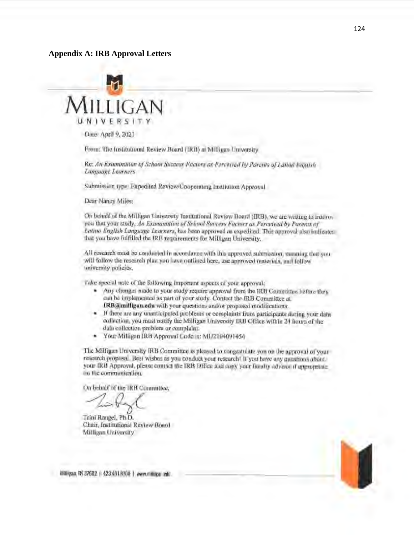#### **Appendix A: IRB Approval Letters**



Date: April 9, 2021

From; The Institutional Review Board (TRB) at Milligan University

Re: An Examination of School Success Factors as Perceived by Parents of Latian Fagilish *Lan.guage lellrners* 

Submission type: Expedited Review/Cooperating Institution Approval

Dear Nancy Miles:

On behalf of the Milligan University fustitutional Review Board (IRB), we are writing to inform you that your study, An Examination of School Success Factors as Perceived by Parents of *Latino English Language Learners*, has been approved as expedited. This approval also indicates that you have fulfilled the IRB requirements for Milligan University.

All research must be conducted in accordance with this approved submission, meaning that you will follow the research plan you have outlined here, use approved materials, and follow university policies.

Take special note of the following important aspects of your approval;

- Any changes made to your study require approval from the IRB Committee before they can be implemented as part of your study. Contact the IRB Committee at IRB@milligan.edu with your questions and/or proposed modifications.
- If there are any unanticipated problems or complaints from participants during your data collection, you must notify the Milligan University IRB Office within 24 hours of the data colleetion problem or complaint.
- Yow· Milligan IRB Approval Code is: MU2104091454

The Milligan University IRB Committee is pleased to congratulate you on the approval of your research proposal. Best wishes as you conduct your research! If you have any questions about your IRB Approval, please contact the IRB Office and copy your faculty advisor if appropriate. on 1he oommunication.

On behalf of the lRB Committee,

On belieft of the RKB Committee,<br>Trini Rangel, Ph.D.

Chair, Institutional Review Board Milligan University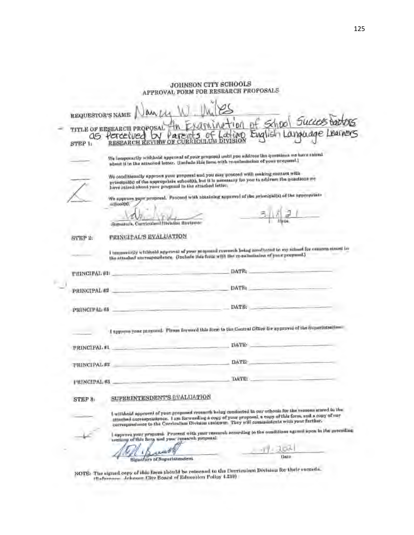|                         | JOHNSON CITY SCHOOLS<br><b>APPROVAL FORM FOR RESEARCH PROPOSALS</b>                                                                                                                                                                                                                                                     |
|-------------------------|-------------------------------------------------------------------------------------------------------------------------------------------------------------------------------------------------------------------------------------------------------------------------------------------------------------------------|
| <b>REQUESTOR'S NAME</b> |                                                                                                                                                                                                                                                                                                                         |
| as<br>STEP 1:           | School Succesta<br>tion<br>TITLE OF RESEARCH PROPOSAL<br>Language Learners<br><b>LMA</b> IS<br>Percetured<br><b>RESEARCH REVIEW</b>                                                                                                                                                                                     |
|                         | We lemporarily withhold approval of your proposal until you address the questions we have saleed<br>about it in the attached letter. Histleds this form with re-esbashedon of your proposed.)                                                                                                                           |
|                         | We conditionally approve your proposal and you may proceed with assisting contact with<br>principalle) of the appropriate school(s), but it is necessary for you to addrass the questions we<br>have rateed about your progressi in the attached letter,                                                                |
|                         | We approve your proposal. Proceed with abaaining approved of the principal(s) of the appropriate<br>одновно.                                                                                                                                                                                                            |
|                         | 1.50 Ea.<br>Signature, Carrierian Division Reviewer                                                                                                                                                                                                                                                                     |
| STEP 2:                 | PRINCIPAL'S EVALUATION                                                                                                                                                                                                                                                                                                  |
|                         | I temporarily withhold approval of your proposed research being assultated in my scinati for consome stated in<br>the attached encrospondence. Gustade this form with the re-suladiscion of your pregnant.)                                                                                                             |
| <b>PRINCIPAL #1-</b>    | <b>DATE:</b>                                                                                                                                                                                                                                                                                                            |
| PRINCIPAL ##            | <b>DATE:</b>                                                                                                                                                                                                                                                                                                            |
| <b>PRINCIPAL #5</b>     | DATE:                                                                                                                                                                                                                                                                                                                   |
|                         | I approve your pamored. Please forward this form to the Central Office for approval of the Superintentian                                                                                                                                                                                                               |
| PRINCIPAL #L            | TIATE:                                                                                                                                                                                                                                                                                                                  |
| <b>PRINCIPAL ##</b>     | DATE                                                                                                                                                                                                                                                                                                                    |
| <b>FRINGIPAL #8</b>     | <b>DATE:</b>                                                                                                                                                                                                                                                                                                            |
| STEP 8                  | SUPERINTENDENT'S EVALUATION                                                                                                                                                                                                                                                                                             |
|                         | I withhold approval of your proposed research holog conducted in our exhonic for the reasons stated in the<br>attential correspondence. I am forwarding a copy of your proposal, a copy of this form, and a copy of any<br>correspondance to the Curriculum Division reviewar. They will communicate with your farther. |
|                         | I approve your proposal. Proceed with your resurred according to the conditions agreed upon in the proceding<br>wettony of this forty and your research proposal.                                                                                                                                                       |
|                         |                                                                                                                                                                                                                                                                                                                         |
|                         | Date<br>Biggature of Superintendent                                                                                                                                                                                                                                                                                     |

NOTE: The claused cany of this form thould be reincand to the Curriculum Division for their records. ,u .. r ....... -.i .Tnhminn Citv Board orEducn.tlon Polley 4.210)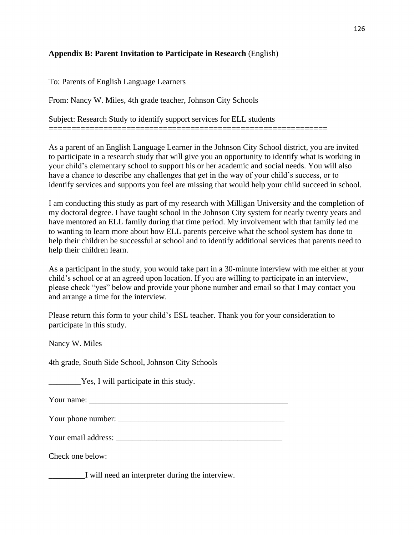# **Appendix B: Parent Invitation to Participate in Research** (English)

To: Parents of English Language Learners

From: Nancy W. Miles, 4th grade teacher, Johnson City Schools

Subject: Research Study to identify support services for ELL students

=============================================================

As a parent of an English Language Learner in the Johnson City School district, you are invited to participate in a research study that will give you an opportunity to identify what is working in your child's elementary school to support his or her academic and social needs. You will also have a chance to describe any challenges that get in the way of your child's success, or to identify services and supports you feel are missing that would help your child succeed in school.

I am conducting this study as part of my research with Milligan University and the completion of my doctoral degree. I have taught school in the Johnson City system for nearly twenty years and have mentored an ELL family during that time period. My involvement with that family led me to wanting to learn more about how ELL parents perceive what the school system has done to help their children be successful at school and to identify additional services that parents need to help their children learn.

As a participant in the study, you would take part in a 30-minute interview with me either at your child's school or at an agreed upon location. If you are willing to participate in an interview, please check "yes" below and provide your phone number and email so that I may contact you and arrange a time for the interview.

Please return this form to your child's ESL teacher. Thank you for your consideration to participate in this study.

Nancy W. Miles

4th grade, South Side School, Johnson City Schools

\_\_\_\_\_\_\_\_Yes, I will participate in this study.

Your name: \_\_\_\_\_\_\_\_\_\_\_\_\_\_\_\_\_\_\_\_\_\_\_\_\_\_\_\_\_\_\_\_\_\_\_\_\_\_\_\_\_\_\_\_\_\_\_\_\_

Your phone number: \_\_\_\_\_\_\_\_\_\_\_\_\_\_\_\_\_\_\_\_\_\_\_\_\_\_\_\_\_\_\_\_\_\_\_\_\_\_\_\_\_

Your email address: \_\_\_\_\_\_\_\_\_\_\_\_\_\_\_\_\_\_\_\_\_\_\_\_\_\_\_\_\_\_\_\_\_\_\_\_\_\_\_\_\_

Check one below:

\_\_\_\_\_\_\_\_\_I will need an interpreter during the interview.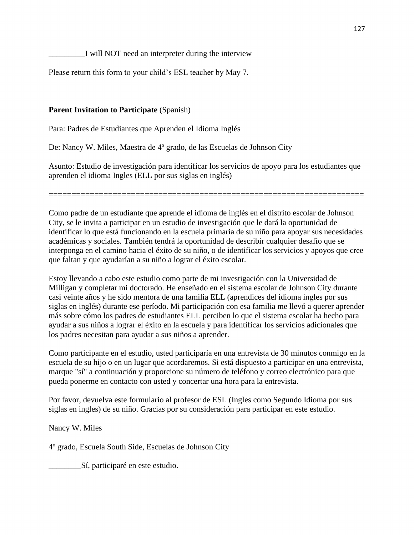\_\_\_\_\_\_\_\_\_I will NOT need an interpreter during the interview

Please return this form to your child's ESL teacher by May 7.

# **Parent Invitation to Participate** (Spanish)

Para: Padres de Estudiantes que Aprenden el Idioma Inglés

De: Nancy W. Miles, Maestra de 4º grado, de las Escuelas de Johnson City

Asunto: Estudio de investigación para identificar los servicios de apoyo para los estudiantes que aprenden el idioma Ingles (ELL por sus siglas en inglés)

=====================================================================

Como padre de un estudiante que aprende el idioma de inglés en el distrito escolar de Johnson City, se le invita a participar en un estudio de investigación que le dará la oportunidad de identificar lo que está funcionando en la escuela primaria de su niño para apoyar sus necesidades académicas y sociales. También tendrá la oportunidad de describir cualquier desafío que se interponga en el camino hacia el éxito de su niño, o de identificar los servicios y apoyos que cree que faltan y que ayudarían a su niño a lograr el éxito escolar.

Estoy llevando a cabo este estudio como parte de mi investigación con la Universidad de Milligan y completar mi doctorado. He enseñado en el sistema escolar de Johnson City durante casi veinte años y he sido mentora de una familia ELL (aprendices del idioma ingles por sus siglas en inglés) durante ese período. Mi participación con esa familia me llevó a querer aprender más sobre cómo los padres de estudiantes ELL perciben lo que el sistema escolar ha hecho para ayudar a sus niños a lograr el éxito en la escuela y para identificar los servicios adicionales que los padres necesitan para ayudar a sus niños a aprender.

Como participante en el estudio, usted participaría en una entrevista de 30 minutos conmigo en la escuela de su hijo o en un lugar que acordaremos. Si está dispuesto a participar en una entrevista, marque "sí" a continuación y proporcione su número de teléfono y correo electrónico para que pueda ponerme en contacto con usted y concertar una hora para la entrevista.

Por favor, devuelva este formulario al profesor de ESL (Ingles como Segundo Idioma por sus siglas en ingles) de su niño. Gracias por su consideración para participar en este estudio.

Nancy W. Miles

4º grado, Escuela South Side, Escuelas de Johnson City

\_\_\_\_\_\_\_\_Sí, participaré en este estudio.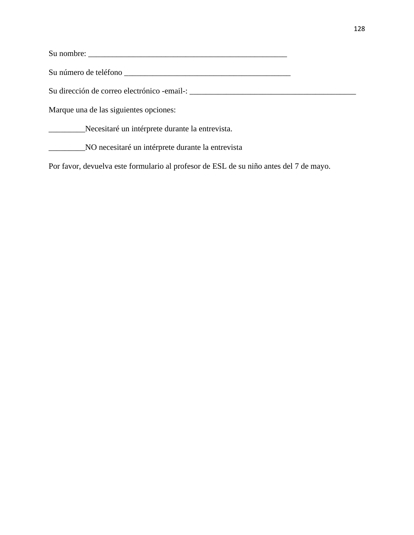Su nombre: \_\_\_\_\_\_\_\_\_\_\_\_\_\_\_\_\_\_\_\_\_\_\_\_\_\_\_\_\_\_\_\_\_\_\_\_\_\_\_\_\_\_\_\_\_\_\_\_\_

Su número de teléfono \_\_\_\_\_\_\_\_\_\_\_\_\_\_\_\_\_\_\_\_\_\_\_\_\_\_\_\_\_\_\_\_\_\_\_\_\_\_\_\_\_

Su dirección de correo electrónico -email-: \_\_\_\_\_\_\_\_\_\_\_\_\_\_\_\_\_\_\_\_\_\_\_\_\_\_\_\_\_\_\_\_\_\_\_\_\_\_\_\_\_

Marque una de las siguientes opciones:

\_\_\_\_\_\_\_\_\_Necesitaré un intérprete durante la entrevista.

\_\_\_\_\_\_\_\_\_NO necesitaré un intérprete durante la entrevista

Por favor, devuelva este formulario al profesor de ESL de su niño antes del 7 de mayo.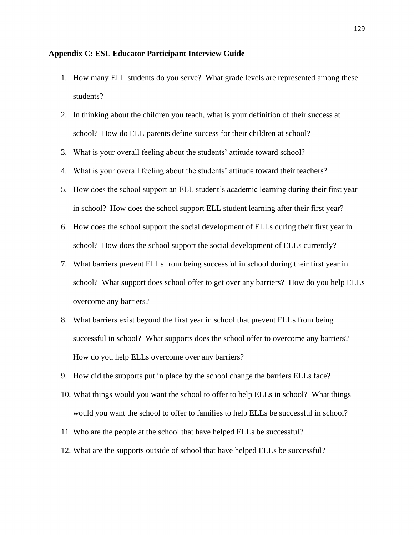#### **Appendix C: ESL Educator Participant Interview Guide**

- 1. How many ELL students do you serve? What grade levels are represented among these students?
- 2. In thinking about the children you teach, what is your definition of their success at school? How do ELL parents define success for their children at school?
- 3. What is your overall feeling about the students' attitude toward school?
- 4. What is your overall feeling about the students' attitude toward their teachers?
- 5. How does the school support an ELL student's academic learning during their first year in school? How does the school support ELL student learning after their first year?
- 6. How does the school support the social development of ELLs during their first year in school? How does the school support the social development of ELLs currently?
- 7. What barriers prevent ELLs from being successful in school during their first year in school? What support does school offer to get over any barriers? How do you help ELLs overcome any barriers?
- 8. What barriers exist beyond the first year in school that prevent ELLs from being successful in school? What supports does the school offer to overcome any barriers? How do you help ELLs overcome over any barriers?
- 9. How did the supports put in place by the school change the barriers ELLs face?
- 10. What things would you want the school to offer to help ELLs in school? What things would you want the school to offer to families to help ELLs be successful in school?
- 11. Who are the people at the school that have helped ELLs be successful?
- 12. What are the supports outside of school that have helped ELLs be successful?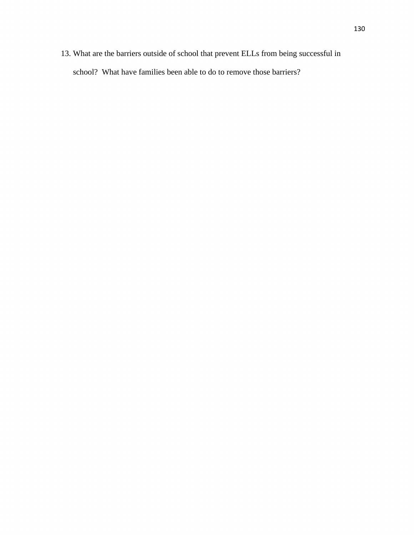13. What are the barriers outside of school that prevent ELLs from being successful in school? What have families been able to do to remove those barriers?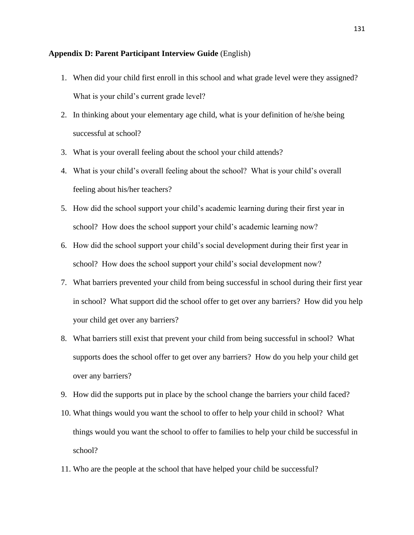#### **Appendix D: Parent Participant Interview Guide** (English)

- 1. When did your child first enroll in this school and what grade level were they assigned? What is your child's current grade level?
- 2. In thinking about your elementary age child, what is your definition of he/she being successful at school?
- 3. What is your overall feeling about the school your child attends?
- 4. What is your child's overall feeling about the school? What is your child's overall feeling about his/her teachers?
- 5. How did the school support your child's academic learning during their first year in school? How does the school support your child's academic learning now?
- 6. How did the school support your child's social development during their first year in school? How does the school support your child's social development now?
- 7. What barriers prevented your child from being successful in school during their first year in school? What support did the school offer to get over any barriers? How did you help your child get over any barriers?
- 8. What barriers still exist that prevent your child from being successful in school? What supports does the school offer to get over any barriers? How do you help your child get over any barriers?
- 9. How did the supports put in place by the school change the barriers your child faced?
- 10. What things would you want the school to offer to help your child in school? What things would you want the school to offer to families to help your child be successful in school?
- 11. Who are the people at the school that have helped your child be successful?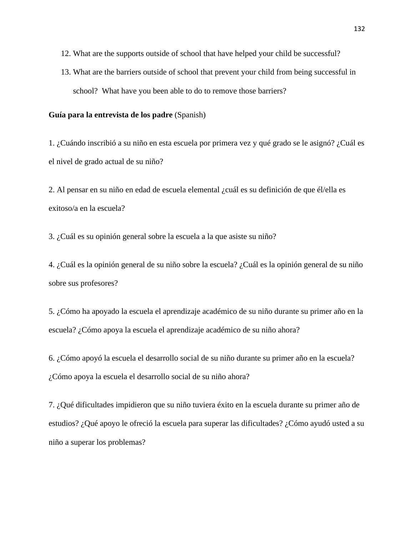- 12. What are the supports outside of school that have helped your child be successful?
- 13. What are the barriers outside of school that prevent your child from being successful in school? What have you been able to do to remove those barriers?

## **Guía para la entrevista de los padre** (Spanish)

1. ¿Cuándo inscribió a su niño en esta escuela por primera vez y qué grado se le asignó? ¿Cuál es el nivel de grado actual de su niño?

2. Al pensar en su niño en edad de escuela elemental ¿cuál es su definición de que él/ella es exitoso/a en la escuela?

3. ¿Cuál es su opinión general sobre la escuela a la que asiste su niño?

4. ¿Cuál es la opinión general de su niño sobre la escuela? ¿Cuál es la opinión general de su niño sobre sus profesores?

5. ¿Cómo ha apoyado la escuela el aprendizaje académico de su niño durante su primer año en la escuela? ¿Cómo apoya la escuela el aprendizaje académico de su niño ahora?

6. ¿Cómo apoyó la escuela el desarrollo social de su niño durante su primer año en la escuela? ¿Cómo apoya la escuela el desarrollo social de su niño ahora?

7. ¿Qué dificultades impidieron que su niño tuviera éxito en la escuela durante su primer año de estudios? ¿Qué apoyo le ofreció la escuela para superar las dificultades? ¿Cómo ayudó usted a su niño a superar los problemas?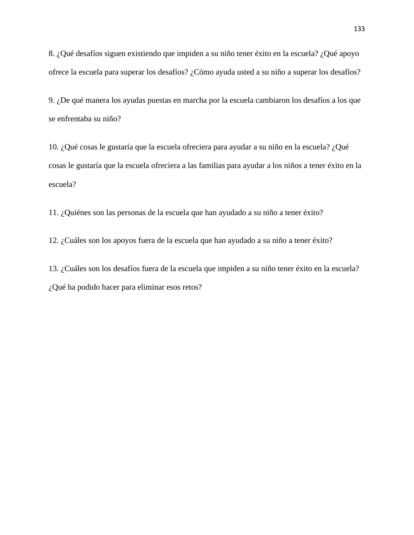8. ¿Qué desafíos siguen existiendo que impiden a su niño tener éxito en la escuela? ¿Qué apoyo ofrece la escuela para superar los desafíos? ¿Cómo ayuda usted a su niño a superar los desafíos?

9. ¿De qué manera los ayudas puestas en marcha por la escuela cambiaron los desafíos a los que se enfrentaba su niño?

10. ¿Qué cosas le gustaría que la escuela ofreciera para ayudar a su niño en la escuela? ¿Qué cosas le gustaría que la escuela ofreciera a las familias para ayudar a los niños a tener éxito en la escuela?

11. ¿Quiénes son las personas de la escuela que han ayudado a su niño a tener éxito?

12. ¿Cuáles son los apoyos fuera de la escuela que han ayudado a su niño a tener éxito?

13. ¿Cuáles son los desafíos fuera de la escuela que impiden a su niño tener éxito en la escuela? ¿Qué ha podido hacer para eliminar esos retos?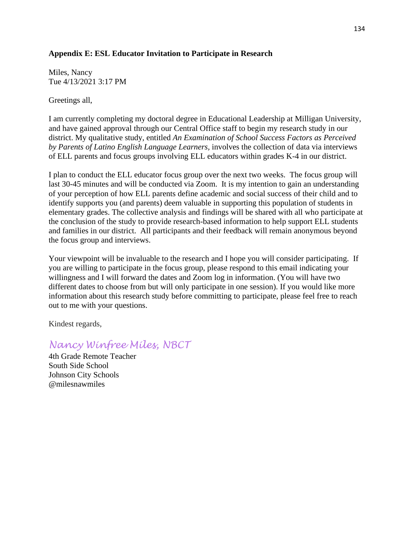## **Appendix E: ESL Educator Invitation to Participate in Research**

Miles, Nancy Tue 4/13/2021 3:17 PM

Greetings all,

I am currently completing my doctoral degree in Educational Leadership at Milligan University, and have gained approval through our Central Office staff to begin my research study in our district. My qualitative study, entitled *An Examination of School Success Factors as Perceived by Parents of Latino English Language Learners,* involves the collection of data via interviews of ELL parents and focus groups involving ELL educators within grades K-4 in our district.

I plan to conduct the ELL educator focus group over the next two weeks. The focus group will last 30-45 minutes and will be conducted via Zoom. It is my intention to gain an understanding of your perception of how ELL parents define academic and social success of their child and to identify supports you (and parents) deem valuable in supporting this population of students in elementary grades. The collective analysis and findings will be shared with all who participate at the conclusion of the study to provide research-based information to help support ELL students and families in our district. All participants and their feedback will remain anonymous beyond the focus group and interviews.

Your viewpoint will be invaluable to the research and I hope you will consider participating. If you are willing to participate in the focus group, please respond to this email indicating your willingness and I will forward the dates and Zoom log in information. (You will have two different dates to choose from but will only participate in one session). If you would like more information about this research study before committing to participate, please feel free to reach out to me with your questions.

Kindest regards,

# *Nancy Winfree Miles, NBCT*

4th Grade Remote Teacher South Side School Johnson City Schools @milesnawmiles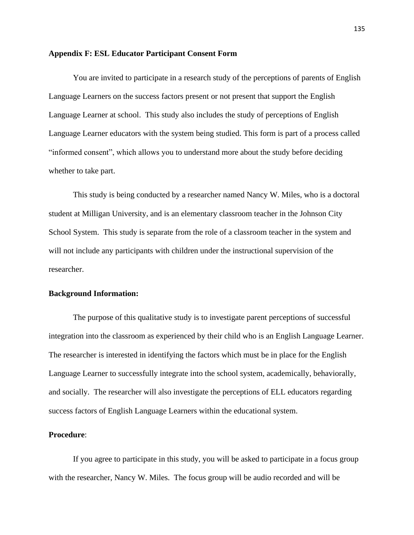#### **Appendix F: ESL Educator Participant Consent Form**

You are invited to participate in a research study of the perceptions of parents of English Language Learners on the success factors present or not present that support the English Language Learner at school. This study also includes the study of perceptions of English Language Learner educators with the system being studied. This form is part of a process called "informed consent", which allows you to understand more about the study before deciding whether to take part.

This study is being conducted by a researcher named Nancy W. Miles, who is a doctoral student at Milligan University, and is an elementary classroom teacher in the Johnson City School System. This study is separate from the role of a classroom teacher in the system and will not include any participants with children under the instructional supervision of the researcher.

## **Background Information:**

The purpose of this qualitative study is to investigate parent perceptions of successful integration into the classroom as experienced by their child who is an English Language Learner. The researcher is interested in identifying the factors which must be in place for the English Language Learner to successfully integrate into the school system, academically, behaviorally, and socially. The researcher will also investigate the perceptions of ELL educators regarding success factors of English Language Learners within the educational system.

## **Procedure**:

If you agree to participate in this study, you will be asked to participate in a focus group with the researcher, Nancy W. Miles. The focus group will be audio recorded and will be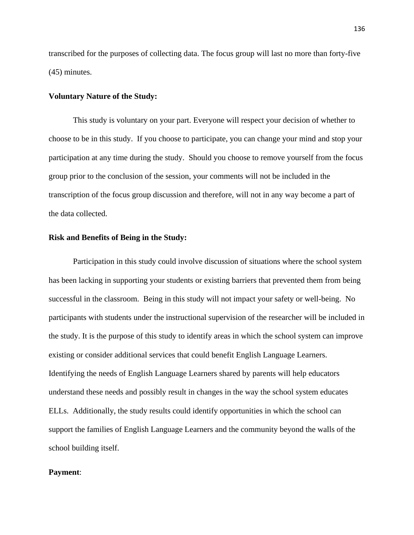transcribed for the purposes of collecting data. The focus group will last no more than forty-five (45) minutes.

## **Voluntary Nature of the Study:**

This study is voluntary on your part. Everyone will respect your decision of whether to choose to be in this study. If you choose to participate, you can change your mind and stop your participation at any time during the study. Should you choose to remove yourself from the focus group prior to the conclusion of the session, your comments will not be included in the transcription of the focus group discussion and therefore, will not in any way become a part of the data collected.

## **Risk and Benefits of Being in the Study:**

Participation in this study could involve discussion of situations where the school system has been lacking in supporting your students or existing barriers that prevented them from being successful in the classroom. Being in this study will not impact your safety or well-being. No participants with students under the instructional supervision of the researcher will be included in the study. It is the purpose of this study to identify areas in which the school system can improve existing or consider additional services that could benefit English Language Learners. Identifying the needs of English Language Learners shared by parents will help educators understand these needs and possibly result in changes in the way the school system educates ELLs. Additionally, the study results could identify opportunities in which the school can support the families of English Language Learners and the community beyond the walls of the school building itself.

### **Payment**: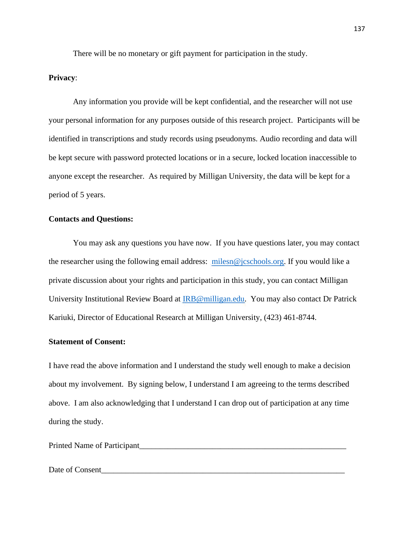There will be no monetary or gift payment for participation in the study.

### **Privacy**:

Any information you provide will be kept confidential, and the researcher will not use your personal information for any purposes outside of this research project. Participants will be identified in transcriptions and study records using pseudonyms. Audio recording and data will be kept secure with password protected locations or in a secure, locked location inaccessible to anyone except the researcher. As required by Milligan University, the data will be kept for a period of 5 years.

## **Contacts and Questions:**

You may ask any questions you have now. If you have questions later, you may contact the researcher using the following email address: [milesn@jcschools.org.](mailto:milesn@jcschools.org) If you would like a private discussion about your rights and participation in this study, you can contact Milligan University Institutional Review Board at [IRB@milligan.edu.](mailto:IRB@milligan.edu) You may also contact Dr Patrick Kariuki, Director of Educational Research at Milligan University, (423) 461-8744.

## **Statement of Consent:**

I have read the above information and I understand the study well enough to make a decision about my involvement. By signing below, I understand I am agreeing to the terms described above. I am also acknowledging that I understand I can drop out of participation at any time during the study.

Printed Name of Participant\_\_\_\_\_\_\_\_\_\_\_\_\_\_\_\_\_\_\_\_\_\_\_\_\_\_\_\_\_\_\_\_\_\_\_\_\_\_\_\_\_\_\_\_\_\_\_\_\_\_\_

Date of Consent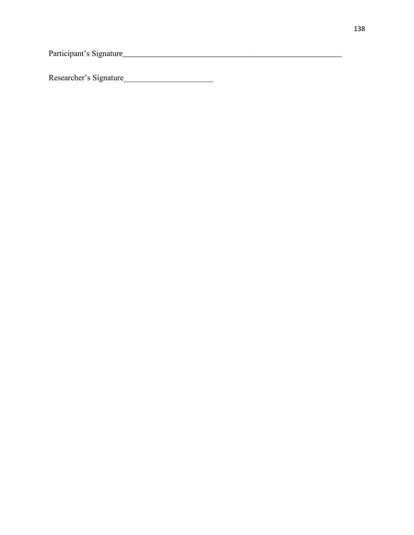Participant's Signature\_\_\_\_\_\_\_\_\_\_\_\_\_\_\_\_\_\_\_\_\_\_\_\_\_\_\_\_\_\_\_\_\_\_\_\_\_\_\_\_\_\_\_\_\_\_\_\_\_\_\_\_\_\_

Researcher's Signature\_\_\_\_\_\_\_\_\_\_\_\_\_\_\_\_\_\_\_\_\_\_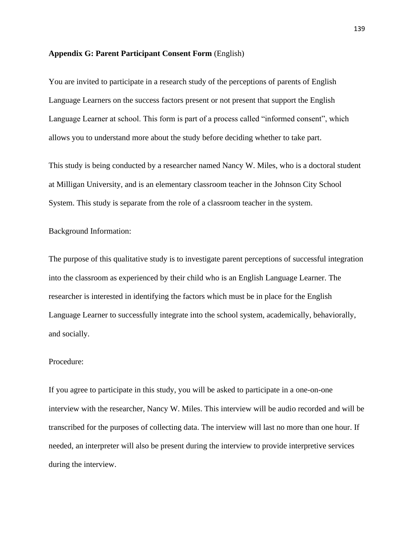#### **Appendix G: Parent Participant Consent Form** (English)

You are invited to participate in a research study of the perceptions of parents of English Language Learners on the success factors present or not present that support the English Language Learner at school. This form is part of a process called "informed consent", which allows you to understand more about the study before deciding whether to take part.

This study is being conducted by a researcher named Nancy W. Miles, who is a doctoral student at Milligan University, and is an elementary classroom teacher in the Johnson City School System. This study is separate from the role of a classroom teacher in the system.

Background Information:

The purpose of this qualitative study is to investigate parent perceptions of successful integration into the classroom as experienced by their child who is an English Language Learner. The researcher is interested in identifying the factors which must be in place for the English Language Learner to successfully integrate into the school system, academically, behaviorally, and socially.

## Procedure:

If you agree to participate in this study, you will be asked to participate in a one-on-one interview with the researcher, Nancy W. Miles. This interview will be audio recorded and will be transcribed for the purposes of collecting data. The interview will last no more than one hour. If needed, an interpreter will also be present during the interview to provide interpretive services during the interview.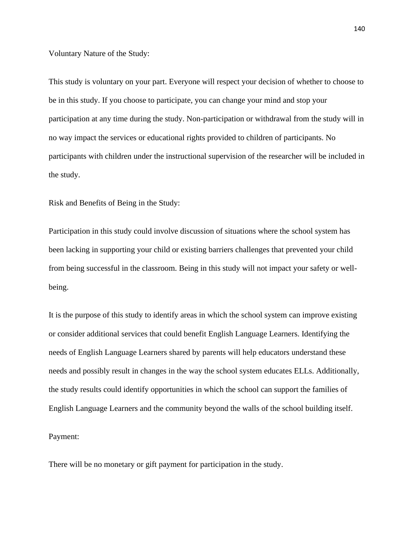Voluntary Nature of the Study:

This study is voluntary on your part. Everyone will respect your decision of whether to choose to be in this study. If you choose to participate, you can change your mind and stop your participation at any time during the study. Non-participation or withdrawal from the study will in no way impact the services or educational rights provided to children of participants. No participants with children under the instructional supervision of the researcher will be included in the study.

Risk and Benefits of Being in the Study:

Participation in this study could involve discussion of situations where the school system has been lacking in supporting your child or existing barriers challenges that prevented your child from being successful in the classroom. Being in this study will not impact your safety or wellbeing.

It is the purpose of this study to identify areas in which the school system can improve existing or consider additional services that could benefit English Language Learners. Identifying the needs of English Language Learners shared by parents will help educators understand these needs and possibly result in changes in the way the school system educates ELLs. Additionally, the study results could identify opportunities in which the school can support the families of English Language Learners and the community beyond the walls of the school building itself.

Payment:

There will be no monetary or gift payment for participation in the study.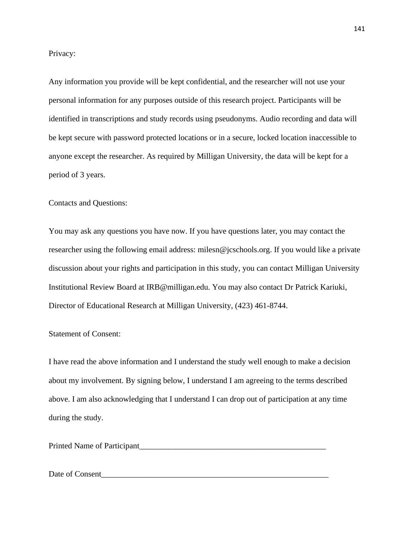Privacy:

Any information you provide will be kept confidential, and the researcher will not use your personal information for any purposes outside of this research project. Participants will be identified in transcriptions and study records using pseudonyms. Audio recording and data will be kept secure with password protected locations or in a secure, locked location inaccessible to anyone except the researcher. As required by Milligan University, the data will be kept for a period of 3 years.

Contacts and Questions:

You may ask any questions you have now. If you have questions later, you may contact the researcher using the following email address: milesn@jcschools.org. If you would like a private discussion about your rights and participation in this study, you can contact Milligan University Institutional Review Board at IRB@milligan.edu. You may also contact Dr Patrick Kariuki, Director of Educational Research at Milligan University, (423) 461-8744.

Statement of Consent:

I have read the above information and I understand the study well enough to make a decision about my involvement. By signing below, I understand I am agreeing to the terms described above. I am also acknowledging that I understand I can drop out of participation at any time during the study.

Printed Name of Participant\_\_\_\_\_\_\_\_\_\_\_\_\_\_\_\_\_\_\_\_\_\_\_\_\_\_\_\_\_\_\_\_\_\_\_\_\_\_\_\_\_\_\_\_\_\_

Date of Consent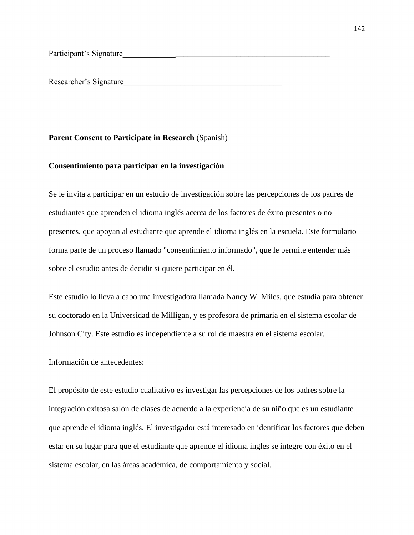Participant's Signature

Researcher's Signature

### **Parent Consent to Participate in Research** (Spanish)

## **Consentimiento para participar en la investigación**

Se le invita a participar en un estudio de investigación sobre las percepciones de los padres de estudiantes que aprenden el idioma inglés acerca de los factores de éxito presentes o no presentes, que apoyan al estudiante que aprende el idioma inglés en la escuela. Este formulario forma parte de un proceso llamado "consentimiento informado", que le permite entender más sobre el estudio antes de decidir si quiere participar en él.

Este estudio lo lleva a cabo una investigadora llamada Nancy W. Miles, que estudia para obtener su doctorado en la Universidad de Milligan, y es profesora de primaria en el sistema escolar de Johnson City. Este estudio es independiente a su rol de maestra en el sistema escolar.

Información de antecedentes:

El propósito de este estudio cualitativo es investigar las percepciones de los padres sobre la integración exitosa salón de clases de acuerdo a la experiencia de su niño que es un estudiante que aprende el idioma inglés. El investigador está interesado en identificar los factores que deben estar en su lugar para que el estudiante que aprende el idioma ingles se integre con éxito en el sistema escolar, en las áreas académica, de comportamiento y social.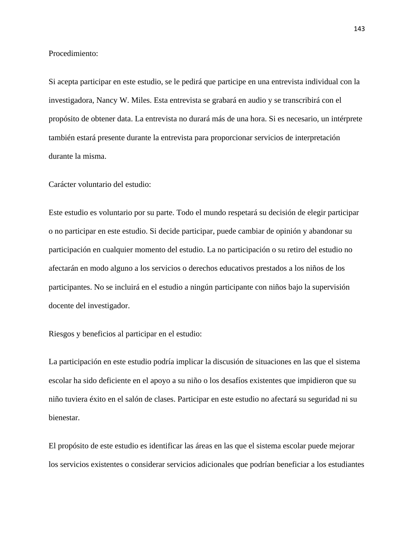Procedimiento:

Si acepta participar en este estudio, se le pedirá que participe en una entrevista individual con la investigadora, Nancy W. Miles. Esta entrevista se grabará en audio y se transcribirá con el propósito de obtener data. La entrevista no durará más de una hora. Si es necesario, un intérprete también estará presente durante la entrevista para proporcionar servicios de interpretación durante la misma.

Carácter voluntario del estudio:

Este estudio es voluntario por su parte. Todo el mundo respetará su decisión de elegir participar o no participar en este estudio. Si decide participar, puede cambiar de opinión y abandonar su participación en cualquier momento del estudio. La no participación o su retiro del estudio no afectarán en modo alguno a los servicios o derechos educativos prestados a los niños de los participantes. No se incluirá en el estudio a ningún participante con niños bajo la supervisión docente del investigador.

Riesgos y beneficios al participar en el estudio:

La participación en este estudio podría implicar la discusión de situaciones en las que el sistema escolar ha sido deficiente en el apoyo a su niño o los desafíos existentes que impidieron que su niño tuviera éxito en el salón de clases. Participar en este estudio no afectará su seguridad ni su bienestar.

El propósito de este estudio es identificar las áreas en las que el sistema escolar puede mejorar los servicios existentes o considerar servicios adicionales que podrían beneficiar a los estudiantes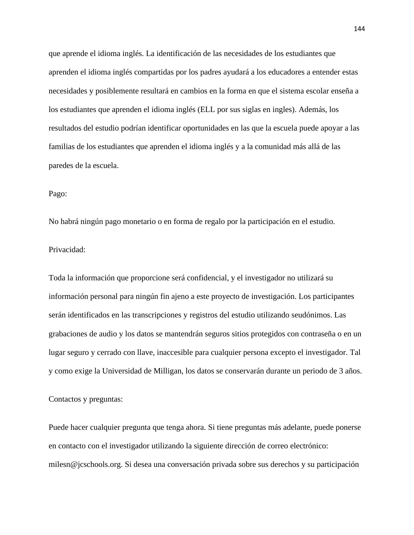que aprende el idioma inglés. La identificación de las necesidades de los estudiantes que aprenden el idioma inglés compartidas por los padres ayudará a los educadores a entender estas necesidades y posiblemente resultará en cambios en la forma en que el sistema escolar enseña a los estudiantes que aprenden el idioma inglés (ELL por sus siglas en ingles). Además, los resultados del estudio podrían identificar oportunidades en las que la escuela puede apoyar a las familias de los estudiantes que aprenden el idioma inglés y a la comunidad más allá de las paredes de la escuela.

## Pago:

No habrá ningún pago monetario o en forma de regalo por la participación en el estudio.

## Privacidad:

Toda la información que proporcione será confidencial, y el investigador no utilizará su información personal para ningún fin ajeno a este proyecto de investigación. Los participantes serán identificados en las transcripciones y registros del estudio utilizando seudónimos. Las grabaciones de audio y los datos se mantendrán seguros sitios protegidos con contraseña o en un lugar seguro y cerrado con llave, inaccesible para cualquier persona excepto el investigador. Tal y como exige la Universidad de Milligan, los datos se conservarán durante un periodo de 3 años.

## Contactos y preguntas:

Puede hacer cualquier pregunta que tenga ahora. Si tiene preguntas más adelante, puede ponerse en contacto con el investigador utilizando la siguiente dirección de correo electrónico: milesn@jcschools.org. Si desea una conversación privada sobre sus derechos y su participación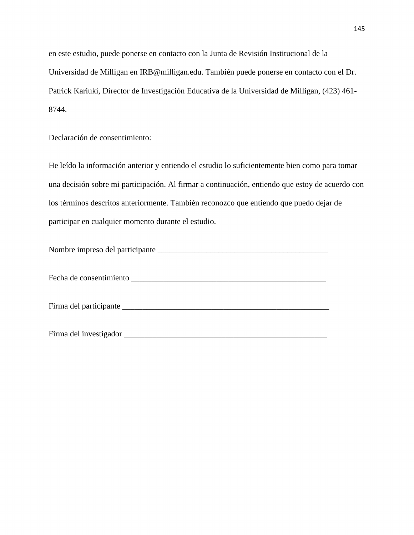en este estudio, puede ponerse en contacto con la Junta de Revisión Institucional de la Universidad de Milligan en IRB@milligan.edu. También puede ponerse en contacto con el Dr. Patrick Kariuki, Director de Investigación Educativa de la Universidad de Milligan, (423) 461- 8744.

Declaración de consentimiento:

He leído la información anterior y entiendo el estudio lo suficientemente bien como para tomar una decisión sobre mi participación. Al firmar a continuación, entiendo que estoy de acuerdo con los términos descritos anteriormente. También reconozco que entiendo que puedo dejar de participar en cualquier momento durante el estudio.

| Nombre impreso del participante |  |
|---------------------------------|--|
|                                 |  |
|                                 |  |

Fecha de consentimiento \_\_\_\_\_\_\_\_\_\_\_\_\_\_\_\_\_\_\_\_\_\_\_\_\_\_\_\_\_\_\_\_\_\_\_\_\_\_\_\_\_\_\_\_\_\_\_\_

Firma del participante \_\_\_\_\_\_\_\_\_\_\_\_\_\_\_\_\_\_\_\_\_\_\_\_\_\_\_\_\_\_\_\_\_\_\_\_\_\_\_\_\_\_\_\_\_\_\_\_\_\_\_

Firma del investigador \_\_\_\_\_\_\_\_\_\_\_\_\_\_\_\_\_\_\_\_\_\_\_\_\_\_\_\_\_\_\_\_\_\_\_\_\_\_\_\_\_\_\_\_\_\_\_\_\_\_